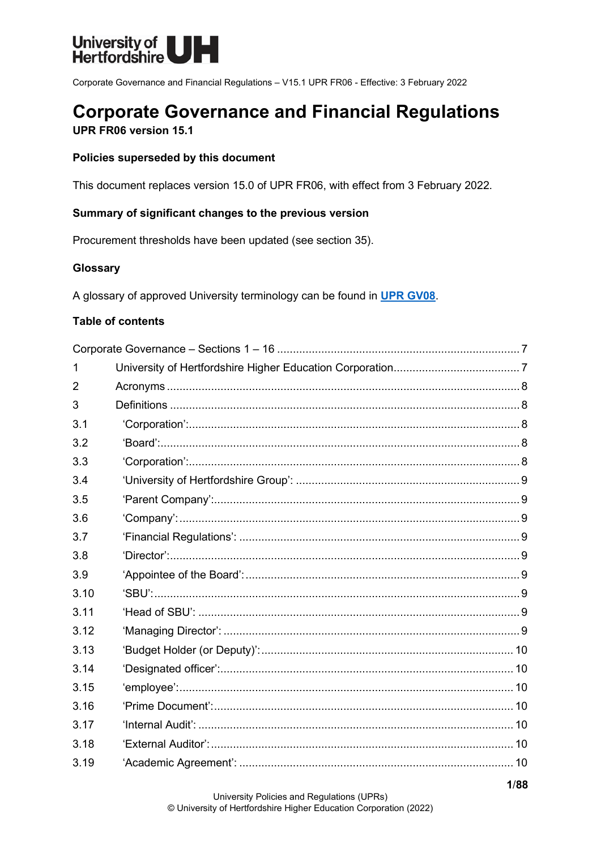

Corporate Governance and Financial Regulations - V15.1 UPR FR06 - Effective: 3 February 2022

# **Corporate Governance and Financial Regulations**

UPR FR06 version 15.1

## Policies superseded by this document

This document replaces version 15.0 of UPR FR06, with effect from 3 February 2022.

## Summary of significant changes to the previous version

Procurement thresholds have been updated (see section 35).

## Glossary

A glossary of approved University terminology can be found in UPR GV08.

### **Table of contents**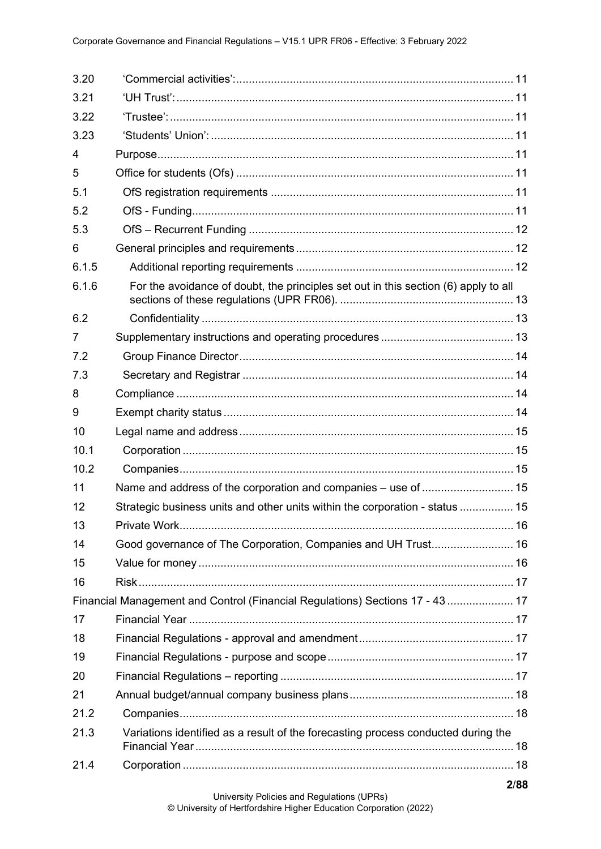| 3.20  |                                                                                     |  |
|-------|-------------------------------------------------------------------------------------|--|
| 3.21  |                                                                                     |  |
| 3.22  |                                                                                     |  |
| 3.23  |                                                                                     |  |
| 4     |                                                                                     |  |
| 5     |                                                                                     |  |
| 5.1   |                                                                                     |  |
| 5.2   |                                                                                     |  |
| 5.3   |                                                                                     |  |
| 6     |                                                                                     |  |
| 6.1.5 |                                                                                     |  |
| 6.1.6 | For the avoidance of doubt, the principles set out in this section (6) apply to all |  |
| 6.2   |                                                                                     |  |
| 7     |                                                                                     |  |
| 7.2   |                                                                                     |  |
| 7.3   |                                                                                     |  |
| 8     |                                                                                     |  |
| 9     |                                                                                     |  |
| 10    |                                                                                     |  |
| 10.1  |                                                                                     |  |
| 10.2  |                                                                                     |  |
| 11    | Name and address of the corporation and companies - use of  15                      |  |
| 12    | Strategic business units and other units within the corporation - status  15        |  |
| 13    |                                                                                     |  |
| 14    | Good governance of The Corporation, Companies and UH Trust 16                       |  |
| 15    |                                                                                     |  |
| 16    |                                                                                     |  |
|       | Financial Management and Control (Financial Regulations) Sections 17 - 43  17       |  |
| 17    |                                                                                     |  |
| 18    |                                                                                     |  |
| 19    |                                                                                     |  |
| 20    |                                                                                     |  |
| 21    |                                                                                     |  |
| 21.2  |                                                                                     |  |
| 21.3  | Variations identified as a result of the forecasting process conducted during the   |  |
| 21.4  |                                                                                     |  |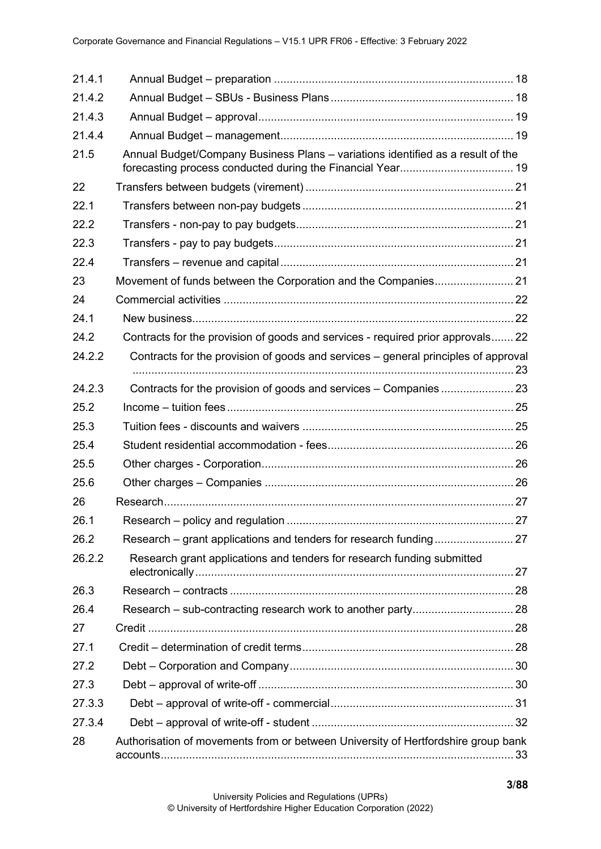| 21.4.1 |                                                                                    |    |
|--------|------------------------------------------------------------------------------------|----|
| 21.4.2 |                                                                                    |    |
| 21.4.3 |                                                                                    |    |
| 21.4.4 |                                                                                    |    |
| 21.5   | Annual Budget/Company Business Plans - variations identified as a result of the    |    |
| 22     |                                                                                    |    |
| 22.1   |                                                                                    |    |
| 22.2   |                                                                                    |    |
| 22.3   |                                                                                    |    |
| 22.4   |                                                                                    |    |
| 23     |                                                                                    |    |
| 24     |                                                                                    |    |
| 24.1   |                                                                                    |    |
| 24.2   | Contracts for the provision of goods and services - required prior approvals 22    |    |
| 24.2.2 | Contracts for the provision of goods and services – general principles of approval |    |
| 24.2.3 |                                                                                    |    |
| 25.2   |                                                                                    |    |
| 25.3   |                                                                                    |    |
| 25.4   |                                                                                    |    |
| 25.5   |                                                                                    |    |
| 25.6   |                                                                                    |    |
| 26     |                                                                                    |    |
| 26.1   |                                                                                    | 27 |
| 26.2   |                                                                                    |    |
| 26.2.2 | Research grant applications and tenders for research funding submitted             |    |
| 26.3   |                                                                                    |    |
| 26.4   |                                                                                    |    |
| 27     |                                                                                    |    |
| 27.1   |                                                                                    |    |
| 27.2   |                                                                                    |    |
| 27.3   |                                                                                    |    |
| 27.3.3 |                                                                                    |    |
| 27.3.4 |                                                                                    |    |
| 28     | Authorisation of movements from or between University of Hertfordshire group bank  |    |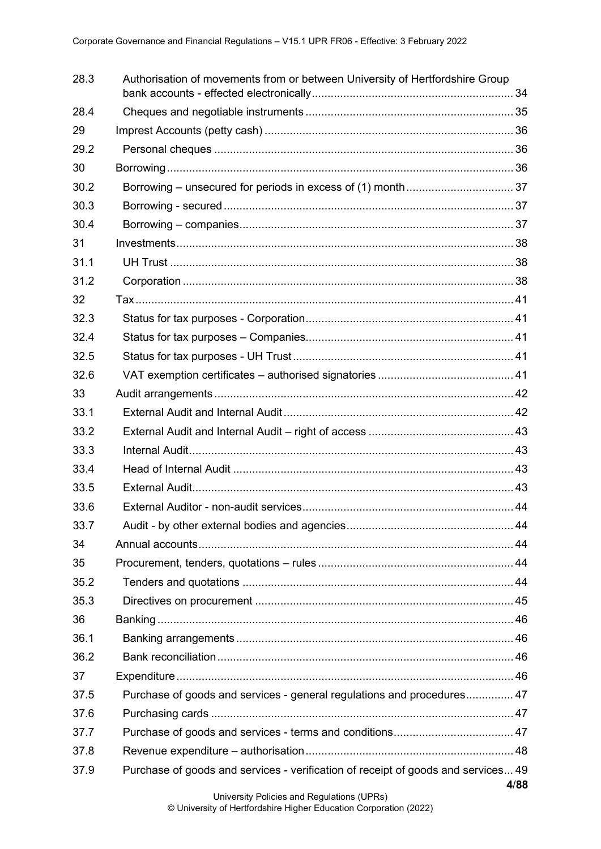| 28.3 | Authorisation of movements from or between University of Hertfordshire Group      |      |
|------|-----------------------------------------------------------------------------------|------|
| 28.4 |                                                                                   |      |
| 29   |                                                                                   |      |
| 29.2 |                                                                                   |      |
| 30   |                                                                                   |      |
| 30.2 |                                                                                   |      |
| 30.3 |                                                                                   |      |
| 30.4 |                                                                                   |      |
| 31   |                                                                                   |      |
| 31.1 |                                                                                   |      |
| 31.2 |                                                                                   |      |
| 32   |                                                                                   |      |
| 32.3 |                                                                                   |      |
| 32.4 |                                                                                   |      |
| 32.5 |                                                                                   |      |
| 32.6 |                                                                                   |      |
| 33   |                                                                                   |      |
| 33.1 |                                                                                   |      |
| 33.2 |                                                                                   |      |
| 33.3 |                                                                                   |      |
| 33.4 |                                                                                   |      |
| 33.5 |                                                                                   |      |
| 33.6 |                                                                                   |      |
| 33.7 |                                                                                   |      |
| 34   |                                                                                   |      |
| 35   |                                                                                   |      |
| 35.2 |                                                                                   |      |
| 35.3 |                                                                                   |      |
| 36   |                                                                                   |      |
| 36.1 |                                                                                   |      |
| 36.2 |                                                                                   |      |
| 37   |                                                                                   |      |
| 37.5 | Purchase of goods and services - general regulations and procedures 47            |      |
| 37.6 |                                                                                   |      |
| 37.7 |                                                                                   |      |
| 37.8 |                                                                                   |      |
| 37.9 | Purchase of goods and services - verification of receipt of goods and services 49 |      |
|      |                                                                                   | 4/88 |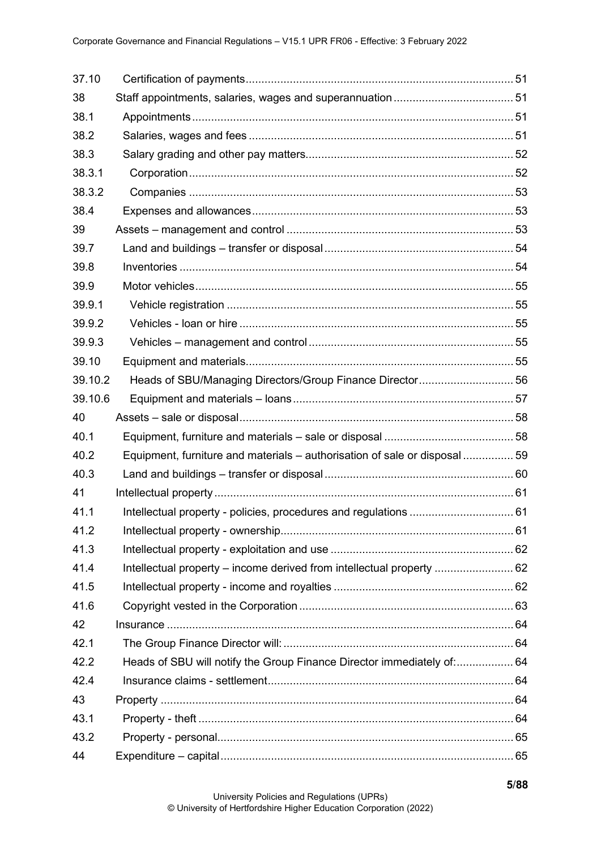| 37.10   |                                                                            |  |
|---------|----------------------------------------------------------------------------|--|
| 38      |                                                                            |  |
| 38.1    |                                                                            |  |
| 38.2    |                                                                            |  |
| 38.3    |                                                                            |  |
| 38.3.1  |                                                                            |  |
| 38.3.2  |                                                                            |  |
| 38.4    |                                                                            |  |
| 39      |                                                                            |  |
| 39.7    |                                                                            |  |
| 39.8    |                                                                            |  |
| 39.9    |                                                                            |  |
| 39.9.1  |                                                                            |  |
| 39.9.2  |                                                                            |  |
| 39.9.3  |                                                                            |  |
| 39.10   |                                                                            |  |
| 39.10.2 | Heads of SBU/Managing Directors/Group Finance Director 56                  |  |
| 39.10.6 |                                                                            |  |
| 40      |                                                                            |  |
| 40.1    |                                                                            |  |
| 40.2    | Equipment, furniture and materials – authorisation of sale or disposal  59 |  |
| 40.3    |                                                                            |  |
| 41      |                                                                            |  |
| 41.1    |                                                                            |  |
| 41.2    |                                                                            |  |
| 41.3    |                                                                            |  |
| 41.4    | Intellectual property – income derived from intellectual property  62      |  |
| 41.5    |                                                                            |  |
| 41.6    |                                                                            |  |
| 42      |                                                                            |  |
| 42.1    |                                                                            |  |
| 42.2    | Heads of SBU will notify the Group Finance Director immediately of: 64     |  |
| 42.4    |                                                                            |  |
| 43      |                                                                            |  |
| 43.1    |                                                                            |  |
| 43.2    |                                                                            |  |
| 44      |                                                                            |  |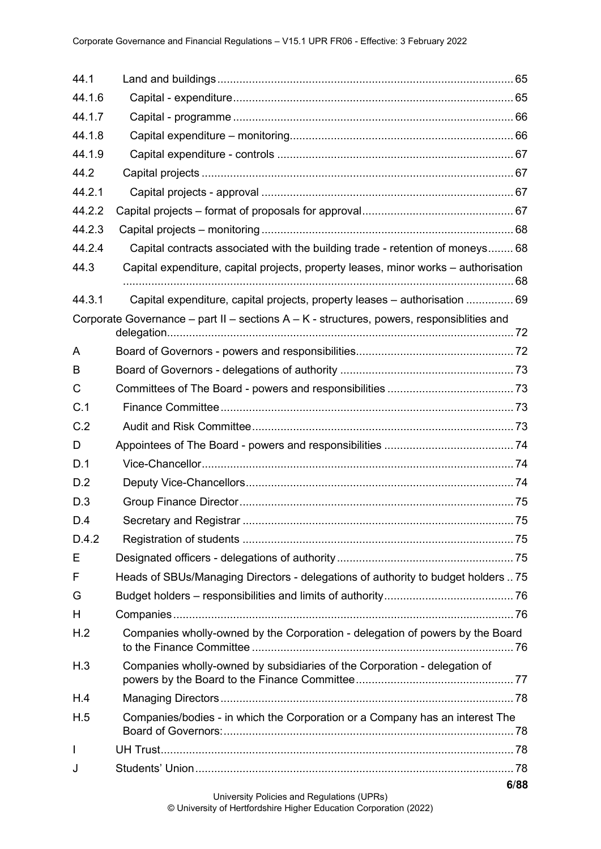| 44.1         |                                                                                           |      |
|--------------|-------------------------------------------------------------------------------------------|------|
| 44.1.6       |                                                                                           |      |
| 44.1.7       |                                                                                           |      |
| 44.1.8       |                                                                                           |      |
| 44.1.9       |                                                                                           |      |
| 44.2         |                                                                                           |      |
| 44.2.1       |                                                                                           |      |
| 44.2.2       |                                                                                           |      |
| 44.2.3       |                                                                                           |      |
| 44.2.4       | Capital contracts associated with the building trade - retention of moneys 68             |      |
| 44.3         | Capital expenditure, capital projects, property leases, minor works – authorisation       |      |
| 44.3.1       | Capital expenditure, capital projects, property leases - authorisation  69                |      |
|              | Corporate Governance – part II – sections A – K - structures, powers, responsiblities and |      |
| A            |                                                                                           |      |
| B            |                                                                                           |      |
| C            |                                                                                           |      |
| C.1          |                                                                                           |      |
| C.2          |                                                                                           |      |
| D            |                                                                                           |      |
| D.1          |                                                                                           |      |
| D.2          |                                                                                           |      |
| D.3          |                                                                                           |      |
| D.4          |                                                                                           |      |
| D.4.2        |                                                                                           |      |
| Е            |                                                                                           |      |
| F            | Heads of SBUs/Managing Directors - delegations of authority to budget holders  75         |      |
| G            |                                                                                           |      |
| H            |                                                                                           |      |
| H.2          | Companies wholly-owned by the Corporation - delegation of powers by the Board             |      |
| H.3          | Companies wholly-owned by subsidiaries of the Corporation - delegation of                 |      |
| H.4          |                                                                                           |      |
| H.5          | Companies/bodies - in which the Corporation or a Company has an interest The              |      |
| $\mathsf{I}$ |                                                                                           |      |
| J            |                                                                                           |      |
|              |                                                                                           | 6/88 |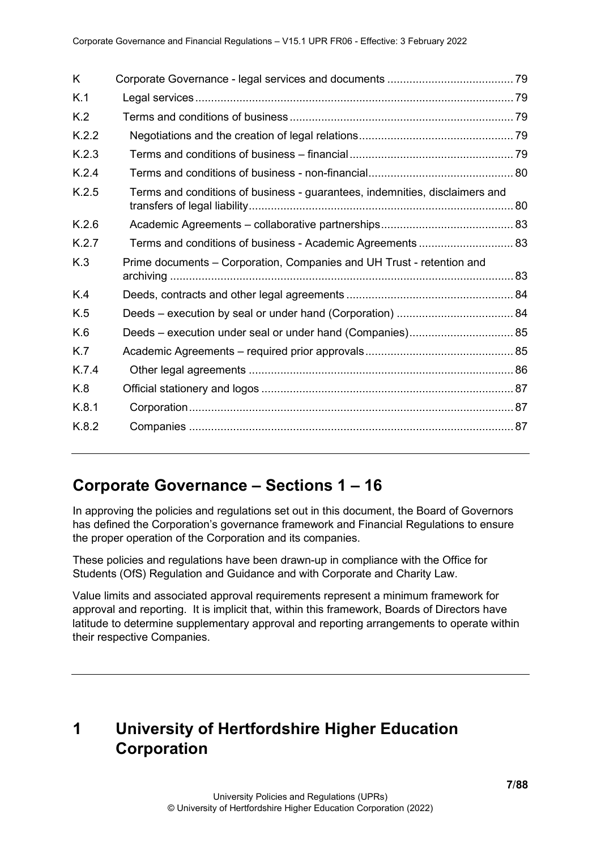| K     |                                                                             |  |
|-------|-----------------------------------------------------------------------------|--|
| K.1   |                                                                             |  |
| K.2   |                                                                             |  |
| K.2.2 |                                                                             |  |
| K.2.3 |                                                                             |  |
| K.2.4 |                                                                             |  |
| K.2.5 | Terms and conditions of business - guarantees, indemnities, disclaimers and |  |
| K.2.6 |                                                                             |  |
| K.2.7 | Terms and conditions of business - Academic Agreements  83                  |  |
| K.3   | Prime documents - Corporation, Companies and UH Trust - retention and       |  |
| K.4   |                                                                             |  |
| K.5   |                                                                             |  |
| K.6   |                                                                             |  |
| K.7   |                                                                             |  |
| K.7.4 |                                                                             |  |
| K.8   |                                                                             |  |
| K.8.1 |                                                                             |  |
| K.8.2 |                                                                             |  |

# <span id="page-6-0"></span>**Corporate Governance – Sections 1 – 16**

In approving the policies and regulations set out in this document, the Board of Governors has defined the Corporation's governance framework and Financial Regulations to ensure the proper operation of the Corporation and its companies.

These policies and regulations have been drawn-up in compliance with the Office for Students (OfS) Regulation and Guidance and with Corporate and Charity Law.

Value limits and associated approval requirements represent a minimum framework for approval and reporting. It is implicit that, within this framework, Boards of Directors have latitude to determine supplementary approval and reporting arrangements to operate within their respective Companies.

# <span id="page-6-1"></span>**1 University of Hertfordshire Higher Education Corporation**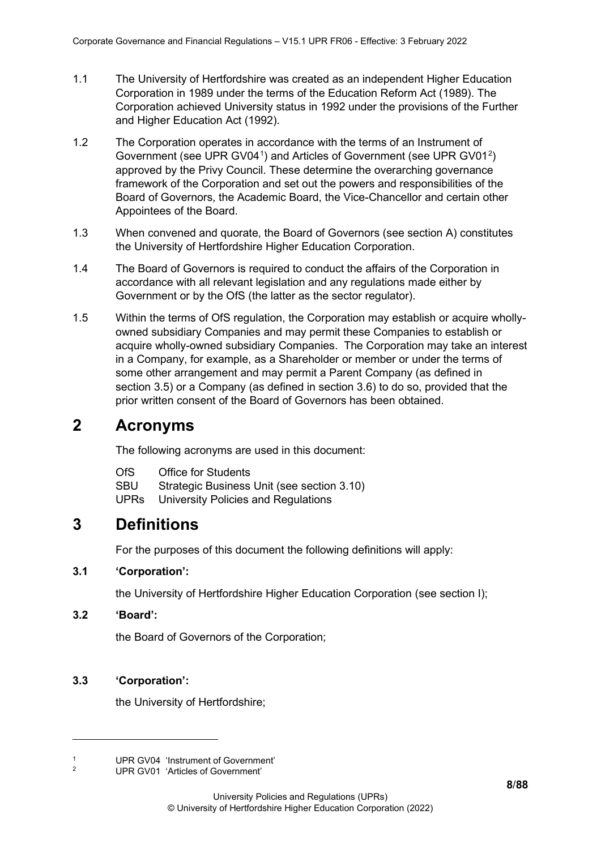- 1.1 The University of Hertfordshire was created as an independent Higher Education Corporation in 1989 under the terms of the Education Reform Act (1989). The Corporation achieved University status in 1992 under the provisions of the Further and Higher Education Act (1992).
- 1.2 The Corporation operates in accordance with the terms of an Instrument of Government (see UPR GV04<sup>[1](#page-7-5)</sup>) and Articles of Government (see UPR GV01<sup>[2](#page-7-6)</sup>) approved by the Privy Council. These determine the overarching governance framework of the Corporation and set out the powers and responsibilities of the Board of Governors, the Academic Board, the Vice-Chancellor and certain other Appointees of the Board.
- 1.3 When convened and quorate, the Board of Governors (see section A) constitutes the University of Hertfordshire Higher Education Corporation.
- 1.4 The Board of Governors is required to conduct the affairs of the Corporation in accordance with all relevant legislation and any regulations made either by Government or by the OfS (the latter as the sector regulator).
- 1.5 Within the terms of OfS regulation, the Corporation may establish or acquire whollyowned subsidiary Companies and may permit these Companies to establish or acquire wholly-owned subsidiary Companies. The Corporation may take an interest in a Company, for example, as a Shareholder or member or under the terms of some other arrangement and may permit a Parent Company (as defined in section 3.5) or a Company (as defined in section 3.6) to do so, provided that the prior written consent of the Board of Governors has been obtained.

# <span id="page-7-0"></span>**2 Acronyms**

The following acronyms are used in this document:

- OfS Office for Students
- SBU Strategic Business Unit (see section 3.10)
- UPRs University Policies and Regulations

# <span id="page-7-1"></span>**3 Definitions**

For the purposes of this document the following definitions will apply:

## <span id="page-7-2"></span>**3.1 'Corporation':**

the University of Hertfordshire Higher Education Corporation (see section I);

### <span id="page-7-3"></span>**3.2 'Board':**

the Board of Governors of the Corporation;

### <span id="page-7-4"></span>**3.3 'Corporation':**

the University of Hertfordshire;

<span id="page-7-6"></span><span id="page-7-5"></span><sup>&</sup>lt;sup>1</sup> UPR GV04 'Instrument of Government'<br><sup>2</sup> UPP CV04 'Articles of Covernment'

<sup>2</sup> UPR GV01 'Articles of Government'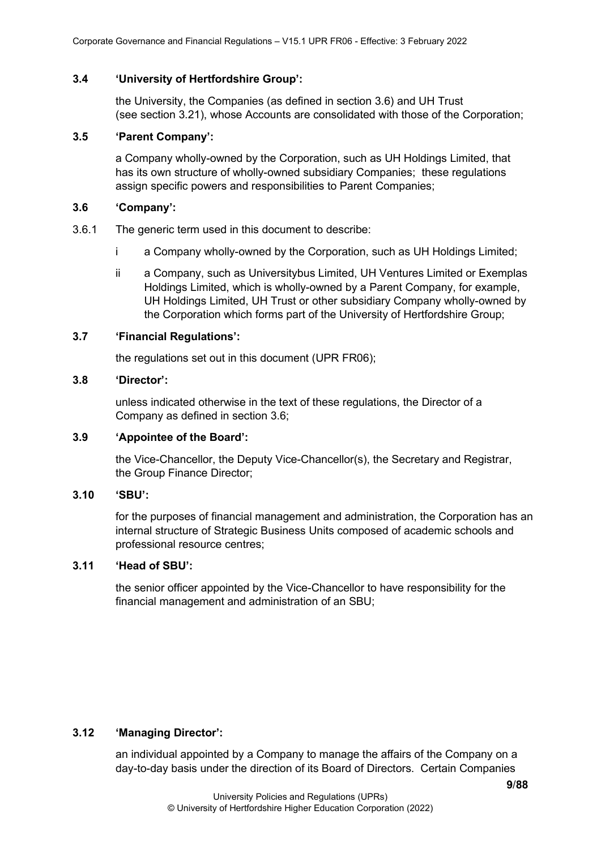#### <span id="page-8-0"></span>**3.4 'University of Hertfordshire Group':**

the University, the Companies (as defined in section 3.6) and UH Trust (see section 3.21), whose Accounts are consolidated with those of the Corporation;

#### <span id="page-8-1"></span>**3.5 'Parent Company':**

a Company wholly-owned by the Corporation, such as UH Holdings Limited, that has its own structure of wholly-owned subsidiary Companies; these regulations assign specific powers and responsibilities to Parent Companies;

#### <span id="page-8-2"></span>**3.6 'Company':**

- 3.6.1 The generic term used in this document to describe:
	- i a Company wholly-owned by the Corporation, such as UH Holdings Limited;
	- ii a Company, such as Universitybus Limited, UH Ventures Limited or Exemplas Holdings Limited, which is wholly-owned by a Parent Company, for example, UH Holdings Limited, UH Trust or other subsidiary Company wholly-owned by the Corporation which forms part of the University of Hertfordshire Group;

### <span id="page-8-3"></span>**3.7 'Financial Regulations':**

the regulations set out in this document (UPR FR06);

#### <span id="page-8-4"></span>**3.8 'Director':**

unless indicated otherwise in the text of these regulations, the Director of a Company as defined in section 3.6;

#### <span id="page-8-5"></span>**3.9 'Appointee of the Board':**

the Vice-Chancellor, the Deputy Vice-Chancellor(s), the Secretary and Registrar, the Group Finance Director;

#### <span id="page-8-6"></span>**3.10 'SBU':**

for the purposes of financial management and administration, the Corporation has an internal structure of Strategic Business Units composed of academic schools and professional resource centres;

## <span id="page-8-7"></span>**3.11 'Head of SBU':**

the senior officer appointed by the Vice-Chancellor to have responsibility for the financial management and administration of an SBU;

### <span id="page-8-8"></span>**3.12 'Managing Director':**

an individual appointed by a Company to manage the affairs of the Company on a day-to-day basis under the direction of its Board of Directors. Certain Companies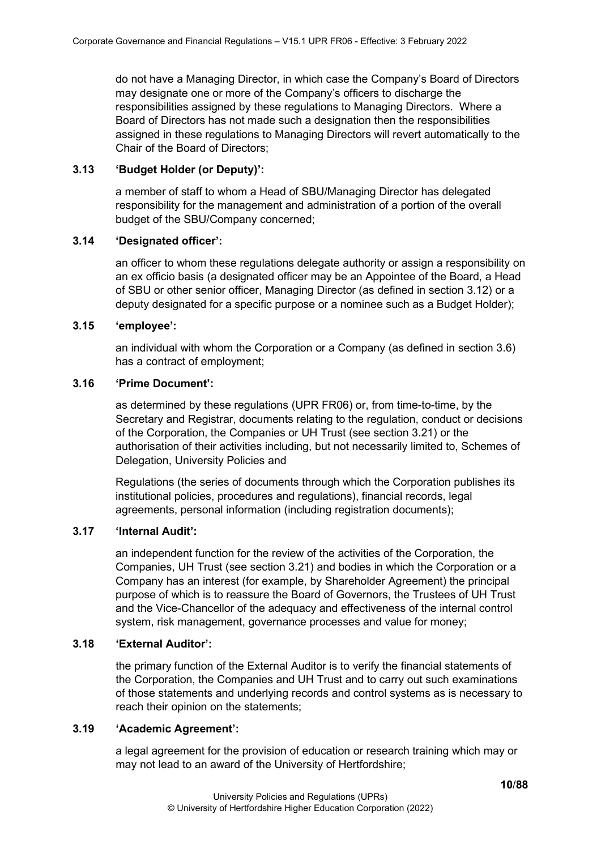do not have a Managing Director, in which case the Company's Board of Directors may designate one or more of the Company's officers to discharge the responsibilities assigned by these regulations to Managing Directors. Where a Board of Directors has not made such a designation then the responsibilities assigned in these regulations to Managing Directors will revert automatically to the Chair of the Board of Directors;

### <span id="page-9-0"></span>**3.13 'Budget Holder (or Deputy)':**

a member of staff to whom a Head of SBU/Managing Director has delegated responsibility for the management and administration of a portion of the overall budget of the SBU/Company concerned;

### <span id="page-9-1"></span>**3.14 'Designated officer':**

an officer to whom these regulations delegate authority or assign a responsibility on an ex officio basis (a designated officer may be an Appointee of the Board, a Head of SBU or other senior officer, Managing Director (as defined in section 3.12) or a deputy designated for a specific purpose or a nominee such as a Budget Holder);

## <span id="page-9-2"></span>**3.15 'employee':**

an individual with whom the Corporation or a Company (as defined in section 3.6) has a contract of employment;

### <span id="page-9-3"></span>**3.16 'Prime Document':**

as determined by these regulations (UPR FR06) or, from time-to-time, by the Secretary and Registrar, documents relating to the regulation, conduct or decisions of the Corporation, the Companies or UH Trust (see section 3.21) or the authorisation of their activities including, but not necessarily limited to, Schemes of Delegation, University Policies and

Regulations (the series of documents through which the Corporation publishes its institutional policies, procedures and regulations), financial records, legal agreements, personal information (including registration documents);

### <span id="page-9-4"></span>**3.17 'Internal Audit':**

an independent function for the review of the activities of the Corporation, the Companies, UH Trust (see section 3.21) and bodies in which the Corporation or a Company has an interest (for example, by Shareholder Agreement) the principal purpose of which is to reassure the Board of Governors, the Trustees of UH Trust and the Vice-Chancellor of the adequacy and effectiveness of the internal control system, risk management, governance processes and value for money;

### <span id="page-9-5"></span>**3.18 'External Auditor':**

the primary function of the External Auditor is to verify the financial statements of the Corporation, the Companies and UH Trust and to carry out such examinations of those statements and underlying records and control systems as is necessary to reach their opinion on the statements;

### <span id="page-9-6"></span>**3.19 'Academic Agreement':**

a legal agreement for the provision of education or research training which may or may not lead to an award of the University of Hertfordshire;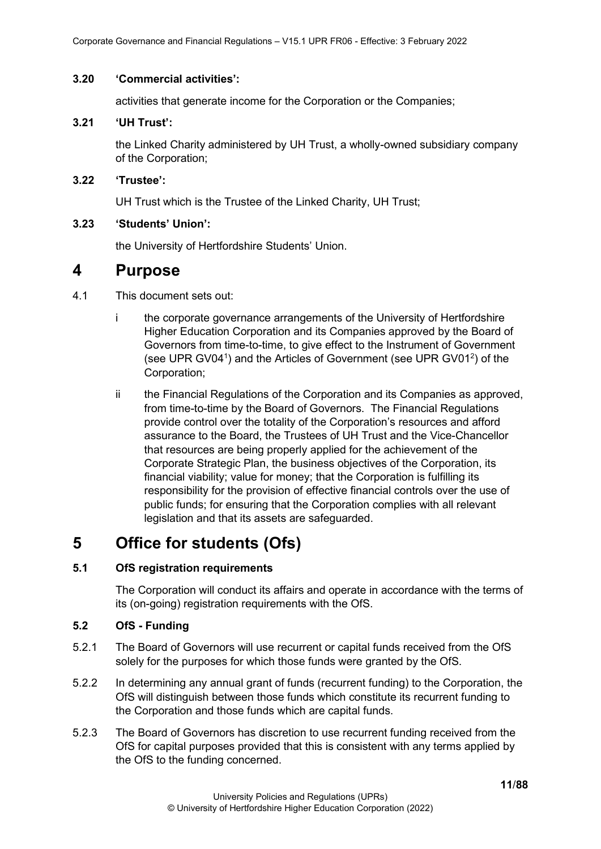#### <span id="page-10-0"></span>**3.20 'Commercial activities':**

activities that generate income for the Corporation or the Companies;

## <span id="page-10-1"></span>**3.21 'UH Trust':**

the Linked Charity administered by UH Trust, a wholly-owned subsidiary company of the Corporation;

### <span id="page-10-2"></span>**3.22 'Trustee':**

UH Trust which is the Trustee of the Linked Charity, UH Trust;

## <span id="page-10-3"></span>**3.23 'Students' Union':**

the University of Hertfordshire Students' Union.

# <span id="page-10-4"></span>**4 Purpose**

- 4.1 This document sets out:
	- i the corporate governance arrangements of the University of Hertfordshire Higher Education Corporation and its Companies approved by the Board of Governors from time-to-time, to give effect to the Instrument of Government (see UPR GV04<sup>1</sup>) and the Articles of Government (see UPR GV01<sup>2</sup>) of the Corporation;
	- ii the Financial Regulations of the Corporation and its Companies as approved, from time-to-time by the Board of Governors. The Financial Regulations provide control over the totality of the Corporation's resources and afford assurance to the Board, the Trustees of UH Trust and the Vice-Chancellor that resources are being properly applied for the achievement of the Corporate Strategic Plan, the business objectives of the Corporation, its financial viability; value for money; that the Corporation is fulfilling its responsibility for the provision of effective financial controls over the use of public funds; for ensuring that the Corporation complies with all relevant legislation and that its assets are safeguarded.

# <span id="page-10-5"></span>**5 Office for students (Ofs)**

## <span id="page-10-6"></span>**5.1 OfS registration requirements**

The Corporation will conduct its affairs and operate in accordance with the terms of its (on-going) registration requirements with the OfS.

## <span id="page-10-7"></span>**5.2 OfS - Funding**

- 5.2.1 The Board of Governors will use recurrent or capital funds received from the OfS solely for the purposes for which those funds were granted by the OfS.
- 5.2.2 In determining any annual grant of funds (recurrent funding) to the Corporation, the OfS will distinguish between those funds which constitute its recurrent funding to the Corporation and those funds which are capital funds.
- 5.2.3 The Board of Governors has discretion to use recurrent funding received from the OfS for capital purposes provided that this is consistent with any terms applied by the OfS to the funding concerned.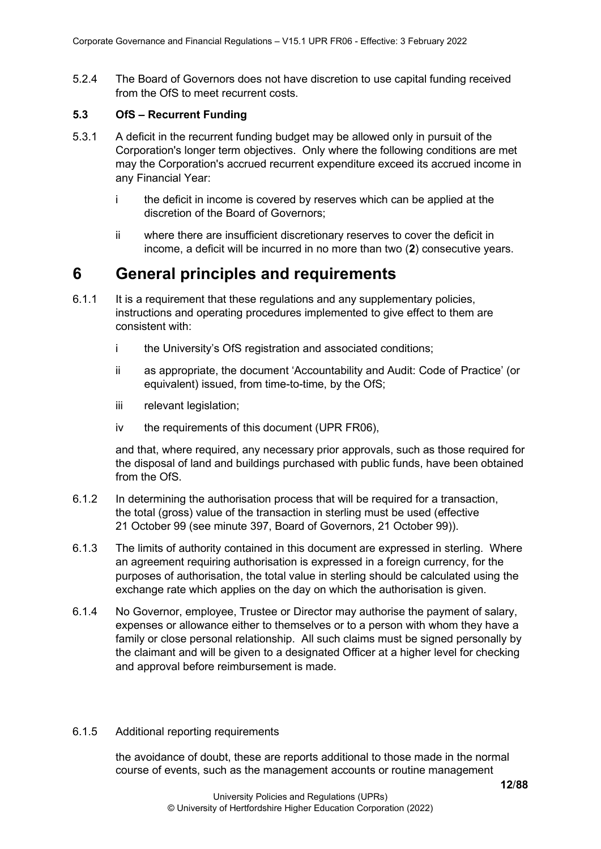5.2.4 The Board of Governors does not have discretion to use capital funding received from the OfS to meet recurrent costs.

#### <span id="page-11-0"></span>**5.3 OfS – Recurrent Funding**

- 5.3.1 A deficit in the recurrent funding budget may be allowed only in pursuit of the Corporation's longer term objectives. Only where the following conditions are met may the Corporation's accrued recurrent expenditure exceed its accrued income in any Financial Year:
	- i the deficit in income is covered by reserves which can be applied at the discretion of the Board of Governors;
	- ii where there are insufficient discretionary reserves to cover the deficit in income, a deficit will be incurred in no more than two (**2**) consecutive years.

# <span id="page-11-1"></span>**6 General principles and requirements**

- 6.1.1 It is a requirement that these regulations and any supplementary policies, instructions and operating procedures implemented to give effect to them are consistent with:
	- i the University's OfS registration and associated conditions;
	- ii as appropriate, the document 'Accountability and Audit: Code of Practice' (or equivalent) issued, from time-to-time, by the OfS;
	- iii relevant legislation;
	- iv the requirements of this document (UPR FR06),

and that, where required, any necessary prior approvals, such as those required for the disposal of land and buildings purchased with public funds, have been obtained from the OfS.

- 6.1.2 In determining the authorisation process that will be required for a transaction, the total (gross) value of the transaction in sterling must be used (effective 21 October 99 (see minute 397, Board of Governors, 21 October 99)).
- 6.1.3 The limits of authority contained in this document are expressed in sterling. Where an agreement requiring authorisation is expressed in a foreign currency, for the purposes of authorisation, the total value in sterling should be calculated using the exchange rate which applies on the day on which the authorisation is given.
- 6.1.4 No Governor, employee, Trustee or Director may authorise the payment of salary, expenses or allowance either to themselves or to a person with whom they have a family or close personal relationship. All such claims must be signed personally by the claimant and will be given to a designated Officer at a higher level for checking and approval before reimbursement is made.

#### <span id="page-11-2"></span>6.1.5 Additional reporting requirements

the avoidance of doubt, these are reports additional to those made in the normal course of events, such as the management accounts or routine management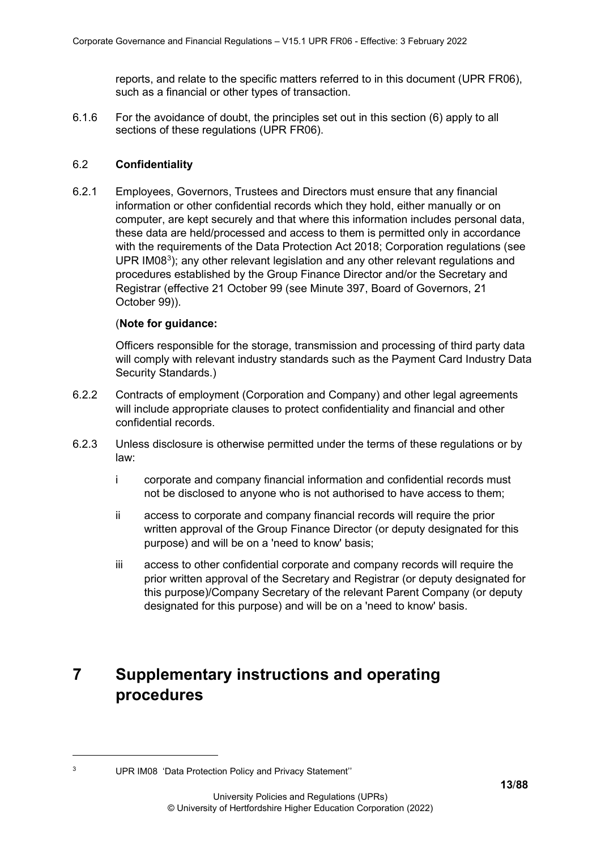reports, and relate to the specific matters referred to in this document (UPR FR06), such as a financial or other types of transaction.

<span id="page-12-0"></span>6.1.6 For the avoidance of doubt, the principles set out in this section (6) apply to all sections of these regulations (UPR FR06).

#### <span id="page-12-1"></span>6.2 **Confidentiality**

6.2.1 Employees, Governors, Trustees and Directors must ensure that any financial information or other confidential records which they hold, either manually or on computer, are kept securely and that where this information includes personal data, these data are held/processed and access to them is permitted only in accordance with the requirements of the Data Protection Act 2018; Corporation regulations (see UPR IM08<sup>[3](#page-12-3)</sup>); any other relevant legislation and any other relevant regulations and procedures established by the Group Finance Director and/or the Secretary and Registrar (effective 21 October 99 (see Minute 397, Board of Governors, 21 October 99)).

#### (**Note for guidance:**

Officers responsible for the storage, transmission and processing of third party data will comply with relevant industry standards such as the Payment Card Industry Data Security Standards.)

- 6.2.2 Contracts of employment (Corporation and Company) and other legal agreements will include appropriate clauses to protect confidentiality and financial and other confidential records.
- 6.2.3 Unless disclosure is otherwise permitted under the terms of these regulations or by law:
	- i corporate and company financial information and confidential records must not be disclosed to anyone who is not authorised to have access to them;
	- ii access to corporate and company financial records will require the prior written approval of the Group Finance Director (or deputy designated for this purpose) and will be on a 'need to know' basis;
	- iii access to other confidential corporate and company records will require the prior written approval of the Secretary and Registrar (or deputy designated for this purpose)/Company Secretary of the relevant Parent Company (or deputy designated for this purpose) and will be on a 'need to know' basis.

# <span id="page-12-2"></span>**7 Supplementary instructions and operating procedures**

<span id="page-12-3"></span><sup>3</sup> UPR IM08 'Data Protection Policy and Privacy Statement''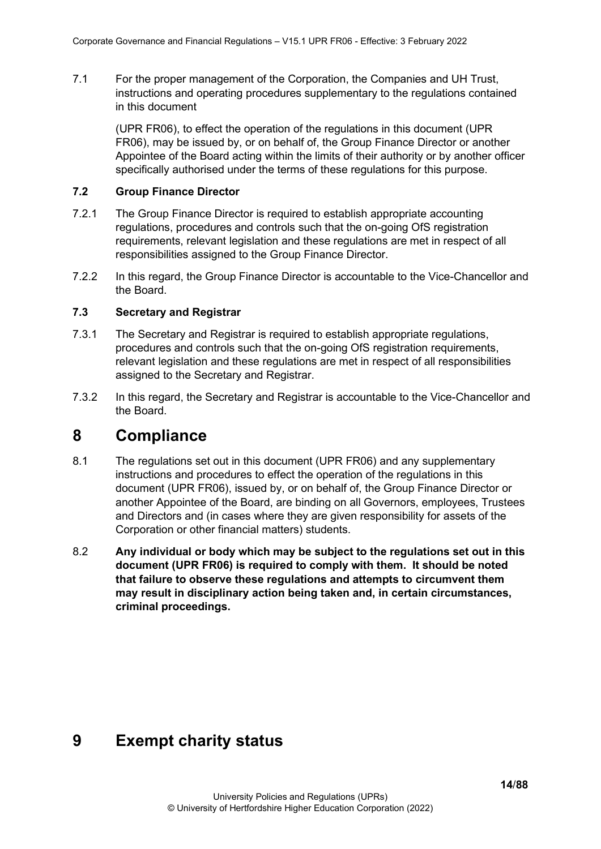7.1 For the proper management of the Corporation, the Companies and UH Trust, instructions and operating procedures supplementary to the regulations contained in this document

(UPR FR06), to effect the operation of the regulations in this document (UPR FR06), may be issued by, or on behalf of, the Group Finance Director or another Appointee of the Board acting within the limits of their authority or by another officer specifically authorised under the terms of these regulations for this purpose.

#### <span id="page-13-0"></span>**7.2 Group Finance Director**

- 7.2.1 The Group Finance Director is required to establish appropriate accounting regulations, procedures and controls such that the on-going OfS registration requirements, relevant legislation and these regulations are met in respect of all responsibilities assigned to the Group Finance Director.
- 7.2.2 In this regard, the Group Finance Director is accountable to the Vice-Chancellor and the Board.

#### <span id="page-13-1"></span>**7.3 Secretary and Registrar**

- 7.3.1 The Secretary and Registrar is required to establish appropriate regulations, procedures and controls such that the on-going OfS registration requirements, relevant legislation and these regulations are met in respect of all responsibilities assigned to the Secretary and Registrar.
- 7.3.2 In this regard, the Secretary and Registrar is accountable to the Vice-Chancellor and the Board.

# <span id="page-13-2"></span>**8 Compliance**

- 8.1 The regulations set out in this document (UPR FR06) and any supplementary instructions and procedures to effect the operation of the regulations in this document (UPR FR06), issued by, or on behalf of, the Group Finance Director or another Appointee of the Board, are binding on all Governors, employees, Trustees and Directors and (in cases where they are given responsibility for assets of the Corporation or other financial matters) students.
- 8.2 **Any individual or body which may be subject to the regulations set out in this document (UPR FR06) is required to comply with them. It should be noted that failure to observe these regulations and attempts to circumvent them may result in disciplinary action being taken and, in certain circumstances, criminal proceedings.**

# <span id="page-13-3"></span>**9 Exempt charity status**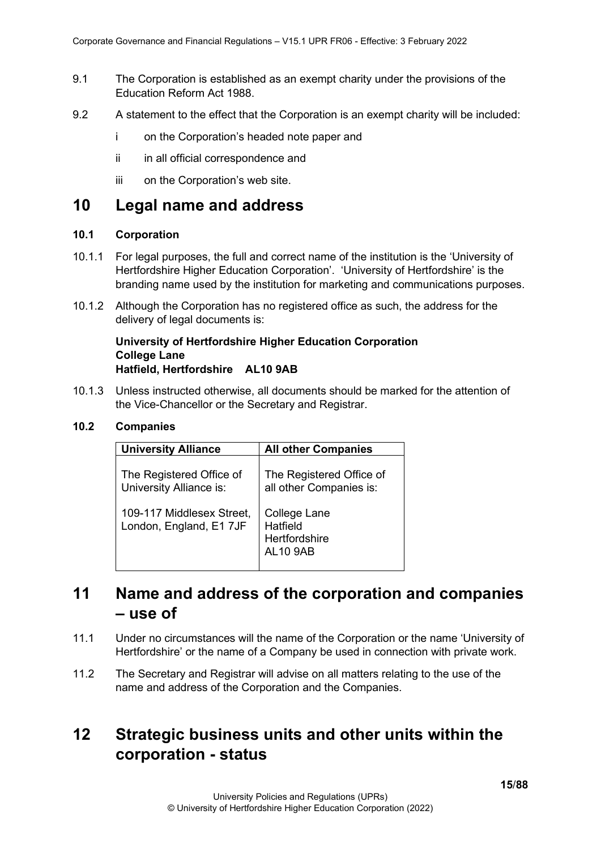- 9.1 The Corporation is established as an exempt charity under the provisions of the Education Reform Act 1988.
- 9.2 A statement to the effect that the Corporation is an exempt charity will be included:
	- i on the Corporation's headed note paper and
	- ii in all official correspondence and
	- iii on the Corporation's web site.

# <span id="page-14-0"></span>**10 Legal name and address**

### <span id="page-14-1"></span>**10.1 Corporation**

- 10.1.1 For legal purposes, the full and correct name of the institution is the 'University of Hertfordshire Higher Education Corporation'. 'University of Hertfordshire' is the branding name used by the institution for marketing and communications purposes.
- 10.1.2 Although the Corporation has no registered office as such, the address for the delivery of legal documents is:

#### **University of Hertfordshire Higher Education Corporation College Lane Hatfield, Hertfordshire AL10 9AB**

10.1.3 Unless instructed otherwise, all documents should be marked for the attention of the Vice-Chancellor or the Secretary and Registrar.

#### <span id="page-14-2"></span>**10.2 Companies**

| <b>University Alliance</b>                           | <b>All other Companies</b>                                   |
|------------------------------------------------------|--------------------------------------------------------------|
| The Registered Office of<br>University Alliance is:  | The Registered Office of<br>all other Companies is:          |
| 109-117 Middlesex Street,<br>London, England, E1 7JF | College Lane<br>Hatfield<br>Hertfordshire<br><b>AL10 9AB</b> |

# <span id="page-14-3"></span>**11 Name and address of the corporation and companies – use of**

- 11.1 Under no circumstances will the name of the Corporation or the name 'University of Hertfordshire' or the name of a Company be used in connection with private work.
- 11.2 The Secretary and Registrar will advise on all matters relating to the use of the name and address of the Corporation and the Companies.

# <span id="page-14-4"></span>**12 Strategic business units and other units within the corporation - status**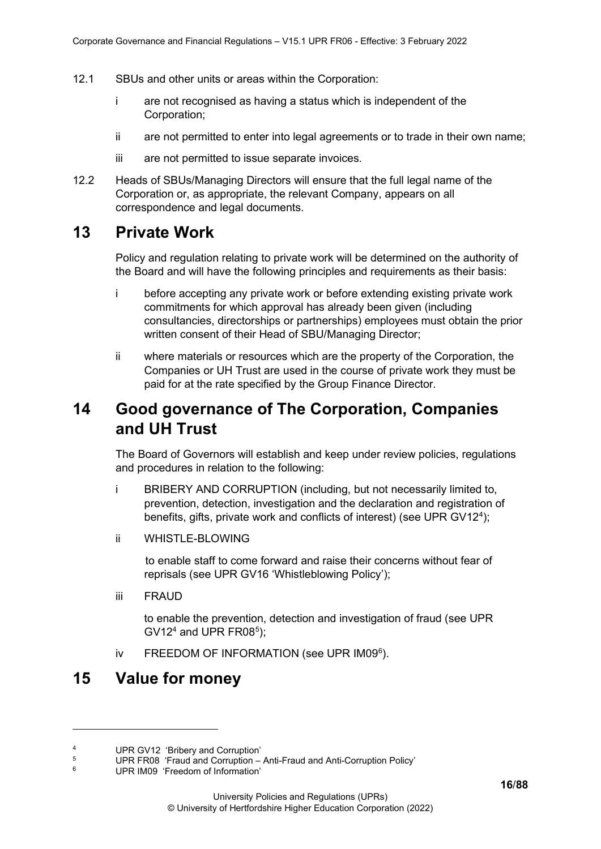- 12.1 SBUs and other units or areas within the Corporation:
	- i are not recognised as having a status which is independent of the Corporation;
	- ii are not permitted to enter into legal agreements or to trade in their own name;
	- iii are not permitted to issue separate invoices.
- 12.2 Heads of SBUs/Managing Directors will ensure that the full legal name of the Corporation or, as appropriate, the relevant Company, appears on all correspondence and legal documents.

# <span id="page-15-0"></span>**13 Private Work**

Policy and regulation relating to private work will be determined on the authority of the Board and will have the following principles and requirements as their basis:

- i before accepting any private work or before extending existing private work commitments for which approval has already been given (including consultancies, directorships or partnerships) employees must obtain the prior written consent of their Head of SBU/Managing Director;
- ii where materials or resources which are the property of the Corporation, the Companies or UH Trust are used in the course of private work they must be paid for at the rate specified by the Group Finance Director.

# <span id="page-15-1"></span>**14 Good governance of The Corporation, Companies and UH Trust**

The Board of Governors will establish and keep under review policies, regulations and procedures in relation to the following:

- i BRIBERY AND CORRUPTION (including, but not necessarily limited to, prevention, detection, investigation and the declaration and registration of benefits, gifts, private work and conflicts of interest) (see UPR GV12[4](#page-15-3) );
- ii WHISTLE-BLOWING

to enable staff to come forward and raise their concerns without fear of reprisals (see UPR GV16 'Whistleblowing Policy');

iii FRAUD

to enable the prevention, detection and investigation of fraud (see UPR  $GV12<sup>4</sup>$  and UPR FR08<sup>[5](#page-15-4)</sup>);

iv FREEDOM OF INFORMATION (see UPR IM09<sup>[6](#page-15-5)</sup>).

# <span id="page-15-2"></span>**15 Value for money**

<span id="page-15-3"></span><sup>&</sup>lt;sup>4</sup> UPR GV12 'Bribery and Corruption'

<span id="page-15-4"></span><sup>&</sup>lt;sup>5</sup><br>UPR FR08 'Fraud and Corruption – Anti-Fraud and Anti-Corruption Policy'<br>B

<span id="page-15-5"></span>UPR IM09 'Freedom of Information'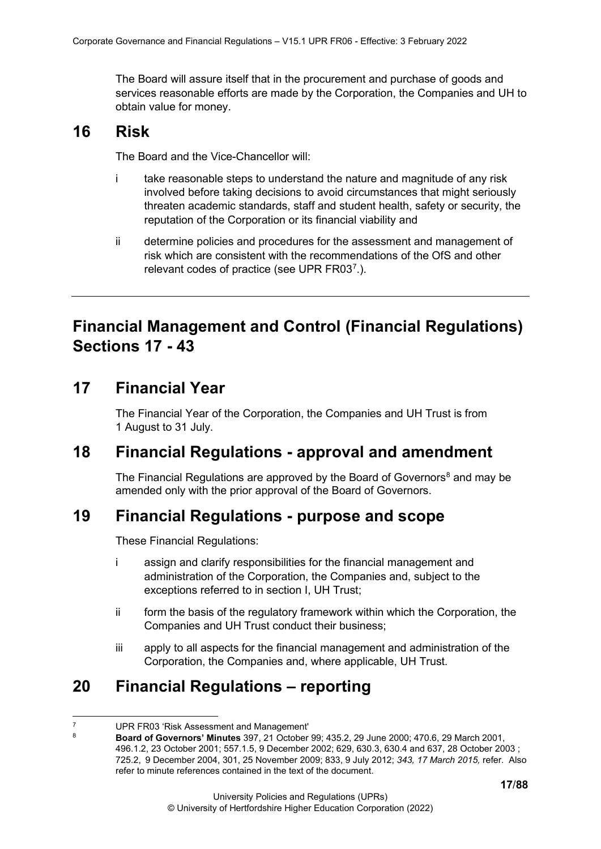The Board will assure itself that in the procurement and purchase of goods and services reasonable efforts are made by the Corporation, the Companies and UH to obtain value for money.

# <span id="page-16-0"></span>**16 Risk**

The Board and the Vice-Chancellor will:

- i take reasonable steps to understand the nature and magnitude of any risk involved before taking decisions to avoid circumstances that might seriously threaten academic standards, staff and student health, safety or security, the reputation of the Corporation or its financial viability and
- ii determine policies and procedures for the assessment and management of risk which are consistent with the recommendations of the OfS and other relevant codes of practice (see UPR FR03[7](#page-16-6).).

# <span id="page-16-1"></span>**Financial Management and Control (Financial Regulations) Sections 17 - 43**

# <span id="page-16-2"></span>**17 Financial Year**

The Financial Year of the Corporation, the Companies and UH Trust is from 1 August to 31 July.

# <span id="page-16-3"></span>**18 Financial Regulations - approval and amendment**

The Financial Regulations are approved by the Board of Governors<sup>[8](#page-16-7)</sup> and may be amended only with the prior approval of the Board of Governors.

# <span id="page-16-4"></span>**19 Financial Regulations - purpose and scope**

These Financial Regulations:

- i assign and clarify responsibilities for the financial management and administration of the Corporation, the Companies and, subject to the exceptions referred to in section I, UH Trust;
- ii form the basis of the regulatory framework within which the Corporation, the Companies and UH Trust conduct their business;
- iii apply to all aspects for the financial management and administration of the Corporation, the Companies and, where applicable, UH Trust.

# <span id="page-16-5"></span>**20 Financial Regulations – reporting**

<span id="page-16-7"></span><span id="page-16-6"></span><sup>&</sup>lt;sup>7</sup> UPR FR03 'Risk Assessment and Management'<br><sup>8</sup> **Board of Governors' Minutes** 307, 21 October

<sup>8</sup> **Board of Governors' Minutes** 397, 21 October 99; 435.2, 29 June 2000; 470.6, 29 March 2001, 496.1.2, 23 October 2001; 557.1.5, 9 December 2002; 629, 630.3, 630.4 and 637, 28 October 2003 ; 725.2, 9 December 2004, 301, 25 November 2009; 833, 9 July 2012; *343, 17 March 2015,* refer. Also refer to minute references contained in the text of the document.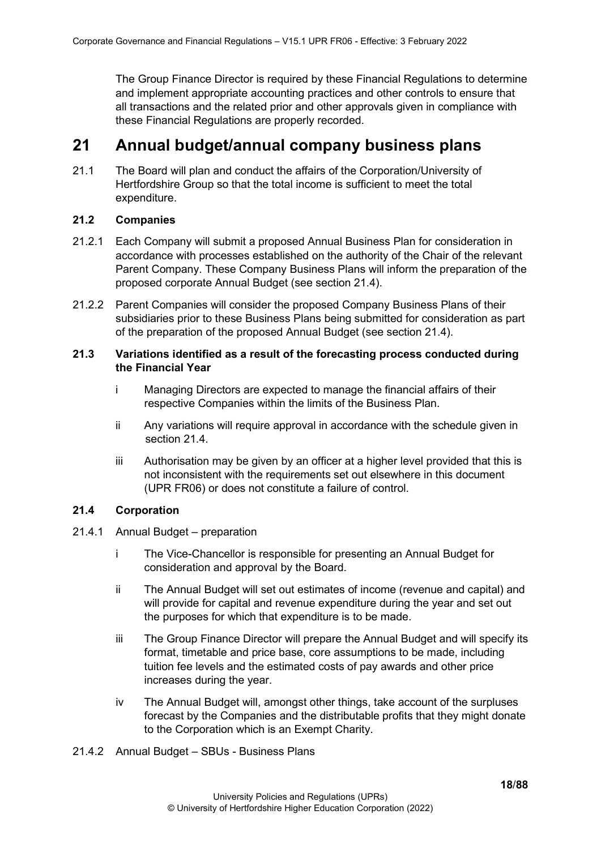The Group Finance Director is required by these Financial Regulations to determine and implement appropriate accounting practices and other controls to ensure that all transactions and the related prior and other approvals given in compliance with these Financial Regulations are properly recorded.

# <span id="page-17-0"></span>**21 Annual budget/annual company business plans**

21.1 The Board will plan and conduct the affairs of the Corporation/University of Hertfordshire Group so that the total income is sufficient to meet the total expenditure.

#### <span id="page-17-1"></span>**21.2 Companies**

- 21.2.1 Each Company will submit a proposed Annual Business Plan for consideration in accordance with processes established on the authority of the Chair of the relevant Parent Company. These Company Business Plans will inform the preparation of the proposed corporate Annual Budget (see section 21.4).
- 21.2.2 Parent Companies will consider the proposed Company Business Plans of their subsidiaries prior to these Business Plans being submitted for consideration as part of the preparation of the proposed Annual Budget (see section 21.4).

#### <span id="page-17-2"></span>**21.3 Variations identified as a result of the forecasting process conducted during the Financial Year**

- i Managing Directors are expected to manage the financial affairs of their respective Companies within the limits of the Business Plan.
- ii Any variations will require approval in accordance with the schedule given in section 21.4.
- iii Authorisation may be given by an officer at a higher level provided that this is not inconsistent with the requirements set out elsewhere in this document (UPR FR06) or does not constitute a failure of control.

### <span id="page-17-3"></span>**21.4 Corporation**

- <span id="page-17-4"></span>21.4.1 Annual Budget – preparation
	- i The Vice-Chancellor is responsible for presenting an Annual Budget for consideration and approval by the Board.
	- ii The Annual Budget will set out estimates of income (revenue and capital) and will provide for capital and revenue expenditure during the year and set out the purposes for which that expenditure is to be made.
	- iii The Group Finance Director will prepare the Annual Budget and will specify its format, timetable and price base, core assumptions to be made, including tuition fee levels and the estimated costs of pay awards and other price increases during the year.
	- iv The Annual Budget will, amongst other things, take account of the surpluses forecast by the Companies and the distributable profits that they might donate to the Corporation which is an Exempt Charity.
- <span id="page-17-5"></span>21.4.2 Annual Budget – SBUs - Business Plans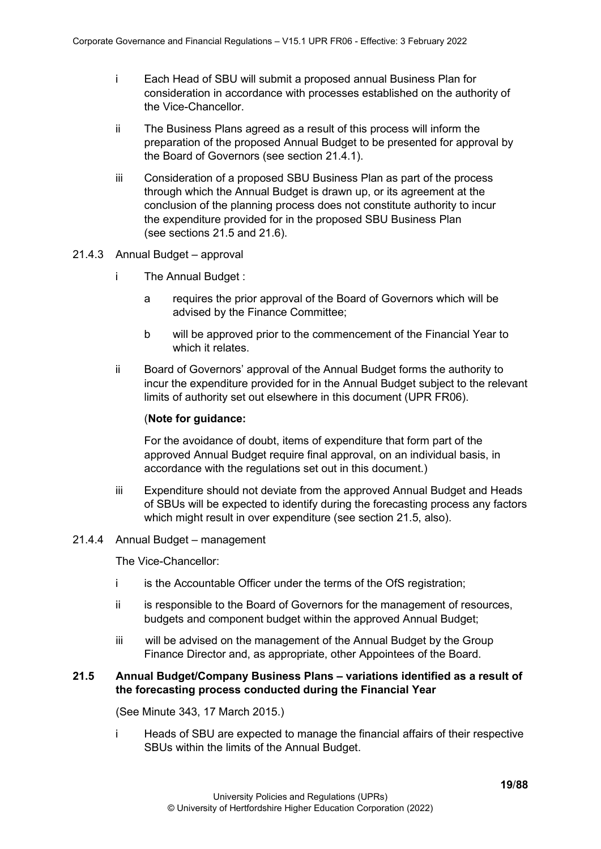- i Each Head of SBU will submit a proposed annual Business Plan for consideration in accordance with processes established on the authority of the Vice-Chancellor.
- ii The Business Plans agreed as a result of this process will inform the preparation of the proposed Annual Budget to be presented for approval by the Board of Governors (see section 21.4.1).
- iii Consideration of a proposed SBU Business Plan as part of the process through which the Annual Budget is drawn up, or its agreement at the conclusion of the planning process does not constitute authority to incur the expenditure provided for in the proposed SBU Business Plan (see sections 21.5 and 21.6).
- <span id="page-18-0"></span>21.4.3 Annual Budget – approval
	- i The Annual Budget :
		- a requires the prior approval of the Board of Governors which will be advised by the Finance Committee;
		- b will be approved prior to the commencement of the Financial Year to which it relates.
	- ii Board of Governors' approval of the Annual Budget forms the authority to incur the expenditure provided for in the Annual Budget subject to the relevant limits of authority set out elsewhere in this document (UPR FR06).

#### (**Note for guidance:**

For the avoidance of doubt, items of expenditure that form part of the approved Annual Budget require final approval, on an individual basis, in accordance with the regulations set out in this document.)

iii Expenditure should not deviate from the approved Annual Budget and Heads of SBUs will be expected to identify during the forecasting process any factors which might result in over expenditure (see section 21.5, also).

#### <span id="page-18-1"></span>21.4.4 Annual Budget – management

The Vice-Chancellor:

- i is the Accountable Officer under the terms of the OfS registration;
- ii is responsible to the Board of Governors for the management of resources, budgets and component budget within the approved Annual Budget;
- iii will be advised on the management of the Annual Budget by the Group Finance Director and, as appropriate, other Appointees of the Board.

#### <span id="page-18-2"></span>**21.5 Annual Budget/Company Business Plans – variations identified as a result of the forecasting process conducted during the Financial Year**

(See Minute 343, 17 March 2015.)

i Heads of SBU are expected to manage the financial affairs of their respective SBUs within the limits of the Annual Budget.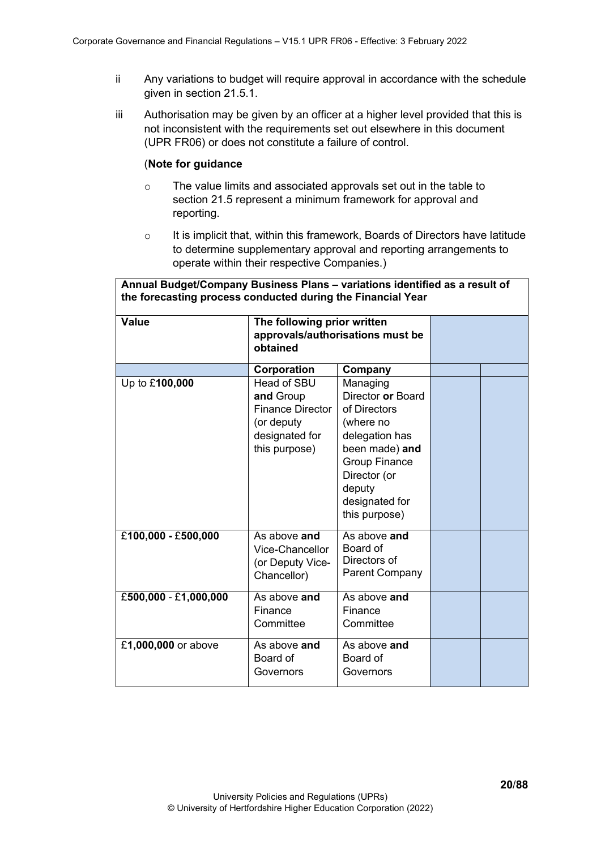- ii Any variations to budget will require approval in accordance with the schedule given in section 21.5.1.
- iii Authorisation may be given by an officer at a higher level provided that this is not inconsistent with the requirements set out elsewhere in this document (UPR FR06) or does not constitute a failure of control.

#### (**Note for guidance**

- o The value limits and associated approvals set out in the table to section 21.5 represent a minimum framework for approval and reporting.
- o It is implicit that, within this framework, Boards of Directors have latitude to determine supplementary approval and reporting arrangements to operate within their respective Companies.)

| Annual Budget/Company Business Plans - variations identified as a result of<br>the forecasting process conducted during the Financial Year |                                                                                                      |                                                                                                                                                                                     |  |  |  |
|--------------------------------------------------------------------------------------------------------------------------------------------|------------------------------------------------------------------------------------------------------|-------------------------------------------------------------------------------------------------------------------------------------------------------------------------------------|--|--|--|
| <b>Value</b>                                                                                                                               | The following prior written<br>approvals/authorisations must be<br>obtained                          |                                                                                                                                                                                     |  |  |  |
|                                                                                                                                            | Corporation                                                                                          | Company                                                                                                                                                                             |  |  |  |
| Up to £100,000                                                                                                                             | Head of SBU<br>and Group<br><b>Finance Director</b><br>(or deputy<br>designated for<br>this purpose) | Managing<br>Director or Board<br>of Directors<br>(where no<br>delegation has<br>been made) and<br><b>Group Finance</b><br>Director (or<br>deputy<br>designated for<br>this purpose) |  |  |  |
| £100,000 - £500,000                                                                                                                        | As above and<br>Vice-Chancellor<br>(or Deputy Vice-<br>Chancellor)                                   | As above and<br>Board of<br>Directors of<br><b>Parent Company</b>                                                                                                                   |  |  |  |
| £500,000 - £1,000,000                                                                                                                      | As above and<br>Finance<br>Committee                                                                 | As above and<br>Finance<br>Committee                                                                                                                                                |  |  |  |
| £1,000,000 or above                                                                                                                        | As above and<br>Board of<br>Governors                                                                | As above and<br>Board of<br>Governors                                                                                                                                               |  |  |  |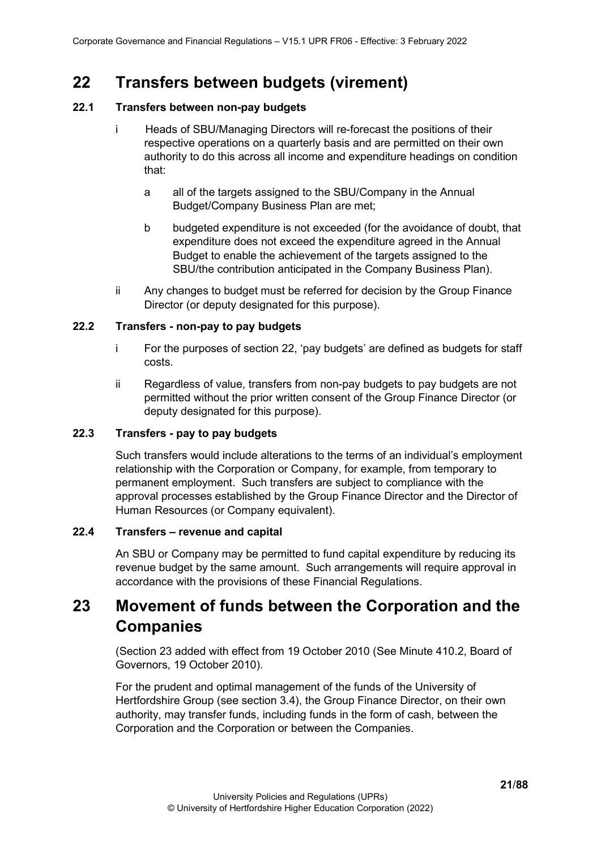# <span id="page-20-0"></span>**22 Transfers between budgets (virement)**

## <span id="page-20-1"></span>**22.1 Transfers between non-pay budgets**

- i Heads of SBU/Managing Directors will re-forecast the positions of their respective operations on a quarterly basis and are permitted on their own authority to do this across all income and expenditure headings on condition that:
	- a all of the targets assigned to the SBU/Company in the Annual Budget/Company Business Plan are met;
	- b budgeted expenditure is not exceeded (for the avoidance of doubt, that expenditure does not exceed the expenditure agreed in the Annual Budget to enable the achievement of the targets assigned to the SBU/the contribution anticipated in the Company Business Plan).
- ii Any changes to budget must be referred for decision by the Group Finance Director (or deputy designated for this purpose).

## <span id="page-20-2"></span>**22.2 Transfers - non-pay to pay budgets**

- i For the purposes of section 22, 'pay budgets' are defined as budgets for staff costs.
- ii Regardless of value, transfers from non-pay budgets to pay budgets are not permitted without the prior written consent of the Group Finance Director (or deputy designated for this purpose).

### <span id="page-20-3"></span>**22.3 Transfers - pay to pay budgets**

Such transfers would include alterations to the terms of an individual's employment relationship with the Corporation or Company, for example, from temporary to permanent employment. Such transfers are subject to compliance with the approval processes established by the Group Finance Director and the Director of Human Resources (or Company equivalent).

### <span id="page-20-4"></span>**22.4 Transfers – revenue and capital**

An SBU or Company may be permitted to fund capital expenditure by reducing its revenue budget by the same amount. Such arrangements will require approval in accordance with the provisions of these Financial Regulations.

# <span id="page-20-5"></span>**23 Movement of funds between the Corporation and the Companies**

(Section 23 added with effect from 19 October 2010 (See Minute 410.2, Board of Governors, 19 October 2010).

For the prudent and optimal management of the funds of the University of Hertfordshire Group (see section 3.4), the Group Finance Director, on their own authority, may transfer funds, including funds in the form of cash, between the Corporation and the Corporation or between the Companies.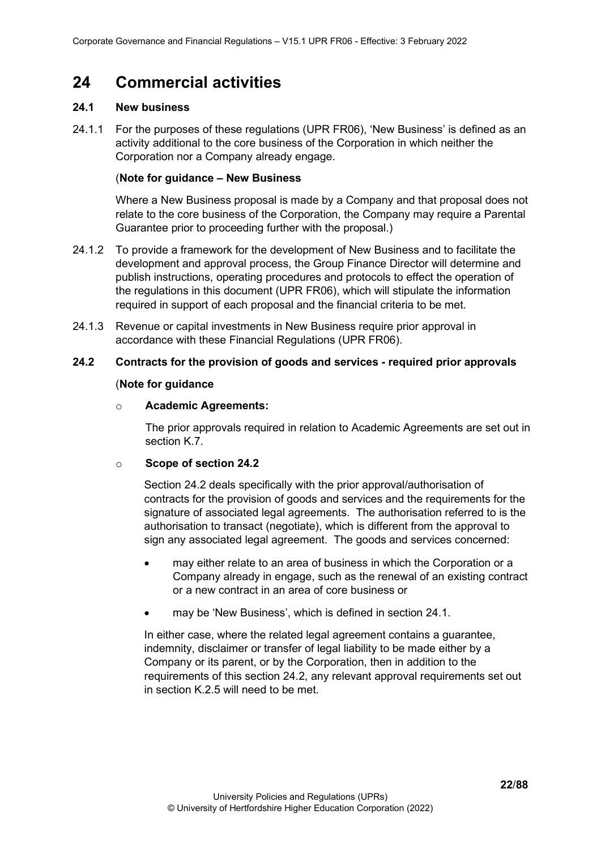# <span id="page-21-0"></span>**24 Commercial activities**

## <span id="page-21-1"></span>**24.1 New business**

24.1.1 For the purposes of these regulations (UPR FR06), 'New Business' is defined as an activity additional to the core business of the Corporation in which neither the Corporation nor a Company already engage.

#### (**Note for guidance – New Business**

Where a New Business proposal is made by a Company and that proposal does not relate to the core business of the Corporation, the Company may require a Parental Guarantee prior to proceeding further with the proposal.)

- 24.1.2 To provide a framework for the development of New Business and to facilitate the development and approval process, the Group Finance Director will determine and publish instructions, operating procedures and protocols to effect the operation of the regulations in this document (UPR FR06), which will stipulate the information required in support of each proposal and the financial criteria to be met.
- 24.1.3 Revenue or capital investments in New Business require prior approval in accordance with these Financial Regulations (UPR FR06).

## <span id="page-21-2"></span>**24.2 Contracts for the provision of goods and services - required prior approvals**

### (**Note for guidance**

#### o **Academic Agreements:**

The prior approvals required in relation to Academic Agreements are set out in section K.7.

### o **Scope of section 24.2**

Section 24.2 deals specifically with the prior approval/authorisation of contracts for the provision of goods and services and the requirements for the signature of associated legal agreements. The authorisation referred to is the authorisation to transact (negotiate), which is different from the approval to sign any associated legal agreement. The goods and services concerned:

- may either relate to an area of business in which the Corporation or a Company already in engage, such as the renewal of an existing contract or a new contract in an area of core business or
- may be 'New Business', which is defined in section 24.1.

In either case, where the related legal agreement contains a guarantee, indemnity, disclaimer or transfer of legal liability to be made either by a Company or its parent, or by the Corporation, then in addition to the requirements of this section 24.2, any relevant approval requirements set out in section K.2.5 will need to be met.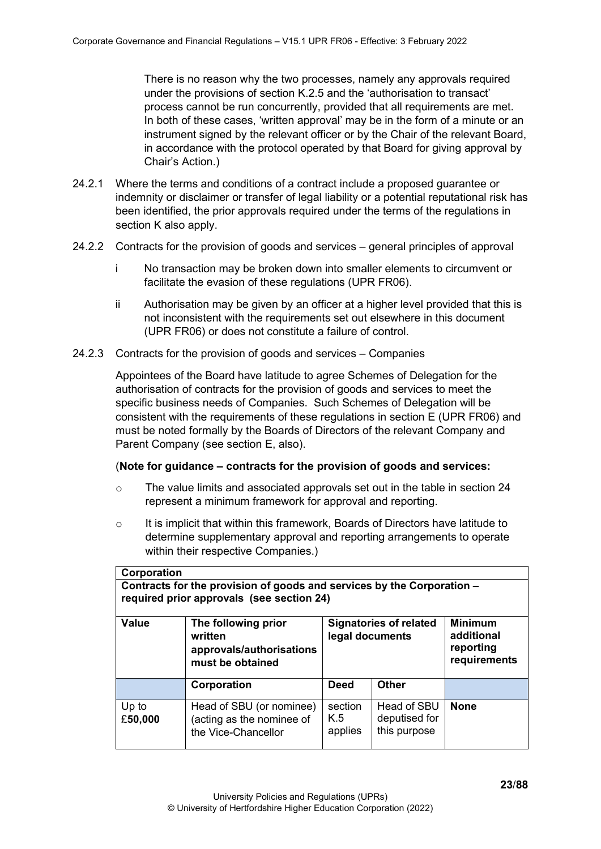There is no reason why the two processes, namely any approvals required under the provisions of section K.2.5 and the 'authorisation to transact' process cannot be run concurrently, provided that all requirements are met. In both of these cases, 'written approval' may be in the form of a minute or an instrument signed by the relevant officer or by the Chair of the relevant Board, in accordance with the protocol operated by that Board for giving approval by Chair's Action.)

- 24.2.1 Where the terms and conditions of a contract include a proposed guarantee or indemnity or disclaimer or transfer of legal liability or a potential reputational risk has been identified, the prior approvals required under the terms of the regulations in section K also apply.
- <span id="page-22-0"></span>24.2.2 Contracts for the provision of goods and services – general principles of approval
	- i No transaction may be broken down into smaller elements to circumvent or facilitate the evasion of these regulations (UPR FR06).
	- ii Authorisation may be given by an officer at a higher level provided that this is not inconsistent with the requirements set out elsewhere in this document (UPR FR06) or does not constitute a failure of control.
- <span id="page-22-1"></span>24.2.3 Contracts for the provision of goods and services – Companies

Appointees of the Board have latitude to agree Schemes of Delegation for the authorisation of contracts for the provision of goods and services to meet the specific business needs of Companies. Such Schemes of Delegation will be consistent with the requirements of these regulations in section E (UPR FR06) and must be noted formally by the Boards of Directors of the relevant Company and Parent Company (see section E, also).

### (**Note for guidance – contracts for the provision of goods and services:**

- o The value limits and associated approvals set out in the table in section 24 represent a minimum framework for approval and reporting.
- $\circ$  It is implicit that within this framework, Boards of Directors have latitude to determine supplementary approval and reporting arrangements to operate within their respective Companies.)

| Corporation                                                                                                         |                                                                                |                                                  |                                              |                                                           |  |
|---------------------------------------------------------------------------------------------------------------------|--------------------------------------------------------------------------------|--------------------------------------------------|----------------------------------------------|-----------------------------------------------------------|--|
| Contracts for the provision of goods and services by the Corporation -<br>required prior approvals (see section 24) |                                                                                |                                                  |                                              |                                                           |  |
| <b>Value</b>                                                                                                        | The following prior<br>written<br>approvals/authorisations<br>must be obtained | <b>Signatories of related</b><br>legal documents |                                              | <b>Minimum</b><br>additional<br>reporting<br>requirements |  |
|                                                                                                                     | Corporation                                                                    | <b>Deed</b>                                      | <b>Other</b>                                 |                                                           |  |
| Up to<br>£50,000                                                                                                    | Head of SBU (or nominee)<br>(acting as the nominee of<br>the Vice-Chancellor   | section<br>K.5<br>applies                        | Head of SBU<br>deputised for<br>this purpose | <b>None</b>                                               |  |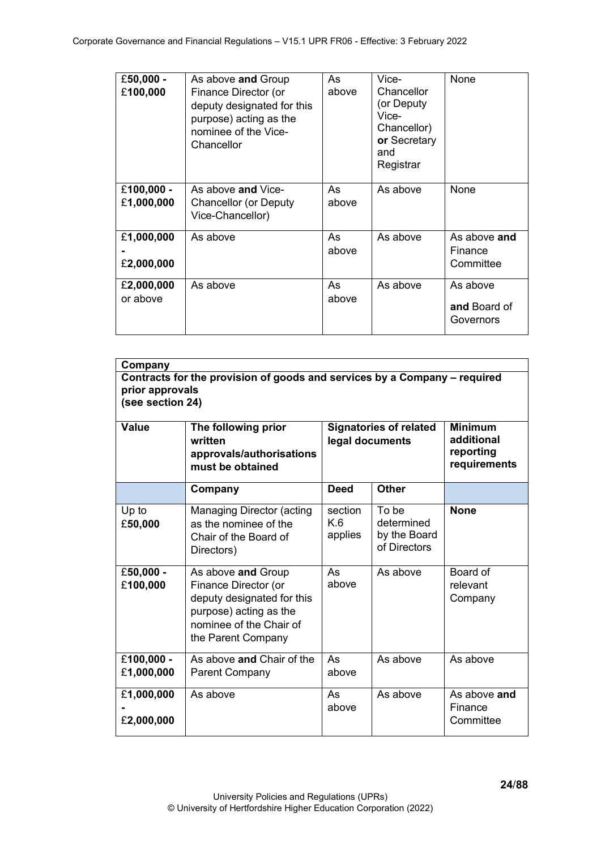| £50,000 -<br>£100,000    | As above and Group<br>Finance Director (or<br>deputy designated for this<br>purpose) acting as the<br>nominee of the Vice-<br>Chancellor | As<br>above | Vice-<br>Chancellor<br>(or Deputy)<br>Vice-<br>Chancellor)<br>or Secretary<br>and<br>Registrar | None                                  |
|--------------------------|------------------------------------------------------------------------------------------------------------------------------------------|-------------|------------------------------------------------------------------------------------------------|---------------------------------------|
| £100,000 -<br>£1,000,000 | As above and Vice-<br>Chancellor (or Deputy<br>Vice-Chancellor)                                                                          | As<br>above | As above                                                                                       | None                                  |
| £1,000,000<br>£2,000,000 | As above                                                                                                                                 | As<br>above | As above                                                                                       | As above and<br>Finance<br>Committee  |
| £2,000,000<br>or above   | As above                                                                                                                                 | As<br>above | As above                                                                                       | As above<br>and Board of<br>Governors |

| Company<br>Contracts for the provision of goods and services by a Company - required<br>prior approvals<br>(see section 24) |                                                                                                                                                     |                                                  |                                                     |                                                           |  |
|-----------------------------------------------------------------------------------------------------------------------------|-----------------------------------------------------------------------------------------------------------------------------------------------------|--------------------------------------------------|-----------------------------------------------------|-----------------------------------------------------------|--|
| Value                                                                                                                       | The following prior<br>written<br>approvals/authorisations<br>must be obtained                                                                      | <b>Signatories of related</b><br>legal documents |                                                     | <b>Minimum</b><br>additional<br>reporting<br>requirements |  |
|                                                                                                                             | Company                                                                                                                                             | <b>Deed</b>                                      | <b>Other</b>                                        |                                                           |  |
| Up to<br>£50,000                                                                                                            | Managing Director (acting<br>as the nominee of the<br>Chair of the Board of<br>Directors)                                                           | section<br>K.6<br>applies                        | To be<br>determined<br>by the Board<br>of Directors | <b>None</b>                                               |  |
| £50,000 -<br>£100,000                                                                                                       | As above and Group<br>Finance Director (or<br>deputy designated for this<br>purpose) acting as the<br>nominee of the Chair of<br>the Parent Company | As<br>above                                      | As above                                            | Board of<br>relevant<br>Company                           |  |
| £100,000 -<br>£1,000,000                                                                                                    | As above and Chair of the<br><b>Parent Company</b>                                                                                                  | As<br>above                                      | As above                                            | As above                                                  |  |
| £1,000,000<br>£2,000,000                                                                                                    | As above                                                                                                                                            | As<br>above                                      | As above                                            | As above and<br>Finance<br>Committee                      |  |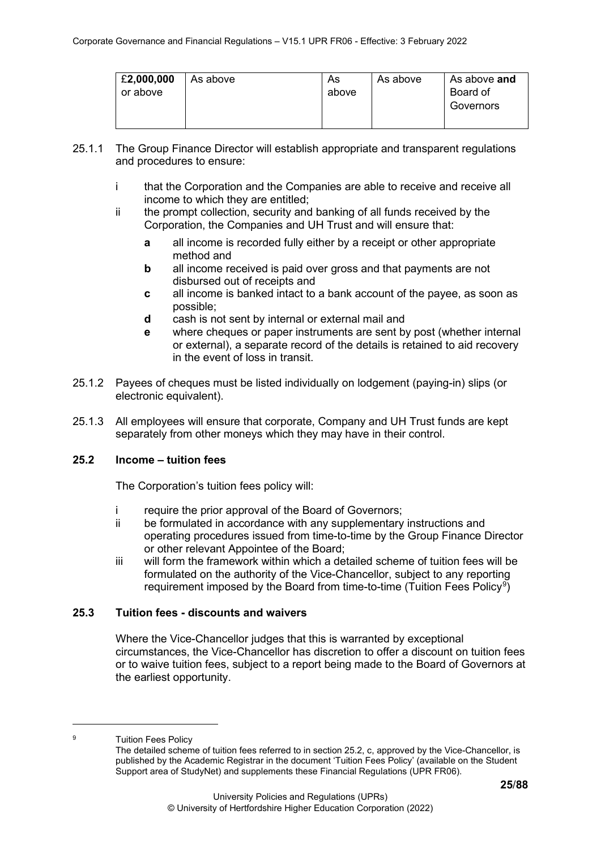| £2,000,000<br>or above | As above | As<br>above | As above | As above and<br>Board of<br>Governors |
|------------------------|----------|-------------|----------|---------------------------------------|
|------------------------|----------|-------------|----------|---------------------------------------|

- 25.1.1 The Group Finance Director will establish appropriate and transparent regulations and procedures to ensure:
	- i that the Corporation and the Companies are able to receive and receive all income to which they are entitled;
	- ii the prompt collection, security and banking of all funds received by the Corporation, the Companies and UH Trust and will ensure that:
		- **a** all income is recorded fully either by a receipt or other appropriate method and
		- **b** all income received is paid over gross and that payments are not disbursed out of receipts and
		- **c** all income is banked intact to a bank account of the payee, as soon as possible;
		- **d** cash is not sent by internal or external mail and
		- **e** where cheques or paper instruments are sent by post (whether internal or external), a separate record of the details is retained to aid recovery in the event of loss in transit.
- 25.1.2 Payees of cheques must be listed individually on lodgement (paying-in) slips (or electronic equivalent).
- 25.1.3 All employees will ensure that corporate, Company and UH Trust funds are kept separately from other moneys which they may have in their control.

## <span id="page-24-0"></span>**25.2 Income – tuition fees**

The Corporation's tuition fees policy will:

- i require the prior approval of the Board of Governors;
- ii be formulated in accordance with any supplementary instructions and operating procedures issued from time-to-time by the Group Finance Director or other relevant Appointee of the Board;
- iii will form the framework within which a detailed scheme of tuition fees will be formulated on the authority of the Vice-Chancellor, subject to any reporting requirement imposed by the Board from time-to-time (Tuition Fees Policy<sup>[9](#page-24-2)</sup>)

## <span id="page-24-1"></span>**25.3 Tuition fees - discounts and waivers**

Where the Vice-Chancellor judges that this is warranted by exceptional circumstances, the Vice-Chancellor has discretion to offer a discount on tuition fees or to waive tuition fees, subject to a report being made to the Board of Governors at the earliest opportunity.

<span id="page-24-2"></span><sup>9</sup> Tuition Fees Policy

The detailed scheme of tuition fees referred to in section 25.2, c, approved by the Vice-Chancellor, is published by the Academic Registrar in the document 'Tuition Fees Policy' (available on the Student Support area of StudyNet) and supplements these Financial Regulations (UPR FR06).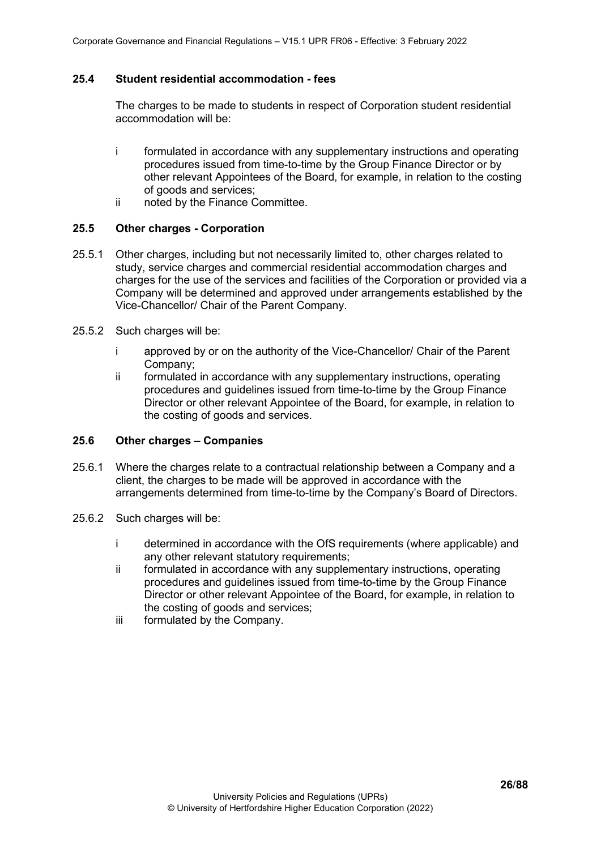#### <span id="page-25-0"></span>**25.4 Student residential accommodation - fees**

The charges to be made to students in respect of Corporation student residential accommodation will be:

- i formulated in accordance with any supplementary instructions and operating procedures issued from time-to-time by the Group Finance Director or by other relevant Appointees of the Board, for example, in relation to the costing of goods and services;
- ii noted by the Finance Committee.

#### <span id="page-25-1"></span>**25.5 Other charges - Corporation**

- 25.5.1 Other charges, including but not necessarily limited to, other charges related to study, service charges and commercial residential accommodation charges and charges for the use of the services and facilities of the Corporation or provided via a Company will be determined and approved under arrangements established by the Vice-Chancellor/ Chair of the Parent Company.
- 25.5.2 Such charges will be:
	- i approved by or on the authority of the Vice-Chancellor/ Chair of the Parent Company;
	- ii formulated in accordance with any supplementary instructions, operating procedures and guidelines issued from time-to-time by the Group Finance Director or other relevant Appointee of the Board, for example, in relation to the costing of goods and services.

#### <span id="page-25-2"></span>**25.6 Other charges – Companies**

- 25.6.1 Where the charges relate to a contractual relationship between a Company and a client, the charges to be made will be approved in accordance with the arrangements determined from time-to-time by the Company's Board of Directors.
- 25.6.2 Such charges will be:
	- i determined in accordance with the OfS requirements (where applicable) and any other relevant statutory requirements;
	- ii formulated in accordance with any supplementary instructions, operating procedures and guidelines issued from time-to-time by the Group Finance Director or other relevant Appointee of the Board, for example, in relation to the costing of goods and services;
	- iii formulated by the Company.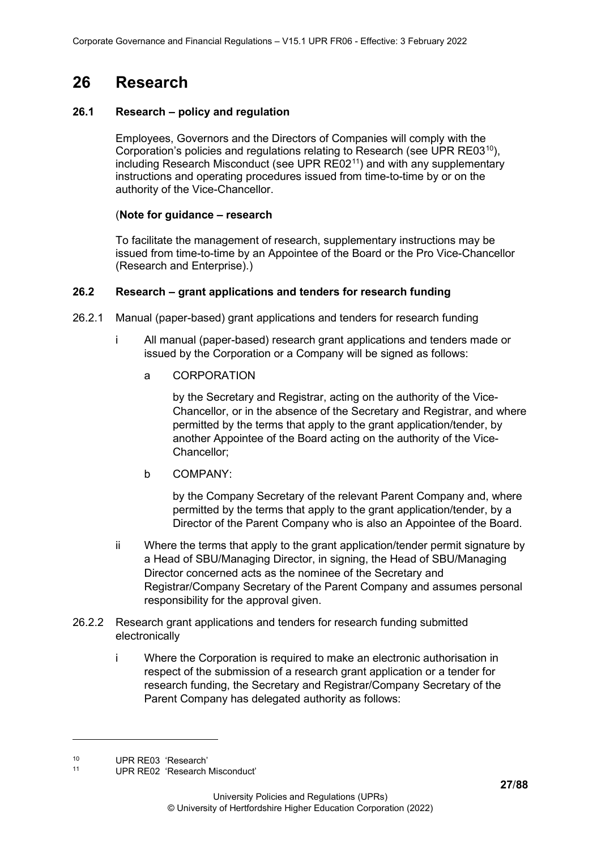# <span id="page-26-0"></span>**26 Research**

### <span id="page-26-1"></span>**26.1 Research – policy and regulation**

Employees, Governors and the Directors of Companies will comply with the Corporation's policies and regulations relating to Research (see UPR RE03<sup>[10](#page-26-4)</sup>), including Research Misconduct (see UPR RE02<sup>[11](#page-26-5)</sup>) and with any supplementary instructions and operating procedures issued from time-to-time by or on the authority of the Vice-Chancellor.

### (**Note for guidance – research**

To facilitate the management of research, supplementary instructions may be issued from time-to-time by an Appointee of the Board or the Pro Vice-Chancellor (Research and Enterprise).)

### <span id="page-26-2"></span>**26.2 Research – grant applications and tenders for research funding**

- 26.2.1 Manual (paper-based) grant applications and tenders for research funding
	- i All manual (paper-based) research grant applications and tenders made or issued by the Corporation or a Company will be signed as follows:
		- a CORPORATION

by the Secretary and Registrar, acting on the authority of the Vice-Chancellor, or in the absence of the Secretary and Registrar, and where permitted by the terms that apply to the grant application/tender, by another Appointee of the Board acting on the authority of the Vice-Chancellor;

b COMPANY:

by the Company Secretary of the relevant Parent Company and, where permitted by the terms that apply to the grant application/tender, by a Director of the Parent Company who is also an Appointee of the Board.

- ii Where the terms that apply to the grant application/tender permit signature by a Head of SBU/Managing Director, in signing, the Head of SBU/Managing Director concerned acts as the nominee of the Secretary and Registrar/Company Secretary of the Parent Company and assumes personal responsibility for the approval given.
- <span id="page-26-3"></span>26.2.2 Research grant applications and tenders for research funding submitted electronically
	- i Where the Corporation is required to make an electronic authorisation in respect of the submission of a research grant application or a tender for research funding, the Secretary and Registrar/Company Secretary of the Parent Company has delegated authority as follows:

<span id="page-26-4"></span><sup>10</sup> UPR RE03 'Research'<br>11 UPR RE03 'Research

<span id="page-26-5"></span><sup>11</sup> UPR RE02 'Research Misconduct'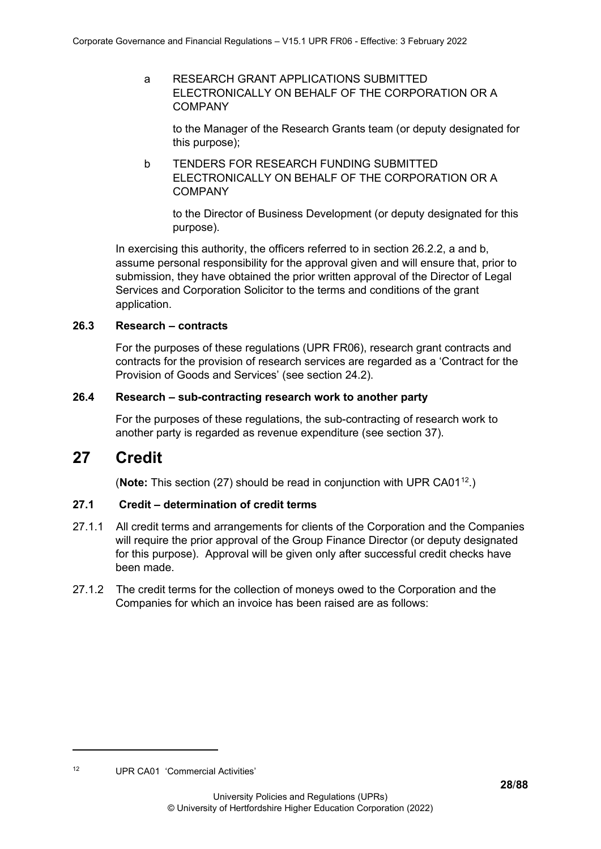a RESEARCH GRANT APPLICATIONS SUBMITTED ELECTRONICALLY ON BEHALF OF THE CORPORATION OR A **COMPANY** 

to the Manager of the Research Grants team (or deputy designated for this purpose);

b TENDERS FOR RESEARCH FUNDING SUBMITTED ELECTRONICALLY ON BEHALF OF THE CORPORATION OR A COMPANY

to the Director of Business Development (or deputy designated for this purpose).

In exercising this authority, the officers referred to in section 26.2.2, a and b, assume personal responsibility for the approval given and will ensure that, prior to submission, they have obtained the prior written approval of the Director of Legal Services and Corporation Solicitor to the terms and conditions of the grant application.

#### <span id="page-27-0"></span>**26.3 Research – contracts**

For the purposes of these regulations (UPR FR06), research grant contracts and contracts for the provision of research services are regarded as a 'Contract for the Provision of Goods and Services' (see section 24.2).

#### <span id="page-27-1"></span>**26.4 Research – sub-contracting research work to another party**

For the purposes of these regulations, the sub-contracting of research work to another party is regarded as revenue expenditure (see section 37).

# <span id="page-27-2"></span>**27 Credit**

(**Note:** This section (27) should be read in conjunction with UPR CA01[12.](#page-27-4))

## <span id="page-27-3"></span>**27.1 Credit – determination of credit terms**

- 27.1.1 All credit terms and arrangements for clients of the Corporation and the Companies will require the prior approval of the Group Finance Director (or deputy designated for this purpose). Approval will be given only after successful credit checks have been made.
- 27.1.2 The credit terms for the collection of moneys owed to the Corporation and the Companies for which an invoice has been raised are as follows:

<span id="page-27-4"></span><sup>12</sup> UPR CA01 'Commercial Activities'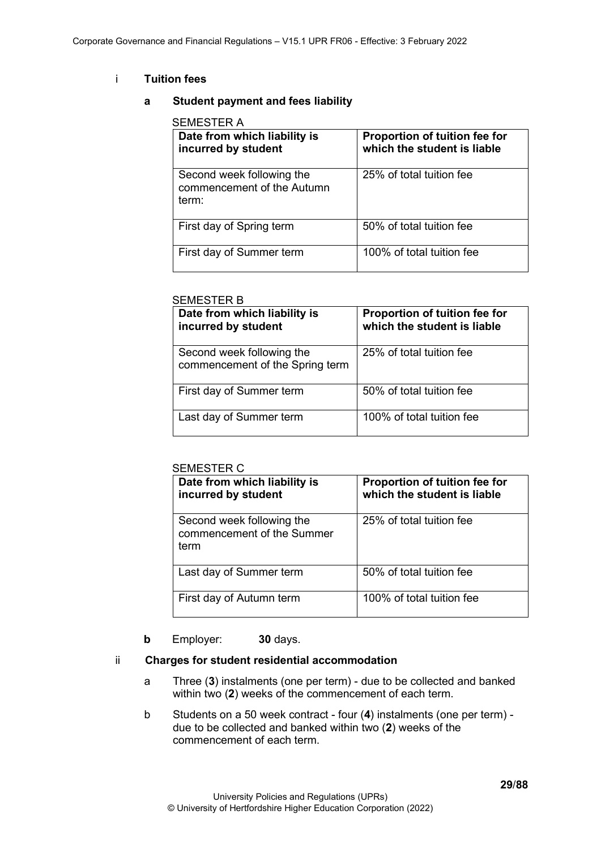## i **Tuition fees**

#### **a Student payment and fees liability**

| Date from which liability is<br>incurred by student              | Proportion of tuition fee for<br>which the student is liable |
|------------------------------------------------------------------|--------------------------------------------------------------|
| Second week following the<br>commencement of the Autumn<br>term: | 25% of total tuition fee                                     |
| First day of Spring term                                         | 50% of total tuition fee                                     |
| First day of Summer term                                         | 100% of total tuition fee                                    |

#### SEMESTER B

| Date from which liability is<br>incurred by student          | Proportion of tuition fee for<br>which the student is liable |
|--------------------------------------------------------------|--------------------------------------------------------------|
| Second week following the<br>commencement of the Spring term | 25% of total tuition fee                                     |
| First day of Summer term                                     | 50% of total tuition fee                                     |
| Last day of Summer term                                      | 100% of total tuition fee                                    |

#### SEMESTER C

| Date from which liability is<br>incurred by student             | Proportion of tuition fee for<br>which the student is liable |
|-----------------------------------------------------------------|--------------------------------------------------------------|
| Second week following the<br>commencement of the Summer<br>term | 25% of total tuition fee                                     |
| Last day of Summer term                                         | 50% of total tuition fee                                     |
| First day of Autumn term                                        | 100% of total tuition fee                                    |

#### **b** Employer: **30** days.

#### ii **Charges for student residential accommodation**

- a Three (**3**) instalments (one per term) due to be collected and banked within two (**2**) weeks of the commencement of each term.
- b Students on a 50 week contract four (**4**) instalments (one per term) due to be collected and banked within two (**2**) weeks of the commencement of each term.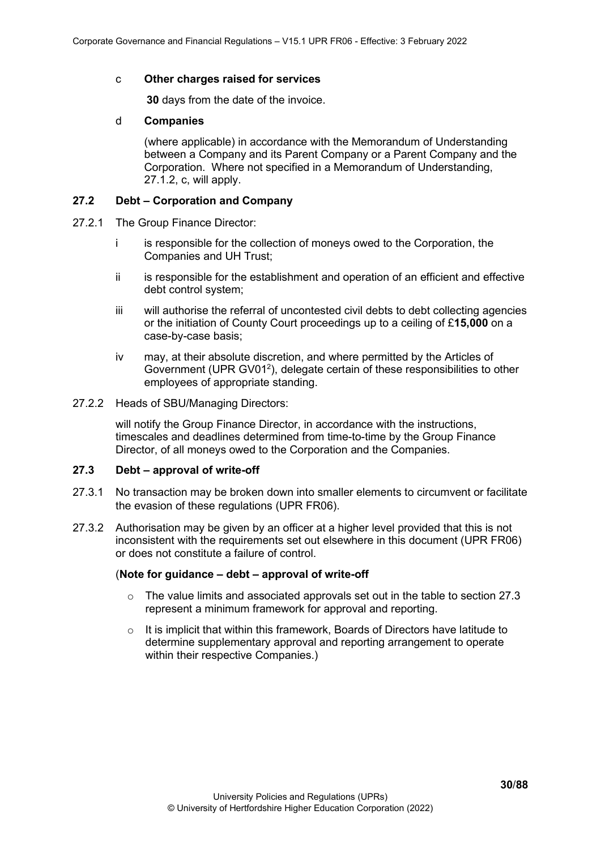#### c **Other charges raised for services**

**30** days from the date of the invoice.

#### d **Companies**

(where applicable) in accordance with the Memorandum of Understanding between a Company and its Parent Company or a Parent Company and the Corporation. Where not specified in a Memorandum of Understanding, 27.1.2, c, will apply.

#### <span id="page-29-0"></span>**27.2 Debt – Corporation and Company**

- 27.2.1 The Group Finance Director:
	- i is responsible for the collection of moneys owed to the Corporation, the Companies and UH Trust;
	- ii is responsible for the establishment and operation of an efficient and effective debt control system;
	- iii will authorise the referral of uncontested civil debts to debt collecting agencies or the initiation of County Court proceedings up to a ceiling of £**15,000** on a case-by-case basis;
	- iv may, at their absolute discretion, and where permitted by the Articles of Government (UPR GV01<sup>2</sup>), delegate certain of these responsibilities to other employees of appropriate standing.
- 27.2.2 Heads of SBU/Managing Directors:

will notify the Group Finance Director, in accordance with the instructions, timescales and deadlines determined from time-to-time by the Group Finance Director, of all moneys owed to the Corporation and the Companies.

### <span id="page-29-1"></span>**27.3 Debt – approval of write-off**

- 27.3.1 No transaction may be broken down into smaller elements to circumvent or facilitate the evasion of these regulations (UPR FR06).
- 27.3.2 Authorisation may be given by an officer at a higher level provided that this is not inconsistent with the requirements set out elsewhere in this document (UPR FR06) or does not constitute a failure of control.

#### (**Note for guidance – debt – approval of write-off**

- $\circ$  The value limits and associated approvals set out in the table to section 27.3 represent a minimum framework for approval and reporting.
- $\circ$  It is implicit that within this framework, Boards of Directors have latitude to determine supplementary approval and reporting arrangement to operate within their respective Companies.)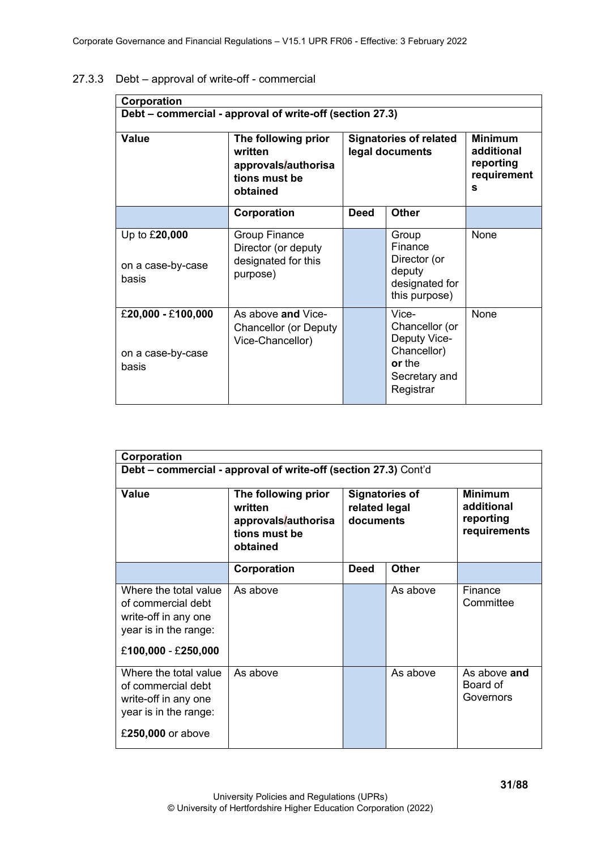| Corporation                                              |                                                                                    |                                                  |                                                                                                |                                                               |
|----------------------------------------------------------|------------------------------------------------------------------------------------|--------------------------------------------------|------------------------------------------------------------------------------------------------|---------------------------------------------------------------|
| Debt - commercial - approval of write-off (section 27.3) |                                                                                    |                                                  |                                                                                                |                                                               |
| <b>Value</b>                                             | The following prior<br>written<br>approvals/authorisa<br>tions must be<br>obtained | <b>Signatories of related</b><br>legal documents |                                                                                                | <b>Minimum</b><br>additional<br>reporting<br>requirement<br>S |
|                                                          | Corporation                                                                        | <b>Deed</b>                                      | <b>Other</b>                                                                                   |                                                               |
| Up to £20,000<br>on a case-by-case<br>basis              | <b>Group Finance</b><br>Director (or deputy<br>designated for this<br>purpose)     |                                                  | Group<br>Finance<br>Director (or<br>deputy<br>designated for<br>this purpose)                  | None                                                          |
| £20,000 - £100,000<br>on a case-by-case<br>basis         | As above and Vice-<br><b>Chancellor (or Deputy</b><br>Vice-Chancellor)             |                                                  | Vice-<br>Chancellor (or<br>Deputy Vice-<br>Chancellor)<br>or the<br>Secretary and<br>Registrar | None                                                          |

# <span id="page-30-0"></span>27.3.3 Debt – approval of write-off - commercial

| Corporation                                                                                                         |                                                                                    |                                                     |              |                                                           |
|---------------------------------------------------------------------------------------------------------------------|------------------------------------------------------------------------------------|-----------------------------------------------------|--------------|-----------------------------------------------------------|
| Debt - commercial - approval of write-off (section 27.3) Cont'd                                                     |                                                                                    |                                                     |              |                                                           |
| Value                                                                                                               | The following prior<br>written<br>approvals/authorisa<br>tions must be<br>obtained | <b>Signatories of</b><br>related legal<br>documents |              | <b>Minimum</b><br>additional<br>reporting<br>requirements |
|                                                                                                                     | Corporation                                                                        | <b>Deed</b>                                         | <b>Other</b> |                                                           |
| Where the total value<br>of commercial debt<br>write-off in any one<br>year is in the range:<br>£100,000 - £250,000 | As above                                                                           |                                                     | As above     | Finance<br>Committee                                      |
| Where the total value<br>of commercial debt<br>write-off in any one<br>year is in the range:<br>£250,000 or above   | As above                                                                           |                                                     | As above     | As above and<br>Board of<br>Governors                     |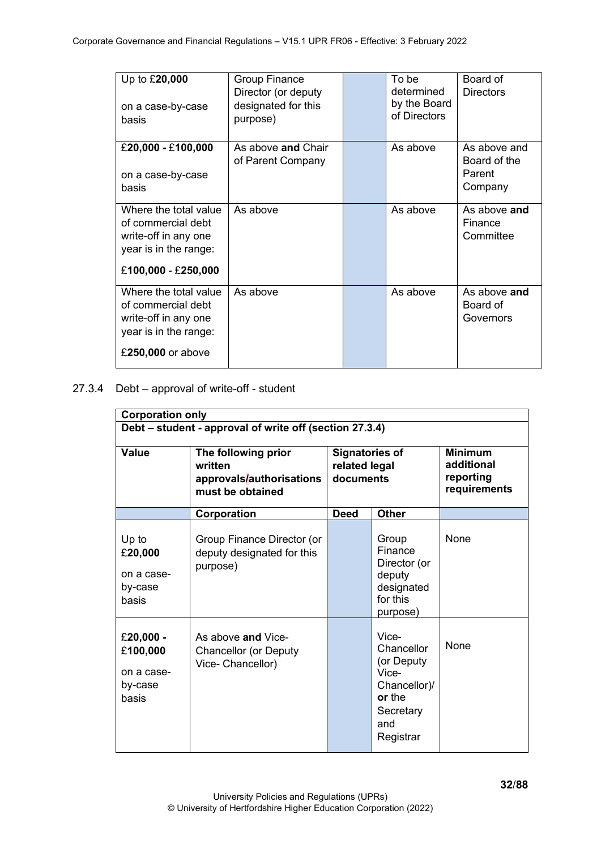| Up to £20,000<br>on a case-by-case<br>basis                                                                         | <b>Group Finance</b><br>Director (or deputy<br>designated for this<br>purpose) | To be<br>determined<br>by the Board<br>of Directors | Board of<br><b>Directors</b>                      |
|---------------------------------------------------------------------------------------------------------------------|--------------------------------------------------------------------------------|-----------------------------------------------------|---------------------------------------------------|
| £20,000 - £100,000<br>on a case-by-case<br>basis                                                                    | As above <b>and</b> Chair<br>of Parent Company                                 | As above                                            | As above and<br>Board of the<br>Parent<br>Company |
| Where the total value<br>of commercial debt<br>write-off in any one<br>year is in the range:<br>£100,000 - £250,000 | As above                                                                       | As above                                            | As above and<br>Finance<br>Committee              |
| Where the total value<br>of commercial debt<br>write-off in any one<br>year is in the range:<br>£250,000 or above   | As above                                                                       | As above                                            | As above and<br>Board of<br>Governors             |

#### <span id="page-31-0"></span>27.3.4 Debt – approval of write-off - student

| <b>Corporation only</b>                                 |                                                                                |                                                     |                                                                                                       |                                                           |
|---------------------------------------------------------|--------------------------------------------------------------------------------|-----------------------------------------------------|-------------------------------------------------------------------------------------------------------|-----------------------------------------------------------|
| Debt – student - approval of write off (section 27.3.4) |                                                                                |                                                     |                                                                                                       |                                                           |
| <b>Value</b>                                            | The following prior<br>written<br>approvals/authorisations<br>must be obtained | <b>Signatories of</b><br>related legal<br>documents |                                                                                                       | <b>Minimum</b><br>additional<br>reporting<br>requirements |
|                                                         | Corporation                                                                    | <b>Deed</b>                                         | <b>Other</b>                                                                                          |                                                           |
| Up to<br>£20,000<br>on a case-<br>by-case<br>basis      | Group Finance Director (or<br>deputy designated for this<br>purpose)           |                                                     | Group<br>Finance<br>Director (or<br>deputy<br>designated<br>for this<br>purpose)                      | None                                                      |
| £20,000 -<br>£100,000<br>on a case-<br>by-case<br>basis | As above and Vice-<br><b>Chancellor (or Deputy</b><br>Vice- Chancellor)        |                                                     | Vice-<br>Chancellor<br>(or Deputy<br>Vice-<br>Chancellor)/<br>or the<br>Secretary<br>and<br>Registrar | <b>None</b>                                               |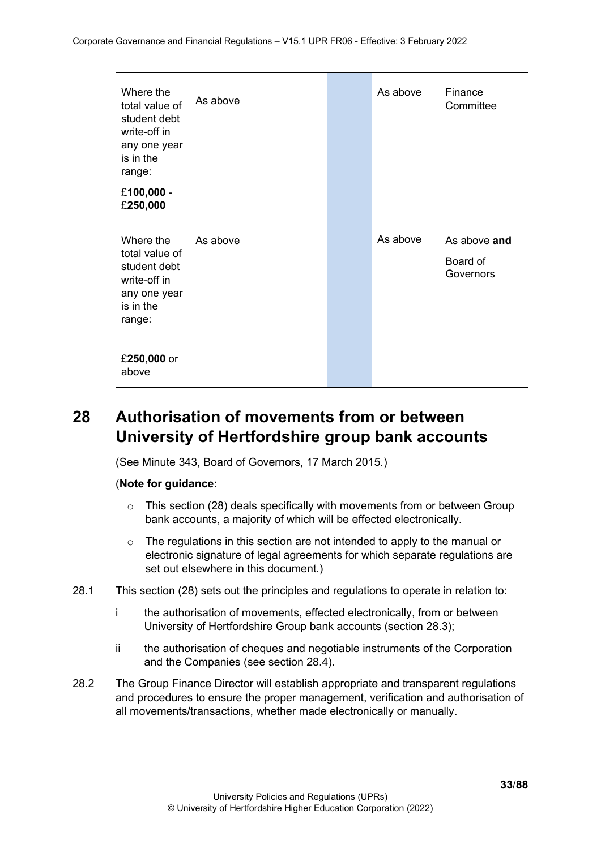| Where the<br>total value of<br>student debt<br>write-off in<br>any one year<br>is in the<br>range:<br>£100,000 - | As above | As above | Finance<br>Committee                  |
|------------------------------------------------------------------------------------------------------------------|----------|----------|---------------------------------------|
| £250,000                                                                                                         |          |          |                                       |
| Where the<br>total value of<br>student debt<br>write-off in<br>any one year<br>is in the<br>range:               | As above | As above | As above and<br>Board of<br>Governors |
| £250,000 or<br>above                                                                                             |          |          |                                       |

# <span id="page-32-0"></span>**28 Authorisation of movements from or between University of Hertfordshire group bank accounts**

(See Minute 343, Board of Governors, 17 March 2015.)

### (**Note for guidance:**

- $\circ$  This section (28) deals specifically with movements from or between Group bank accounts, a majority of which will be effected electronically.
- o The regulations in this section are not intended to apply to the manual or electronic signature of legal agreements for which separate regulations are set out elsewhere in this document.)
- 28.1 This section (28) sets out the principles and regulations to operate in relation to:
	- i the authorisation of movements, effected electronically, from or between University of Hertfordshire Group bank accounts (section 28.3);
	- ii the authorisation of cheques and negotiable instruments of the Corporation and the Companies (see section 28.4).
- 28.2 The Group Finance Director will establish appropriate and transparent regulations and procedures to ensure the proper management, verification and authorisation of all movements/transactions, whether made electronically or manually.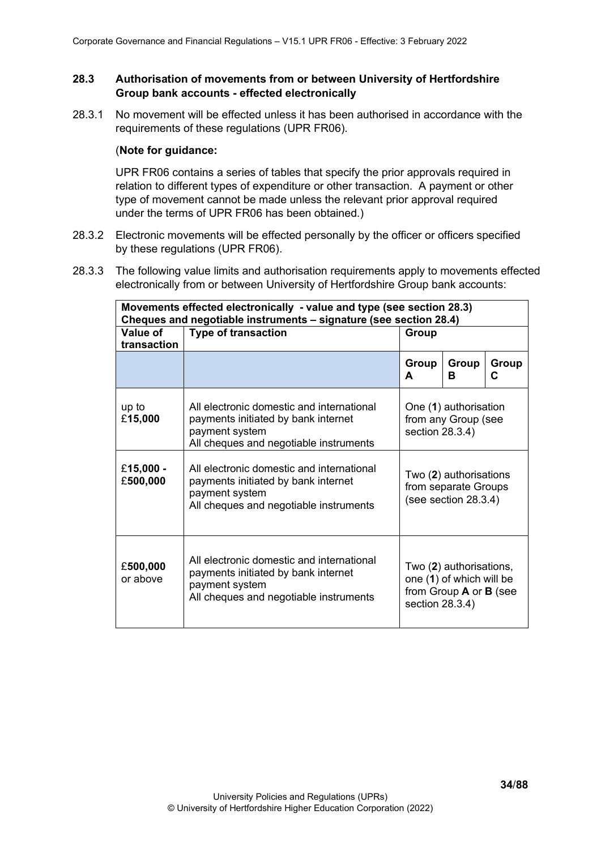## <span id="page-33-0"></span>**28.3 Authorisation of movements from or between University of Hertfordshire Group bank accounts - effected electronically**

28.3.1 No movement will be effected unless it has been authorised in accordance with the requirements of these regulations (UPR FR06).

#### (**Note for guidance:**

UPR FR06 contains a series of tables that specify the prior approvals required in relation to different types of expenditure or other transaction. A payment or other type of movement cannot be made unless the relevant prior approval required under the terms of UPR FR06 has been obtained.)

- 28.3.2 Electronic movements will be effected personally by the officer or officers specified by these regulations (UPR FR06).
- 28.3.3 The following value limits and authorisation requirements apply to movements effected electronically from or between University of Hertfordshire Group bank accounts:

| Movements effected electronically - value and type (see section 28.3) |                                                                                                                                              |                                                                           |                                                                                             |            |
|-----------------------------------------------------------------------|----------------------------------------------------------------------------------------------------------------------------------------------|---------------------------------------------------------------------------|---------------------------------------------------------------------------------------------|------------|
| Value of<br>transaction                                               | Cheques and negotiable instruments - signature (see section 28.4)<br><b>Type of transaction</b>                                              | Group                                                                     |                                                                                             |            |
|                                                                       |                                                                                                                                              | Group<br>A                                                                | Group<br>R.                                                                                 | Group<br>C |
| up to<br>£15,000                                                      | All electronic domestic and international<br>payments initiated by bank internet<br>payment system<br>All cheques and negotiable instruments | section 28.3.4)                                                           | One (1) authorisation<br>from any Group (see                                                |            |
| £15,000 -<br>£500,000                                                 | All electronic domestic and international<br>payments initiated by bank internet<br>payment system<br>All cheques and negotiable instruments | Two (2) authorisations<br>from separate Groups<br>(see section $28.3.4$ ) |                                                                                             |            |
| £500,000<br>or above                                                  | All electronic domestic and international<br>payments initiated by bank internet<br>payment system<br>All cheques and negotiable instruments | section 28.3.4)                                                           | Two (2) authorisations,<br>one (1) of which will be<br>from Group <b>A</b> or <b>B</b> (see |            |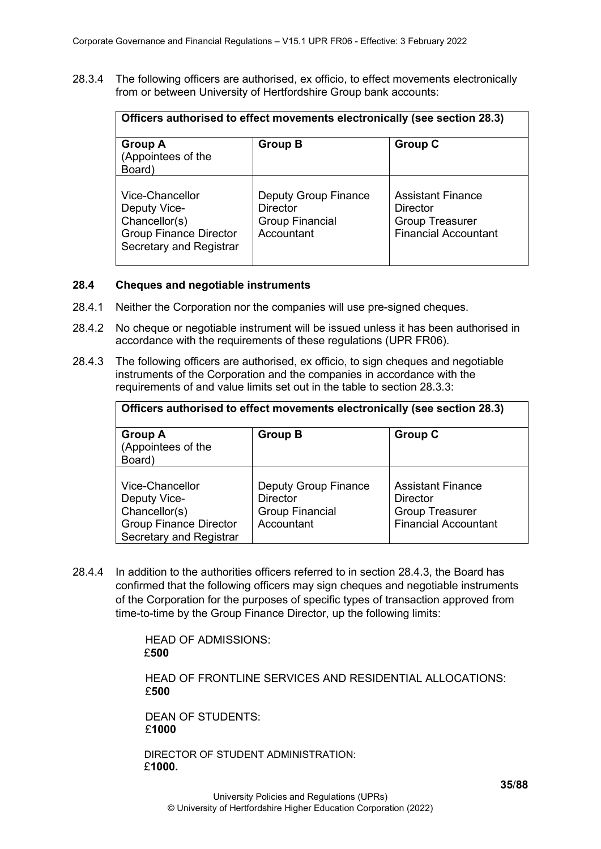28.3.4 The following officers are authorised, ex officio, to effect movements electronically from or between University of Hertfordshire Group bank accounts:

| Officers authorised to effect movements electronically (see section 28.3)                                           |                                                                                 |                                                                                               |  |  |
|---------------------------------------------------------------------------------------------------------------------|---------------------------------------------------------------------------------|-----------------------------------------------------------------------------------------------|--|--|
| <b>Group A</b><br>(Appointees of the<br>Board)                                                                      | <b>Group B</b>                                                                  | <b>Group C</b>                                                                                |  |  |
| <b>Vice-Chancellor</b><br>Deputy Vice-<br>Chancellor(s)<br><b>Group Finance Director</b><br>Secretary and Registrar | Deputy Group Finance<br><b>Director</b><br><b>Group Financial</b><br>Accountant | <b>Assistant Finance</b><br>Director<br><b>Group Treasurer</b><br><b>Financial Accountant</b> |  |  |

#### <span id="page-34-0"></span>**28.4 Cheques and negotiable instruments**

- 28.4.1 Neither the Corporation nor the companies will use pre-signed cheques.
- 28.4.2 No cheque or negotiable instrument will be issued unless it has been authorised in accordance with the requirements of these regulations (UPR FR06).
- 28.4.3 The following officers are authorised, ex officio, to sign cheques and negotiable instruments of the Corporation and the companies in accordance with the requirements of and value limits set out in the table to section 28.3.3:

| Officers authorised to effect movements electronically (see section 28.3)                                           |                                                                                        |                                                                                               |  |  |
|---------------------------------------------------------------------------------------------------------------------|----------------------------------------------------------------------------------------|-----------------------------------------------------------------------------------------------|--|--|
| <b>Group A</b><br>(Appointees of the<br>Board)                                                                      | <b>Group B</b>                                                                         | <b>Group C</b>                                                                                |  |  |
| Vice-Chancellor<br>Deputy Vice-<br>Chancellor(s)<br><b>Group Finance Director</b><br><b>Secretary and Registrar</b> | <b>Deputy Group Finance</b><br><b>Director</b><br><b>Group Financial</b><br>Accountant | <b>Assistant Finance</b><br>Director<br><b>Group Treasurer</b><br><b>Financial Accountant</b> |  |  |

28.4.4 In addition to the authorities officers referred to in section 28.4.3, the Board has confirmed that the following officers may sign cheques and negotiable instruments of the Corporation for the purposes of specific types of transaction approved from time-to-time by the Group Finance Director, up the following limits:

> HEAD OF ADMISSIONS: £**500**

HEAD OF FRONTLINE SERVICES AND RESIDENTIAL ALLOCATIONS: £**500**

DEAN OF STUDENTS: £**1000**

DIRECTOR OF STUDENT ADMINISTRATION: £**1000.**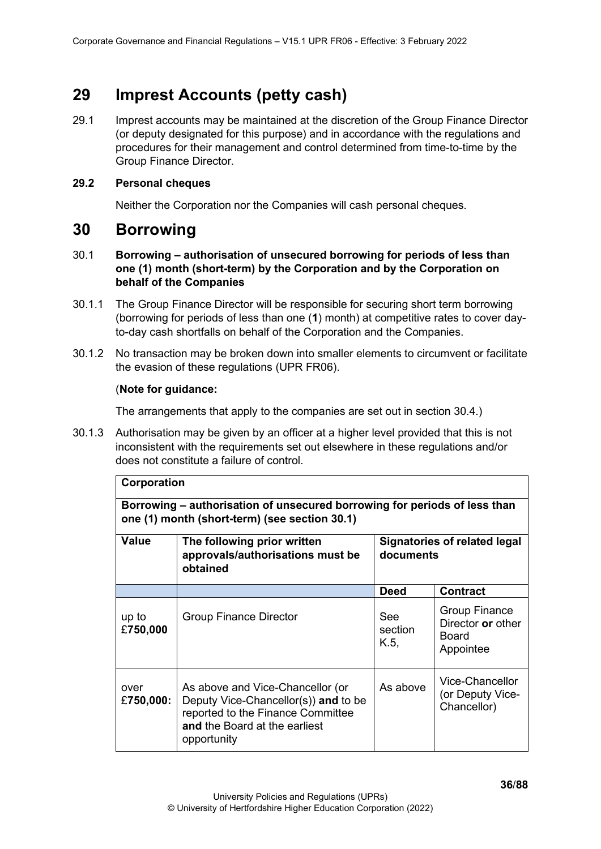# <span id="page-35-0"></span>**29 Imprest Accounts (petty cash)**

29.1 Imprest accounts may be maintained at the discretion of the Group Finance Director (or deputy designated for this purpose) and in accordance with the regulations and procedures for their management and control determined from time-to-time by the Group Finance Director.

## <span id="page-35-1"></span>**29.2 Personal cheques**

Neither the Corporation nor the Companies will cash personal cheques.

# <span id="page-35-2"></span>**30 Borrowing**

- 30.1 **Borrowing – authorisation of unsecured borrowing for periods of less than one (1) month (short-term) by the Corporation and by the Corporation on behalf of the Companies**
- 30.1.1 The Group Finance Director will be responsible for securing short term borrowing (borrowing for periods of less than one (**1**) month) at competitive rates to cover dayto-day cash shortfalls on behalf of the Corporation and the Companies.
- 30.1.2 No transaction may be broken down into smaller elements to circumvent or facilitate the evasion of these regulations (UPR FR06).

## (**Note for guidance:**

The arrangements that apply to the companies are set out in section 30.4.)

30.1.3 Authorisation may be given by an officer at a higher level provided that this is not inconsistent with the requirements set out elsewhere in these regulations and/or does not constitute a failure of control.

<span id="page-35-3"></span>

| Corporation                                                                                                                |                                                                                                                                                               |                                                  |                                                                 |
|----------------------------------------------------------------------------------------------------------------------------|---------------------------------------------------------------------------------------------------------------------------------------------------------------|--------------------------------------------------|-----------------------------------------------------------------|
| Borrowing – authorisation of unsecured borrowing for periods of less than<br>one (1) month (short-term) (see section 30.1) |                                                                                                                                                               |                                                  |                                                                 |
| Value                                                                                                                      | The following prior written<br>approvals/authorisations must be<br>obtained                                                                                   | <b>Signatories of related legal</b><br>documents |                                                                 |
|                                                                                                                            |                                                                                                                                                               | <b>Deed</b>                                      | <b>Contract</b>                                                 |
| up to<br>£750,000                                                                                                          | <b>Group Finance Director</b>                                                                                                                                 | See<br>section<br>K.5,                           | <b>Group Finance</b><br>Director or other<br>Board<br>Appointee |
| over<br>£750,000:                                                                                                          | As above and Vice-Chancellor (or<br>Deputy Vice-Chancellor(s)) and to be<br>reported to the Finance Committee<br>and the Board at the earliest<br>opportunity | As above                                         | Vice-Chancellor<br>(or Deputy Vice-<br>Chancellor)              |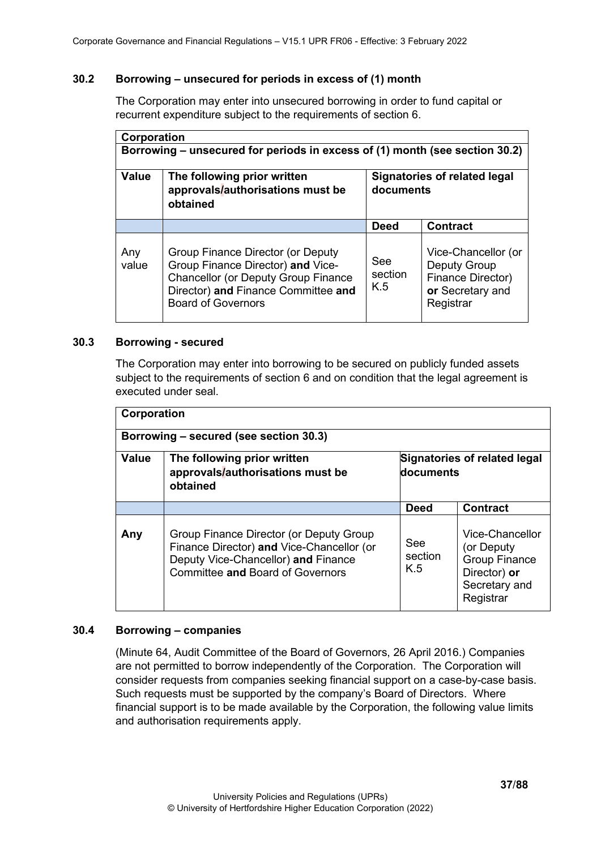# **30.2 Borrowing – unsecured for periods in excess of (1) month**

The Corporation may enter into unsecured borrowing in order to fund capital or recurrent expenditure subject to the requirements of section 6.

| Corporation  |                                                                                                                                                                                          |                                           |                                                                                                  |
|--------------|------------------------------------------------------------------------------------------------------------------------------------------------------------------------------------------|-------------------------------------------|--------------------------------------------------------------------------------------------------|
|              | Borrowing – unsecured for periods in excess of (1) month (see section 30.2)                                                                                                              |                                           |                                                                                                  |
| <b>Value</b> | The following prior written<br>approvals/authorisations must be<br>obtained                                                                                                              | Signatories of related legal<br>documents |                                                                                                  |
|              |                                                                                                                                                                                          | <b>Deed</b>                               | <b>Contract</b>                                                                                  |
| Any<br>value | Group Finance Director (or Deputy<br>Group Finance Director) and Vice-<br><b>Chancellor (or Deputy Group Finance</b><br>Director) and Finance Committee and<br><b>Board of Governors</b> | See<br>section<br>K.5                     | Vice-Chancellor (or<br><b>Deputy Group</b><br>Finance Director)<br>or Secretary and<br>Registrar |

## **30.3 Borrowing - secured**

The Corporation may enter into borrowing to be secured on publicly funded assets subject to the requirements of section 6 and on condition that the legal agreement is executed under seal.

| Corporation |                                                                                                                                                                        |                       |                                                                                                     |
|-------------|------------------------------------------------------------------------------------------------------------------------------------------------------------------------|-----------------------|-----------------------------------------------------------------------------------------------------|
|             | Borrowing - secured (see section 30.3)                                                                                                                                 |                       |                                                                                                     |
| Value       | The following prior written<br>approvals/authorisations must be<br>obtained                                                                                            | documents             | Signatories of related legal                                                                        |
|             |                                                                                                                                                                        | <b>Deed</b>           | <b>Contract</b>                                                                                     |
| Any         | Group Finance Director (or Deputy Group<br>Finance Director) and Vice-Chancellor (or<br>Deputy Vice-Chancellor) and Finance<br><b>Committee and Board of Governors</b> | See<br>section<br>K.5 | Vice-Chancellor<br>(or Deputy<br><b>Group Finance</b><br>Director) or<br>Secretary and<br>Registrar |

# **30.4 Borrowing – companies**

(Minute 64, Audit Committee of the Board of Governors, 26 April 2016.) Companies are not permitted to borrow independently of the Corporation. The Corporation will consider requests from companies seeking financial support on a case-by-case basis. Such requests must be supported by the company's Board of Directors. Where financial support is to be made available by the Corporation, the following value limits and authorisation requirements apply.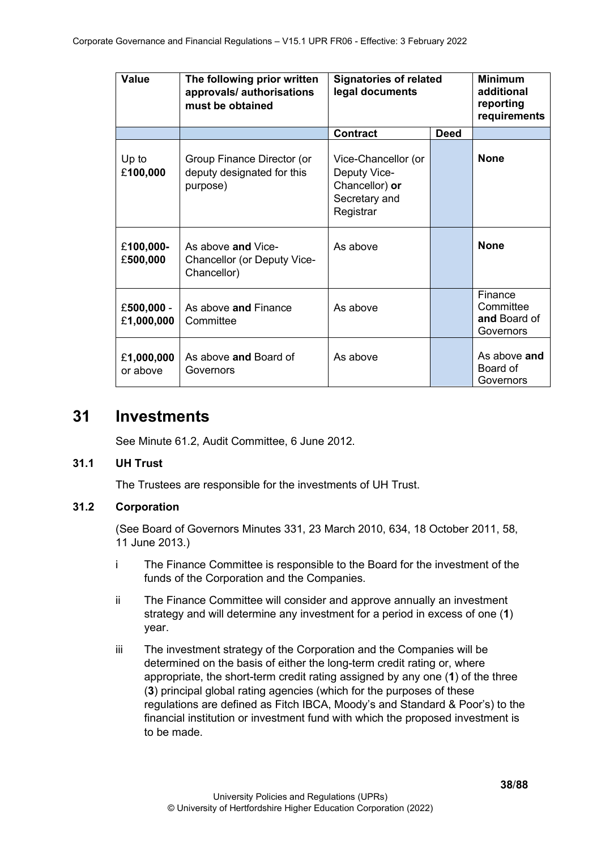| Value                    | The following prior written<br>approvals/ authorisations<br>must be obtained | <b>Signatories of related</b><br>legal documents                                    |             | <b>Minimum</b><br>additional<br>reporting<br>requirements |
|--------------------------|------------------------------------------------------------------------------|-------------------------------------------------------------------------------------|-------------|-----------------------------------------------------------|
|                          |                                                                              | <b>Contract</b>                                                                     | <b>Deed</b> |                                                           |
| Up to<br>£100,000        | Group Finance Director (or<br>deputy designated for this<br>purpose)         | Vice-Chancellor (or<br>Deputy Vice-<br>Chancellor) or<br>Secretary and<br>Registrar |             | <b>None</b>                                               |
| £100,000-<br>£500,000    | As above and Vice-<br>Chancellor (or Deputy Vice-<br>Chancellor)             | As above                                                                            |             | <b>None</b>                                               |
| £500,000 -<br>£1,000,000 | As above and Finance<br>Committee                                            | As above                                                                            |             | Finance<br>Committee<br>and Board of<br>Governors         |
| £1,000,000<br>or above   | As above and Board of<br>Governors                                           | As above                                                                            |             | As above and<br>Board of<br>Governors                     |

# **31 Investments**

See Minute 61.2, Audit Committee, 6 June 2012.

# **31.1 UH Trust**

The Trustees are responsible for the investments of UH Trust.

# **31.2 Corporation**

(See Board of Governors Minutes 331, 23 March 2010, 634, 18 October 2011, 58, 11 June 2013.)

- i The Finance Committee is responsible to the Board for the investment of the funds of the Corporation and the Companies.
- ii The Finance Committee will consider and approve annually an investment strategy and will determine any investment for a period in excess of one (**1**) year.
- iii The investment strategy of the Corporation and the Companies will be determined on the basis of either the long-term credit rating or, where appropriate, the short-term credit rating assigned by any one (**1**) of the three (**3**) principal global rating agencies (which for the purposes of these regulations are defined as Fitch IBCA, Moody's and Standard & Poor's) to the financial institution or investment fund with which the proposed investment is to be made.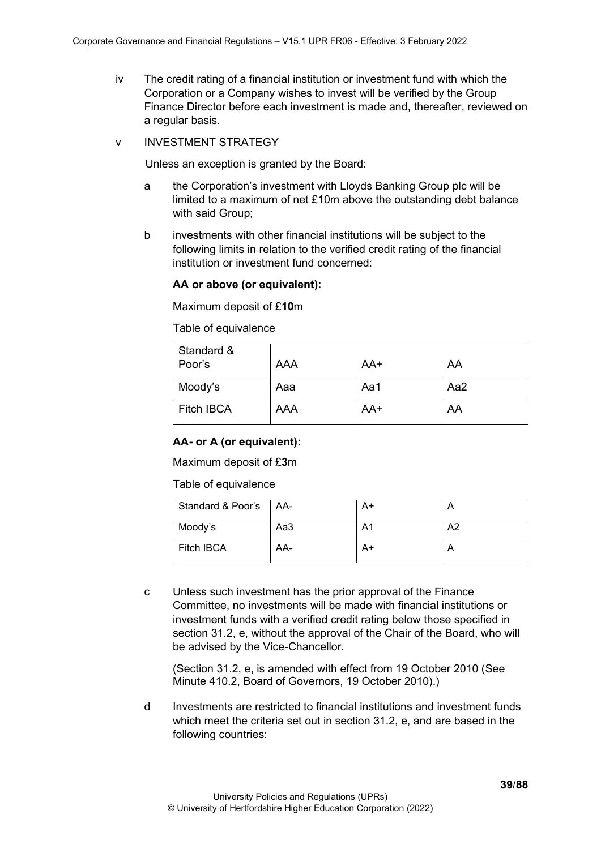- iv The credit rating of a financial institution or investment fund with which the Corporation or a Company wishes to invest will be verified by the Group Finance Director before each investment is made and, thereafter, reviewed on a regular basis.
- v INVESTMENT STRATEGY

Unless an exception is granted by the Board:

- a the Corporation's investment with Lloyds Banking Group plc will be limited to a maximum of net £10m above the outstanding debt balance with said Group;
- b investments with other financial institutions will be subject to the following limits in relation to the verified credit rating of the financial institution or investment fund concerned:

## **AA or above (or equivalent):**

Maximum deposit of £**10**m

Table of equivalence

| Standard &<br>Poor's | <b>AAA</b> | AA+   | AA  |
|----------------------|------------|-------|-----|
| Moody's              | Aaa        | Aa1   | Aa2 |
| Fitch IBCA           | <b>AAA</b> | $AA+$ | AA  |

### **AA- or A (or equivalent):**

Maximum deposit of £**3**m

Table of equivalence

| Standard & Poor's | I AA- |    |    |
|-------------------|-------|----|----|
| Moody's           | Aa3   | A1 | A2 |
| <b>Fitch IBCA</b> | AA-   |    |    |

c Unless such investment has the prior approval of the Finance Committee, no investments will be made with financial institutions or investment funds with a verified credit rating below those specified in section 31.2, e, without the approval of the Chair of the Board, who will be advised by the Vice-Chancellor.

(Section 31.2, e, is amended with effect from 19 October 2010 (See Minute 410.2, Board of Governors, 19 October 2010).)

d Investments are restricted to financial institutions and investment funds which meet the criteria set out in section 31.2, e, and are based in the following countries: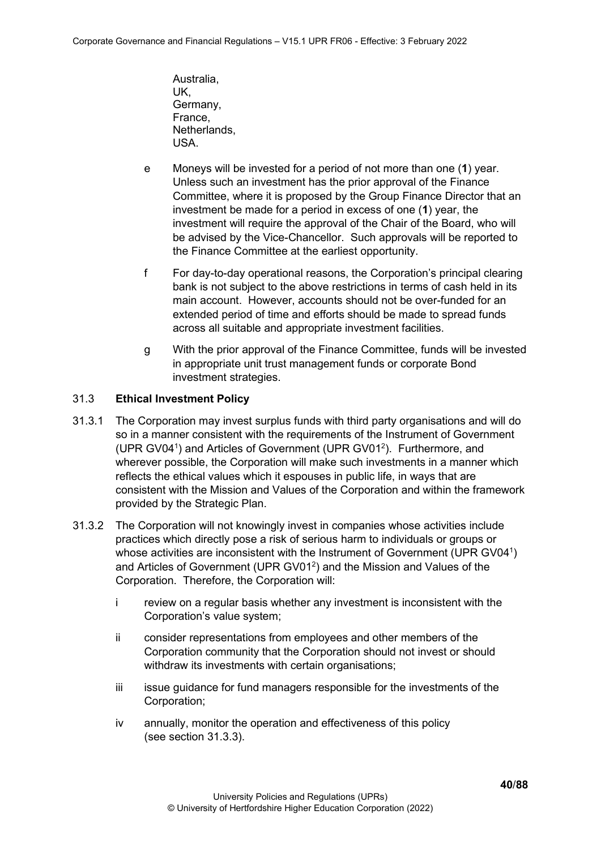- Australia, UK, Germany, France, Netherlands, USA.
- e Moneys will be invested for a period of not more than one (**1**) year. Unless such an investment has the prior approval of the Finance Committee, where it is proposed by the Group Finance Director that an investment be made for a period in excess of one (**1**) year, the investment will require the approval of the Chair of the Board, who will be advised by the Vice-Chancellor. Such approvals will be reported to the Finance Committee at the earliest opportunity.
- f For day-to-day operational reasons, the Corporation's principal clearing bank is not subject to the above restrictions in terms of cash held in its main account. However, accounts should not be over-funded for an extended period of time and efforts should be made to spread funds across all suitable and appropriate investment facilities.
- g With the prior approval of the Finance Committee, funds will be invested in appropriate unit trust management funds or corporate Bond investment strategies.

# 31.3 **Ethical Investment Policy**

- 31.3.1 The Corporation may invest surplus funds with third party organisations and will do so in a manner consistent with the requirements of the Instrument of Government (UPR GV04<sup>1</sup>) and Articles of Government (UPR GV01<sup>2</sup>). Furthermore, and wherever possible, the Corporation will make such investments in a manner which reflects the ethical values which it espouses in public life, in ways that are consistent with the Mission and Values of the Corporation and within the framework provided by the Strategic Plan.
- 31.3.2 The Corporation will not knowingly invest in companies whose activities include practices which directly pose a risk of serious harm to individuals or groups or whose activities are inconsistent with the Instrument of Government (UPR GV04<sup>1</sup>) and Articles of Government (UPR GV01<sup>2</sup>) and the Mission and Values of the Corporation. Therefore, the Corporation will:
	- i review on a regular basis whether any investment is inconsistent with the Corporation's value system;
	- ii consider representations from employees and other members of the Corporation community that the Corporation should not invest or should withdraw its investments with certain organisations:
	- iii issue guidance for fund managers responsible for the investments of the Corporation;
	- iv annually, monitor the operation and effectiveness of this policy (see section 31.3.3).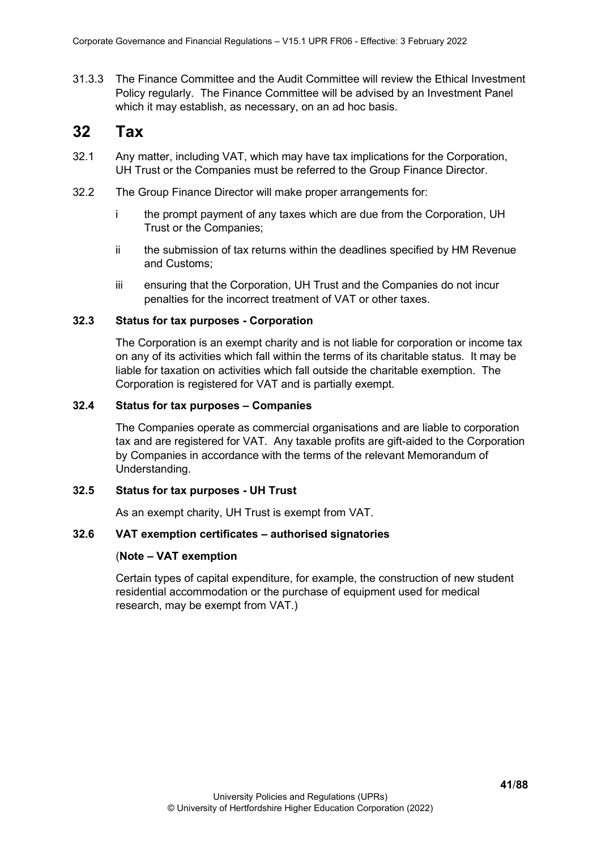31.3.3 The Finance Committee and the Audit Committee will review the Ethical Investment Policy regularly. The Finance Committee will be advised by an Investment Panel which it may establish, as necessary, on an ad hoc basis.

# **32 Tax**

- 32.1 Any matter, including VAT, which may have tax implications for the Corporation, UH Trust or the Companies must be referred to the Group Finance Director.
- 32.2 The Group Finance Director will make proper arrangements for:
	- i the prompt payment of any taxes which are due from the Corporation, UH Trust or the Companies;
	- ii the submission of tax returns within the deadlines specified by HM Revenue and Customs;
	- iii ensuring that the Corporation, UH Trust and the Companies do not incur penalties for the incorrect treatment of VAT or other taxes.

## **32.3 Status for tax purposes - Corporation**

The Corporation is an exempt charity and is not liable for corporation or income tax on any of its activities which fall within the terms of its charitable status. It may be liable for taxation on activities which fall outside the charitable exemption. The Corporation is registered for VAT and is partially exempt.

## **32.4 Status for tax purposes – Companies**

The Companies operate as commercial organisations and are liable to corporation tax and are registered for VAT. Any taxable profits are gift-aided to the Corporation by Companies in accordance with the terms of the relevant Memorandum of Understanding.

### **32.5 Status for tax purposes - UH Trust**

As an exempt charity, UH Trust is exempt from VAT.

# **32.6 VAT exemption certificates – authorised signatories**

# (**Note – VAT exemption**

Certain types of capital expenditure, for example, the construction of new student residential accommodation or the purchase of equipment used for medical research, may be exempt from VAT.)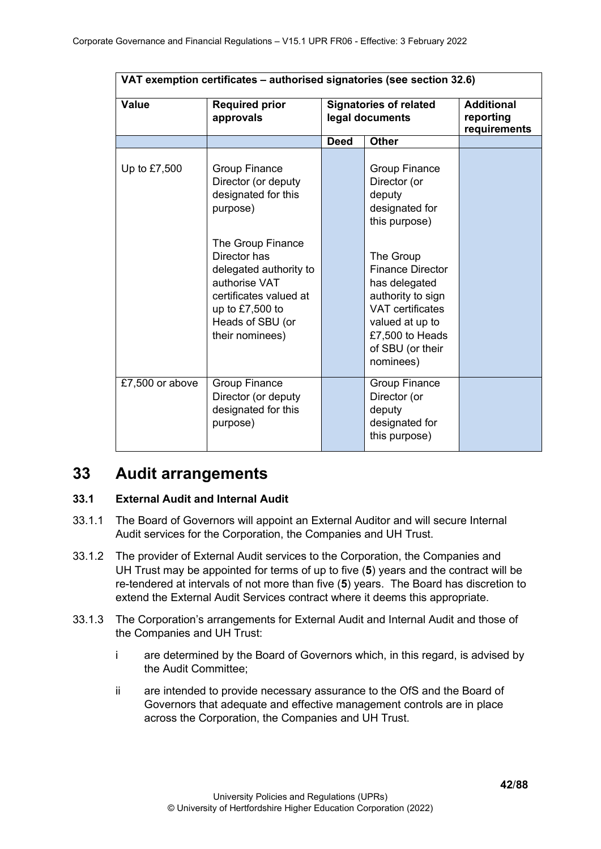| VAT exemption certificates - authorised signatories (see section 32.6) |                                                                                                                                                                                                                                                      |             |                                                                                                                                                                                                                                                                   |                                                |  |
|------------------------------------------------------------------------|------------------------------------------------------------------------------------------------------------------------------------------------------------------------------------------------------------------------------------------------------|-------------|-------------------------------------------------------------------------------------------------------------------------------------------------------------------------------------------------------------------------------------------------------------------|------------------------------------------------|--|
| <b>Value</b>                                                           | <b>Required prior</b><br>approvals                                                                                                                                                                                                                   |             | <b>Signatories of related</b><br>legal documents                                                                                                                                                                                                                  | <b>Additional</b><br>reporting<br>requirements |  |
|                                                                        |                                                                                                                                                                                                                                                      | <b>Deed</b> | <b>Other</b>                                                                                                                                                                                                                                                      |                                                |  |
| Up to £7,500                                                           | <b>Group Finance</b><br>Director (or deputy<br>designated for this<br>purpose)<br>The Group Finance<br>Director has<br>delegated authority to<br>authorise VAT<br>certificates valued at<br>up to $£7,500$ to<br>Heads of SBU (or<br>their nominees) |             | <b>Group Finance</b><br>Director (or<br>deputy<br>designated for<br>this purpose)<br>The Group<br><b>Finance Director</b><br>has delegated<br>authority to sign<br><b>VAT</b> certificates<br>valued at up to<br>£7,500 to Heads<br>of SBU (or their<br>nominees) |                                                |  |
| £7,500 or above                                                        | <b>Group Finance</b><br>Director (or deputy<br>designated for this<br>purpose)                                                                                                                                                                       |             | <b>Group Finance</b><br>Director (or<br>deputy<br>designated for<br>this purpose)                                                                                                                                                                                 |                                                |  |

# **33 Audit arrangements**

# **33.1 External Audit and Internal Audit**

- 33.1.1 The Board of Governors will appoint an External Auditor and will secure Internal Audit services for the Corporation, the Companies and UH Trust.
- 33.1.2 The provider of External Audit services to the Corporation, the Companies and UH Trust may be appointed for terms of up to five (**5**) years and the contract will be re-tendered at intervals of not more than five (**5**) years. The Board has discretion to extend the External Audit Services contract where it deems this appropriate.
- 33.1.3 The Corporation's arrangements for External Audit and Internal Audit and those of the Companies and UH Trust:
	- i are determined by the Board of Governors which, in this regard, is advised by the Audit Committee;
	- ii are intended to provide necessary assurance to the OfS and the Board of Governors that adequate and effective management controls are in place across the Corporation, the Companies and UH Trust.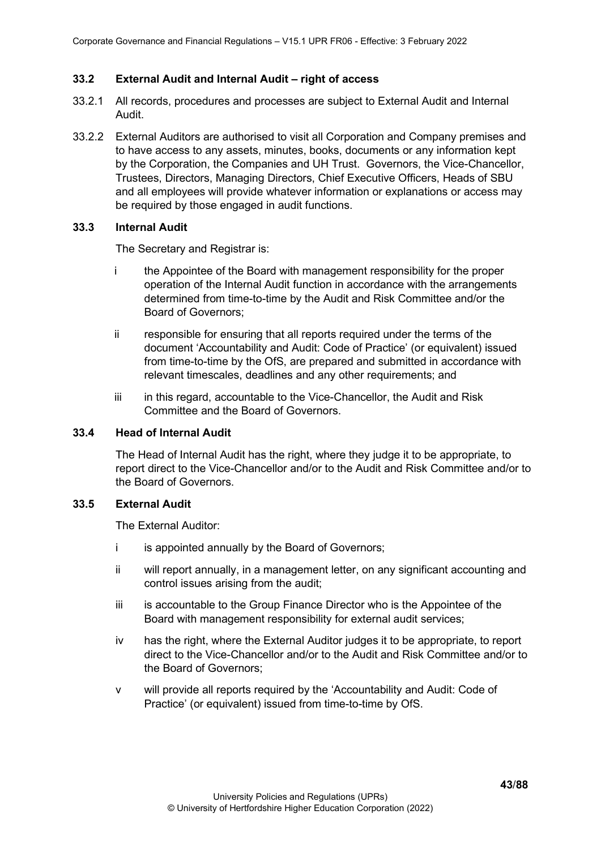## **33.2 External Audit and Internal Audit – right of access**

- 33.2.1 All records, procedures and processes are subject to External Audit and Internal Audit.
- 33.2.2 External Auditors are authorised to visit all Corporation and Company premises and to have access to any assets, minutes, books, documents or any information kept by the Corporation, the Companies and UH Trust. Governors, the Vice-Chancellor, Trustees, Directors, Managing Directors, Chief Executive Officers, Heads of SBU and all employees will provide whatever information or explanations or access may be required by those engaged in audit functions.

## **33.3 Internal Audit**

The Secretary and Registrar is:

- i the Appointee of the Board with management responsibility for the proper operation of the Internal Audit function in accordance with the arrangements determined from time-to-time by the Audit and Risk Committee and/or the Board of Governors;
- ii responsible for ensuring that all reports required under the terms of the document 'Accountability and Audit: Code of Practice' (or equivalent) issued from time-to-time by the OfS, are prepared and submitted in accordance with relevant timescales, deadlines and any other requirements; and
- iii in this regard, accountable to the Vice-Chancellor, the Audit and Risk Committee and the Board of Governors.

#### **33.4 Head of Internal Audit**

The Head of Internal Audit has the right, where they judge it to be appropriate, to report direct to the Vice-Chancellor and/or to the Audit and Risk Committee and/or to the Board of Governors.

# **33.5 External Audit**

The External Auditor:

- i is appointed annually by the Board of Governors;
- ii will report annually, in a management letter, on any significant accounting and control issues arising from the audit;
- iii is accountable to the Group Finance Director who is the Appointee of the Board with management responsibility for external audit services;
- iv has the right, where the External Auditor judges it to be appropriate, to report direct to the Vice-Chancellor and/or to the Audit and Risk Committee and/or to the Board of Governors;
- v will provide all reports required by the 'Accountability and Audit: Code of Practice' (or equivalent) issued from time-to-time by OfS.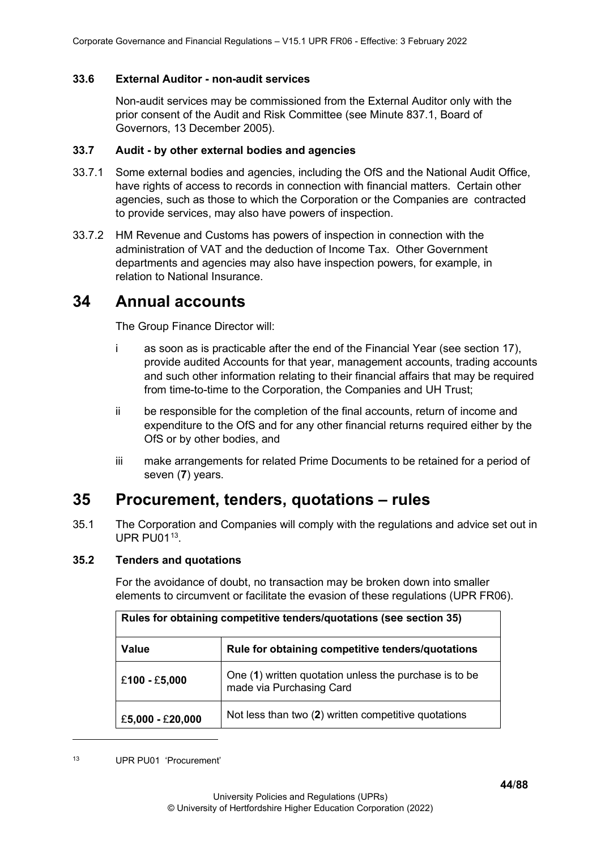# **33.6 External Auditor - non-audit services**

Non-audit services may be commissioned from the External Auditor only with the prior consent of the Audit and Risk Committee (see Minute 837.1, Board of Governors, 13 December 2005).

# **33.7 Audit - by other external bodies and agencies**

- 33.7.1 Some external bodies and agencies, including the OfS and the National Audit Office, have rights of access to records in connection with financial matters. Certain other agencies, such as those to which the Corporation or the Companies are contracted to provide services, may also have powers of inspection.
- 33.7.2 HM Revenue and Customs has powers of inspection in connection with the administration of VAT and the deduction of Income Tax. Other Government departments and agencies may also have inspection powers, for example, in relation to National Insurance.

# **34 Annual accounts**

The Group Finance Director will:

- i as soon as is practicable after the end of the Financial Year (see section 17), provide audited Accounts for that year, management accounts, trading accounts and such other information relating to their financial affairs that may be required from time-to-time to the Corporation, the Companies and UH Trust;
- ii be responsible for the completion of the final accounts, return of income and expenditure to the OfS and for any other financial returns required either by the OfS or by other bodies, and
- iii make arrangements for related Prime Documents to be retained for a period of seven (**7**) years.

# **35 Procurement, tenders, quotations – rules**

35.1 The Corporation and Companies will comply with the regulations and advice set out in  $UPR$  PU01 $13$ 

# **35.2 Tenders and quotations**

For the avoidance of doubt, no transaction may be broken down into smaller elements to circumvent or facilitate the evasion of these regulations (UPR FR06).

<span id="page-43-0"></span>

| Rules for obtaining competitive tenders/quotations (see section 35) |                                                                                    |  |  |
|---------------------------------------------------------------------|------------------------------------------------------------------------------------|--|--|
| <b>Value</b>                                                        | Rule for obtaining competitive tenders/quotations                                  |  |  |
| £100 - £5,000                                                       | One (1) written quotation unless the purchase is to be<br>made via Purchasing Card |  |  |
| £5,000 - £20,000                                                    | Not less than two (2) written competitive quotations                               |  |  |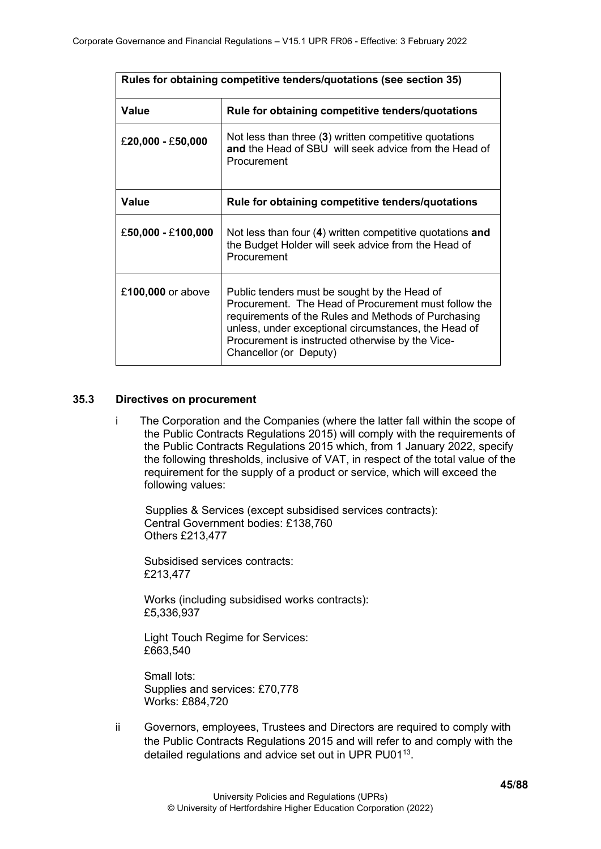| Rules for obtaining competitive tenders/quotations (see section 35) |                                                                                                                                                                                                                                                                                                   |  |  |
|---------------------------------------------------------------------|---------------------------------------------------------------------------------------------------------------------------------------------------------------------------------------------------------------------------------------------------------------------------------------------------|--|--|
| Value                                                               | Rule for obtaining competitive tenders/quotations                                                                                                                                                                                                                                                 |  |  |
| £20,000 - £50,000                                                   | Not less than three (3) written competitive quotations<br>and the Head of SBU will seek advice from the Head of<br>Procurement                                                                                                                                                                    |  |  |
| <b>Value</b>                                                        | Rule for obtaining competitive tenders/quotations                                                                                                                                                                                                                                                 |  |  |
| $£50,000 - £100,000$                                                | Not less than four (4) written competitive quotations and<br>the Budget Holder will seek advice from the Head of<br>Procurement                                                                                                                                                                   |  |  |
| £100,000 or above                                                   | Public tenders must be sought by the Head of<br>Procurement. The Head of Procurement must follow the<br>requirements of the Rules and Methods of Purchasing<br>unless, under exceptional circumstances, the Head of<br>Procurement is instructed otherwise by the Vice-<br>Chancellor (or Deputy) |  |  |

## **35.3 Directives on procurement**

i The Corporation and the Companies (where the latter fall within the scope of the Public Contracts Regulations 2015) will comply with the requirements of the Public Contracts Regulations 2015 which, from 1 January 2022, specify the following thresholds, inclusive of VAT, in respect of the total value of the requirement for the supply of a product or service, which will exceed the following values:

Supplies & Services (except subsidised services contracts): Central Government bodies: £138,760 Others £213,477

Subsidised services contracts: £213,477

Works (including subsidised works contracts): £5,336,937

Light Touch Regime for Services: £663,540

Small lots: Supplies and services: £70,778 Works: £884,720

ii Governors, employees, Trustees and Directors are required to comply with the Public Contracts Regulations 2015 and will refer to and comply with the detailed regulations and advice set out in UPR PU01<sup>13</sup>.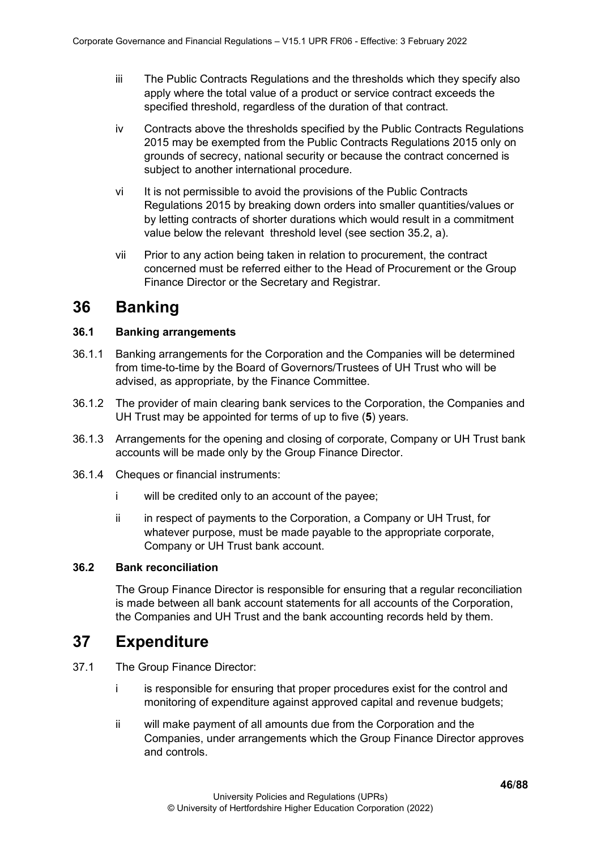- iii The Public Contracts Regulations and the thresholds which they specify also apply where the total value of a product or service contract exceeds the specified threshold, regardless of the duration of that contract.
- iv Contracts above the thresholds specified by the Public Contracts Regulations 2015 may be exempted from the Public Contracts Regulations 2015 only on grounds of secrecy, national security or because the contract concerned is subject to another international procedure.
- vi It is not permissible to avoid the provisions of the Public Contracts Regulations 2015 by breaking down orders into smaller quantities/values or by letting contracts of shorter durations which would result in a commitment value below the relevant threshold level (see section 35.2, a).
- vii Prior to any action being taken in relation to procurement, the contract concerned must be referred either to the Head of Procurement or the Group Finance Director or the Secretary and Registrar.

# **36 Banking**

# **36.1 Banking arrangements**

- 36.1.1 Banking arrangements for the Corporation and the Companies will be determined from time-to-time by the Board of Governors/Trustees of UH Trust who will be advised, as appropriate, by the Finance Committee.
- 36.1.2 The provider of main clearing bank services to the Corporation, the Companies and UH Trust may be appointed for terms of up to five (**5**) years.
- 36.1.3 Arrangements for the opening and closing of corporate, Company or UH Trust bank accounts will be made only by the Group Finance Director.
- 36.1.4 Cheques or financial instruments:
	- i will be credited only to an account of the payee;
	- ii in respect of payments to the Corporation, a Company or UH Trust, for whatever purpose, must be made payable to the appropriate corporate, Company or UH Trust bank account.

# **36.2 Bank reconciliation**

The Group Finance Director is responsible for ensuring that a regular reconciliation is made between all bank account statements for all accounts of the Corporation, the Companies and UH Trust and the bank accounting records held by them.

# **37 Expenditure**

- 37.1 The Group Finance Director:
	- i is responsible for ensuring that proper procedures exist for the control and monitoring of expenditure against approved capital and revenue budgets;
	- ii will make payment of all amounts due from the Corporation and the Companies, under arrangements which the Group Finance Director approves and controls.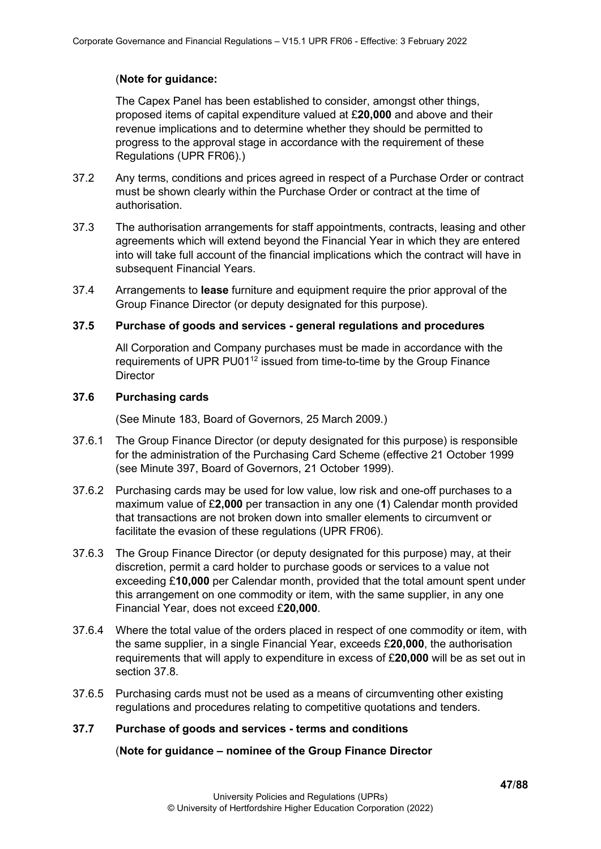# (**Note for guidance:**

The Capex Panel has been established to consider, amongst other things, proposed items of capital expenditure valued at £**20,000** and above and their revenue implications and to determine whether they should be permitted to progress to the approval stage in accordance with the requirement of these Regulations (UPR FR06).)

- 37.2 Any terms, conditions and prices agreed in respect of a Purchase Order or contract must be shown clearly within the Purchase Order or contract at the time of authorisation.
- 37.3 The authorisation arrangements for staff appointments, contracts, leasing and other agreements which will extend beyond the Financial Year in which they are entered into will take full account of the financial implications which the contract will have in subsequent Financial Years.
- 37.4 Arrangements to **lease** furniture and equipment require the prior approval of the Group Finance Director (or deputy designated for this purpose).

# **37.5 Purchase of goods and services - general regulations and procedures**

All Corporation and Company purchases must be made in accordance with the requirements of UPR PU01<sup>12</sup> issued from time-to-time by the Group Finance **Director** 

## **37.6 Purchasing cards**

(See Minute 183, Board of Governors, 25 March 2009.)

- 37.6.1 The Group Finance Director (or deputy designated for this purpose) is responsible for the administration of the Purchasing Card Scheme (effective 21 October 1999 (see Minute 397, Board of Governors, 21 October 1999).
- 37.6.2 Purchasing cards may be used for low value, low risk and one-off purchases to a maximum value of £**2,000** per transaction in any one (**1**) Calendar month provided that transactions are not broken down into smaller elements to circumvent or facilitate the evasion of these regulations (UPR FR06).
- 37.6.3 The Group Finance Director (or deputy designated for this purpose) may, at their discretion, permit a card holder to purchase goods or services to a value not exceeding £**10,000** per Calendar month, provided that the total amount spent under this arrangement on one commodity or item, with the same supplier, in any one Financial Year, does not exceed £**20,000**.
- 37.6.4 Where the total value of the orders placed in respect of one commodity or item, with the same supplier, in a single Financial Year, exceeds £**20,000**, the authorisation requirements that will apply to expenditure in excess of £**20,000** will be as set out in section 37.8.
- 37.6.5 Purchasing cards must not be used as a means of circumventing other existing regulations and procedures relating to competitive quotations and tenders.

# **37.7 Purchase of goods and services - terms and conditions**

(**Note for guidance – nominee of the Group Finance Director**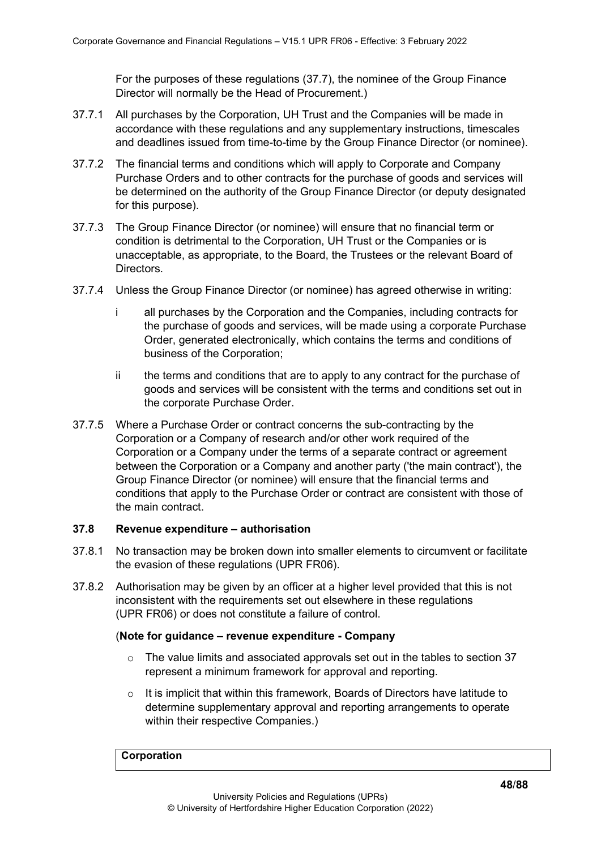For the purposes of these regulations (37.7), the nominee of the Group Finance Director will normally be the Head of Procurement.)

- 37.7.1 All purchases by the Corporation, UH Trust and the Companies will be made in accordance with these regulations and any supplementary instructions, timescales and deadlines issued from time-to-time by the Group Finance Director (or nominee).
- 37.7.2 The financial terms and conditions which will apply to Corporate and Company Purchase Orders and to other contracts for the purchase of goods and services will be determined on the authority of the Group Finance Director (or deputy designated for this purpose).
- 37.7.3 The Group Finance Director (or nominee) will ensure that no financial term or condition is detrimental to the Corporation, UH Trust or the Companies or is unacceptable, as appropriate, to the Board, the Trustees or the relevant Board of Directors.
- 37.7.4 Unless the Group Finance Director (or nominee) has agreed otherwise in writing:
	- i all purchases by the Corporation and the Companies, including contracts for the purchase of goods and services, will be made using a corporate Purchase Order, generated electronically, which contains the terms and conditions of business of the Corporation;
	- ii the terms and conditions that are to apply to any contract for the purchase of goods and services will be consistent with the terms and conditions set out in the corporate Purchase Order.
- 37.7.5 Where a Purchase Order or contract concerns the sub-contracting by the Corporation or a Company of research and/or other work required of the Corporation or a Company under the terms of a separate contract or agreement between the Corporation or a Company and another party ('the main contract'), the Group Finance Director (or nominee) will ensure that the financial terms and conditions that apply to the Purchase Order or contract are consistent with those of the main contract.

#### **37.8 Revenue expenditure – authorisation**

- 37.8.1 No transaction may be broken down into smaller elements to circumvent or facilitate the evasion of these regulations (UPR FR06).
- 37.8.2 Authorisation may be given by an officer at a higher level provided that this is not inconsistent with the requirements set out elsewhere in these regulations (UPR FR06) or does not constitute a failure of control.

#### (**Note for guidance – revenue expenditure - Company**

- o The value limits and associated approvals set out in the tables to section 37 represent a minimum framework for approval and reporting.
- $\circ$  It is implicit that within this framework, Boards of Directors have latitude to determine supplementary approval and reporting arrangements to operate within their respective Companies.)

#### **Corporation**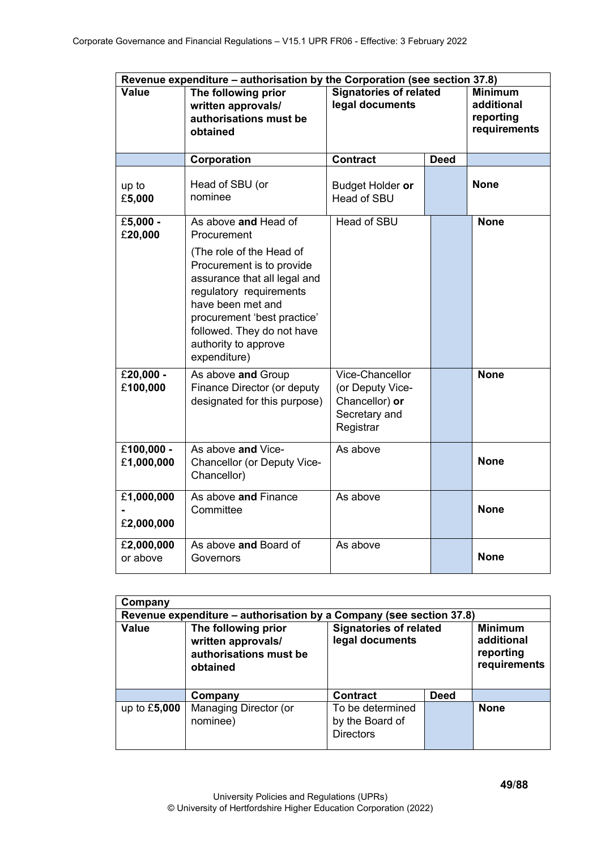|                            | Revenue expenditure - authorisation by the Corporation (see section 37.8)                                                                                                                                                                  |                                                                                     |             |                                                           |
|----------------------------|--------------------------------------------------------------------------------------------------------------------------------------------------------------------------------------------------------------------------------------------|-------------------------------------------------------------------------------------|-------------|-----------------------------------------------------------|
| <b>Value</b>               | The following prior<br>written approvals/<br>authorisations must be<br>obtained                                                                                                                                                            | <b>Signatories of related</b><br>legal documents                                    |             | <b>Minimum</b><br>additional<br>reporting<br>requirements |
|                            | Corporation                                                                                                                                                                                                                                | <b>Contract</b>                                                                     | <b>Deed</b> |                                                           |
| up to<br>£5,000            | Head of SBU (or<br>nominee                                                                                                                                                                                                                 | Budget Holder or<br><b>Head of SBU</b>                                              |             | <b>None</b>                                               |
| £5,000 -<br>£20,000        | As above and Head of<br>Procurement                                                                                                                                                                                                        | <b>Head of SBU</b>                                                                  |             | <b>None</b>                                               |
|                            | (The role of the Head of<br>Procurement is to provide<br>assurance that all legal and<br>regulatory requirements<br>have been met and<br>procurement 'best practice'<br>followed. They do not have<br>authority to approve<br>expenditure) |                                                                                     |             |                                                           |
| £20,000 -<br>£100,000      | As above and Group<br>Finance Director (or deputy<br>designated for this purpose)                                                                                                                                                          | Vice-Chancellor<br>(or Deputy Vice-<br>Chancellor) or<br>Secretary and<br>Registrar |             | <b>None</b>                                               |
| $£100,000 -$<br>£1,000,000 | As above and Vice-<br>Chancellor (or Deputy Vice-<br>Chancellor)                                                                                                                                                                           | As above                                                                            |             | <b>None</b>                                               |
| £1,000,000<br>£2,000,000   | As above and Finance<br>Committee                                                                                                                                                                                                          | As above                                                                            |             | <b>None</b>                                               |
| £2,000,000<br>or above     | As above and Board of<br>Governors                                                                                                                                                                                                         | As above                                                                            |             | <b>None</b>                                               |

| Company        |                                                                                 |                                                         |             |                                                           |
|----------------|---------------------------------------------------------------------------------|---------------------------------------------------------|-------------|-----------------------------------------------------------|
|                | Revenue expenditure – authorisation by a Company (see section 37.8)             |                                                         |             |                                                           |
| Value          | The following prior<br>written approvals/<br>authorisations must be<br>obtained | <b>Signatories of related</b><br>legal documents        |             | <b>Minimum</b><br>additional<br>reporting<br>requirements |
|                | Company                                                                         | <b>Contract</b>                                         | <b>Deed</b> |                                                           |
| up to $£5,000$ | Managing Director (or<br>nominee)                                               | To be determined<br>by the Board of<br><b>Directors</b> |             | <b>None</b>                                               |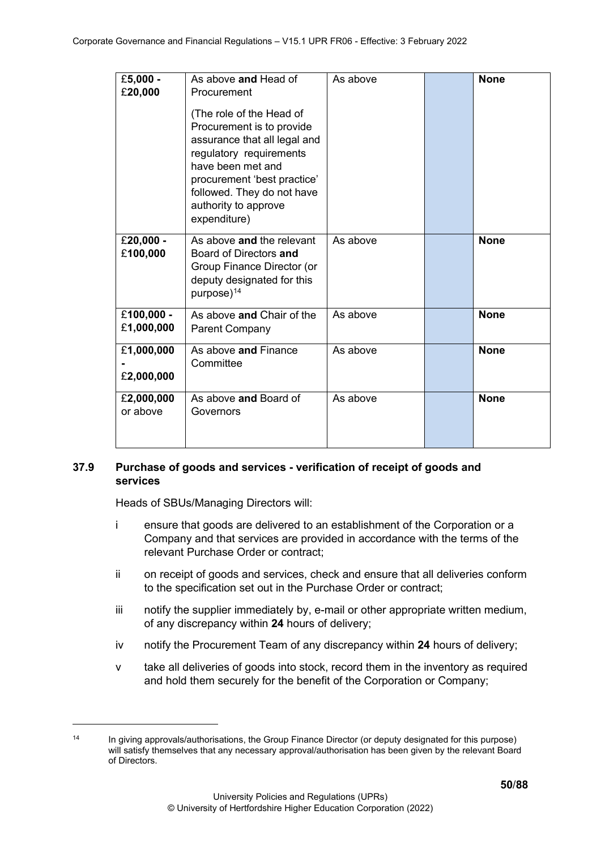| £5,000 -<br>£20,000      | As above and Head of<br>Procurement<br>(The role of the Head of<br>Procurement is to provide<br>assurance that all legal and<br>regulatory requirements<br>have been met and<br>procurement 'best practice'<br>followed. They do not have<br>authority to approve<br>expenditure) | As above | <b>None</b> |
|--------------------------|-----------------------------------------------------------------------------------------------------------------------------------------------------------------------------------------------------------------------------------------------------------------------------------|----------|-------------|
| £20,000 -<br>£100,000    | As above and the relevant<br>Board of Directors and<br>Group Finance Director (or<br>deputy designated for this<br>purpose) <sup>14</sup>                                                                                                                                         | As above | <b>None</b> |
| £100,000 -<br>£1,000,000 | As above and Chair of the<br><b>Parent Company</b>                                                                                                                                                                                                                                | As above | <b>None</b> |
| £1,000,000<br>£2,000,000 | As above and Finance<br>Committee                                                                                                                                                                                                                                                 | As above | <b>None</b> |
| £2,000,000<br>or above   | As above and Board of<br>Governors                                                                                                                                                                                                                                                | As above | <b>None</b> |

# **37.9 Purchase of goods and services - verification of receipt of goods and services**

Heads of SBUs/Managing Directors will:

- i ensure that goods are delivered to an establishment of the Corporation or a Company and that services are provided in accordance with the terms of the relevant Purchase Order or contract;
- ii on receipt of goods and services, check and ensure that all deliveries conform to the specification set out in the Purchase Order or contract;
- iii notify the supplier immediately by, e-mail or other appropriate written medium, of any discrepancy within **24** hours of delivery;
- iv notify the Procurement Team of any discrepancy within **24** hours of delivery;
- v take all deliveries of goods into stock, record them in the inventory as required and hold them securely for the benefit of the Corporation or Company;

<span id="page-49-0"></span><sup>&</sup>lt;sup>14</sup> In giving approvals/authorisations, the Group Finance Director (or deputy designated for this purpose) will satisfy themselves that any necessary approval/authorisation has been given by the relevant Board of Directors.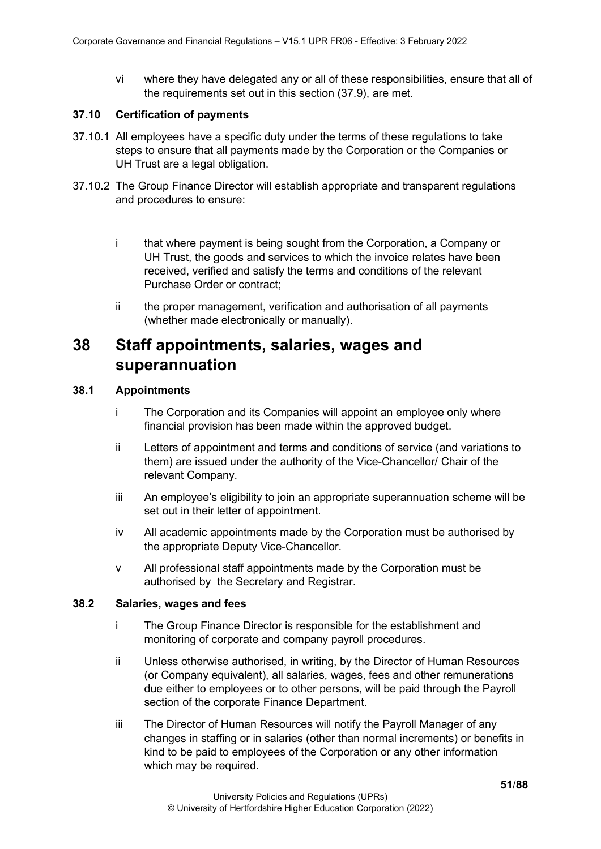vi where they have delegated any or all of these responsibilities, ensure that all of the requirements set out in this section (37.9), are met.

### **37.10 Certification of payments**

- 37.10.1 All employees have a specific duty under the terms of these regulations to take steps to ensure that all payments made by the Corporation or the Companies or UH Trust are a legal obligation.
- 37.10.2 The Group Finance Director will establish appropriate and transparent regulations and procedures to ensure:
	- i that where payment is being sought from the Corporation, a Company or UH Trust, the goods and services to which the invoice relates have been received, verified and satisfy the terms and conditions of the relevant Purchase Order or contract;
	- ii the proper management, verification and authorisation of all payments (whether made electronically or manually).

# **38 Staff appointments, salaries, wages and superannuation**

## **38.1 Appointments**

- i The Corporation and its Companies will appoint an employee only where financial provision has been made within the approved budget.
- ii Letters of appointment and terms and conditions of service (and variations to them) are issued under the authority of the Vice-Chancellor/ Chair of the relevant Company.
- iii An employee's eligibility to join an appropriate superannuation scheme will be set out in their letter of appointment.
- iv All academic appointments made by the Corporation must be authorised by the appropriate Deputy Vice-Chancellor.
- v All professional staff appointments made by the Corporation must be authorised by the Secretary and Registrar.

## **38.2 Salaries, wages and fees**

- i The Group Finance Director is responsible for the establishment and monitoring of corporate and company payroll procedures.
- ii Unless otherwise authorised, in writing, by the Director of Human Resources (or Company equivalent), all salaries, wages, fees and other remunerations due either to employees or to other persons, will be paid through the Payroll section of the corporate Finance Department.
- iii The Director of Human Resources will notify the Payroll Manager of any changes in staffing or in salaries (other than normal increments) or benefits in kind to be paid to employees of the Corporation or any other information which may be required.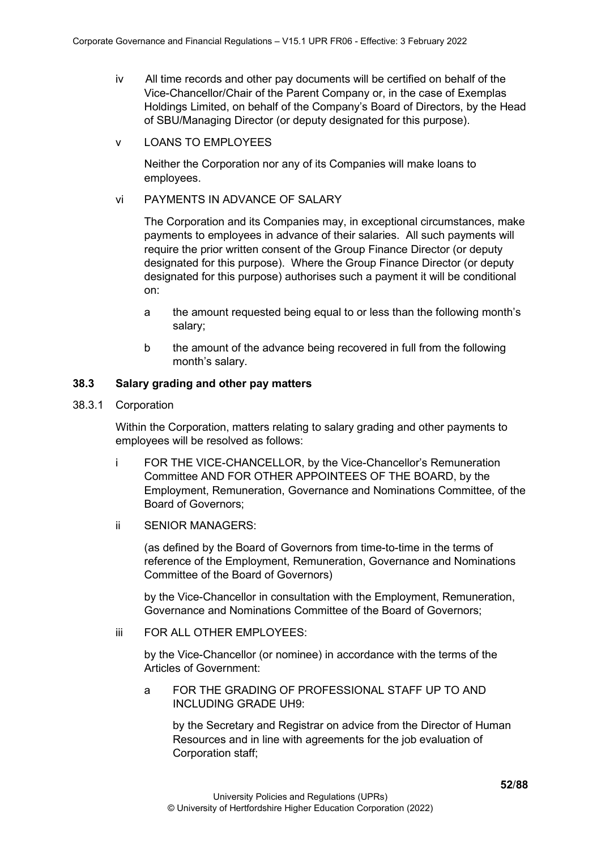- iv All time records and other pay documents will be certified on behalf of the Vice-Chancellor/Chair of the Parent Company or, in the case of Exemplas Holdings Limited, on behalf of the Company's Board of Directors, by the Head of SBU/Managing Director (or deputy designated for this purpose).
- v LOANS TO EMPLOYEES

Neither the Corporation nor any of its Companies will make loans to employees.

#### vi PAYMENTS IN ADVANCE OF SALARY

The Corporation and its Companies may, in exceptional circumstances, make payments to employees in advance of their salaries. All such payments will require the prior written consent of the Group Finance Director (or deputy designated for this purpose). Where the Group Finance Director (or deputy designated for this purpose) authorises such a payment it will be conditional on:

- a the amount requested being equal to or less than the following month's salary;
- b the amount of the advance being recovered in full from the following month's salary.

## **38.3 Salary grading and other pay matters**

38.3.1 Corporation

Within the Corporation, matters relating to salary grading and other payments to employees will be resolved as follows:

- i FOR THE VICE-CHANCELLOR, by the Vice-Chancellor's Remuneration Committee AND FOR OTHER APPOINTEES OF THE BOARD, by the Employment, Remuneration, Governance and Nominations Committee, of the Board of Governors;
- ii SENIOR MANAGERS:

(as defined by the Board of Governors from time-to-time in the terms of reference of the Employment, Remuneration, Governance and Nominations Committee of the Board of Governors)

by the Vice-Chancellor in consultation with the Employment, Remuneration, Governance and Nominations Committee of the Board of Governors;

iii FOR ALL OTHER EMPLOYEES:

by the Vice-Chancellor (or nominee) in accordance with the terms of the Articles of Government:

a FOR THE GRADING OF PROFESSIONAL STAFF UP TO AND INCLUDING GRADE UH9:

by the Secretary and Registrar on advice from the Director of Human Resources and in line with agreements for the job evaluation of Corporation staff;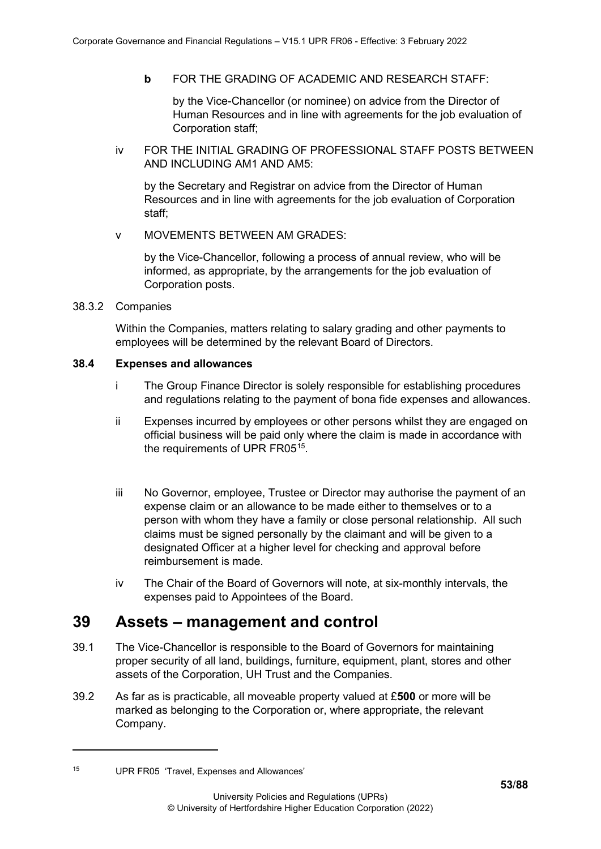**b** FOR THE GRADING OF ACADEMIC AND RESEARCH STAFF:

by the Vice-Chancellor (or nominee) on advice from the Director of Human Resources and in line with agreements for the job evaluation of Corporation staff;

iv FOR THE INITIAL GRADING OF PROFESSIONAL STAFF POSTS BETWEEN AND INCLUDING AM1 AND AM5:

by the Secretary and Registrar on advice from the Director of Human Resources and in line with agreements for the job evaluation of Corporation staff;

v MOVEMENTS BETWEEN AM GRADES:

by the Vice-Chancellor, following a process of annual review, who will be informed, as appropriate, by the arrangements for the job evaluation of Corporation posts.

## 38.3.2 Companies

Within the Companies, matters relating to salary grading and other payments to employees will be determined by the relevant Board of Directors.

## **38.4 Expenses and allowances**

- i The Group Finance Director is solely responsible for establishing procedures and regulations relating to the payment of bona fide expenses and allowances.
- ii Expenses incurred by employees or other persons whilst they are engaged on official business will be paid only where the claim is made in accordance with the requirements of UPR FR05<sup>15</sup>.
- iii No Governor, employee, Trustee or Director may authorise the payment of an expense claim or an allowance to be made either to themselves or to a person with whom they have a family or close personal relationship. All such claims must be signed personally by the claimant and will be given to a designated Officer at a higher level for checking and approval before reimbursement is made.
- iv The Chair of the Board of Governors will note, at six-monthly intervals, the expenses paid to Appointees of the Board.

# **39 Assets – management and control**

- 39.1 The Vice-Chancellor is responsible to the Board of Governors for maintaining proper security of all land, buildings, furniture, equipment, plant, stores and other assets of the Corporation, UH Trust and the Companies.
- 39.2 As far as is practicable, all moveable property valued at £**500** or more will be marked as belonging to the Corporation or, where appropriate, the relevant Company.

<span id="page-52-0"></span><sup>15</sup> UPR FR05 'Travel, Expenses and Allowances'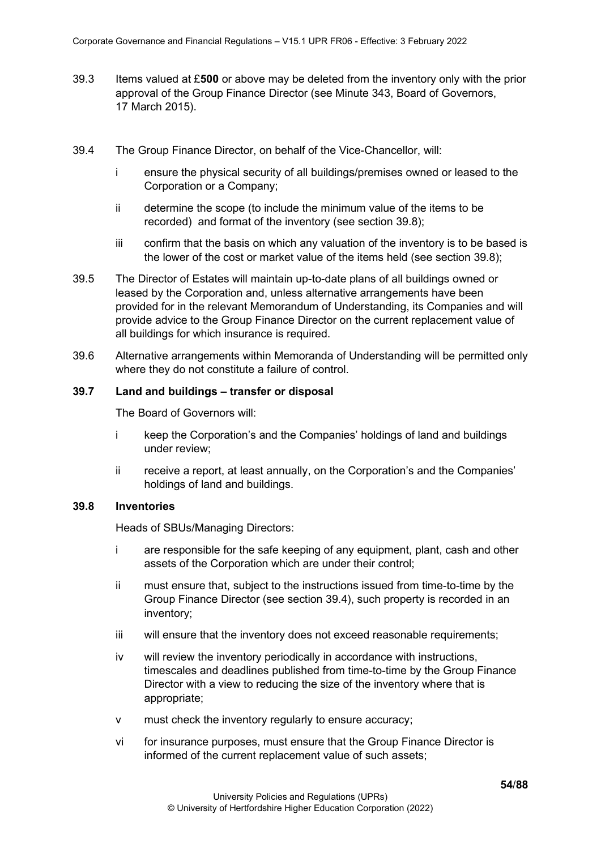- 39.3 Items valued at £**500** or above may be deleted from the inventory only with the prior approval of the Group Finance Director (see Minute 343, Board of Governors, 17 March 2015).
- 39.4 The Group Finance Director, on behalf of the Vice-Chancellor, will:
	- i ensure the physical security of all buildings/premises owned or leased to the Corporation or a Company;
	- ii determine the scope (to include the minimum value of the items to be recorded) and format of the inventory (see section 39.8);
	- iii confirm that the basis on which any valuation of the inventory is to be based is the lower of the cost or market value of the items held (see section 39.8);
- 39.5 The Director of Estates will maintain up-to-date plans of all buildings owned or leased by the Corporation and, unless alternative arrangements have been provided for in the relevant Memorandum of Understanding, its Companies and will provide advice to the Group Finance Director on the current replacement value of all buildings for which insurance is required.
- 39.6 Alternative arrangements within Memoranda of Understanding will be permitted only where they do not constitute a failure of control.

# **39.7 Land and buildings – transfer or disposal**

The Board of Governors will:

- i keep the Corporation's and the Companies' holdings of land and buildings under review;
- ii receive a report, at least annually, on the Corporation's and the Companies' holdings of land and buildings.

# **39.8 Inventories**

Heads of SBUs/Managing Directors:

- i are responsible for the safe keeping of any equipment, plant, cash and other assets of the Corporation which are under their control;
- ii must ensure that, subject to the instructions issued from time-to-time by the Group Finance Director (see section 39.4), such property is recorded in an inventory;
- iii will ensure that the inventory does not exceed reasonable requirements;
- iv will review the inventory periodically in accordance with instructions, timescales and deadlines published from time-to-time by the Group Finance Director with a view to reducing the size of the inventory where that is appropriate;
- v must check the inventory regularly to ensure accuracy;
- vi for insurance purposes, must ensure that the Group Finance Director is informed of the current replacement value of such assets;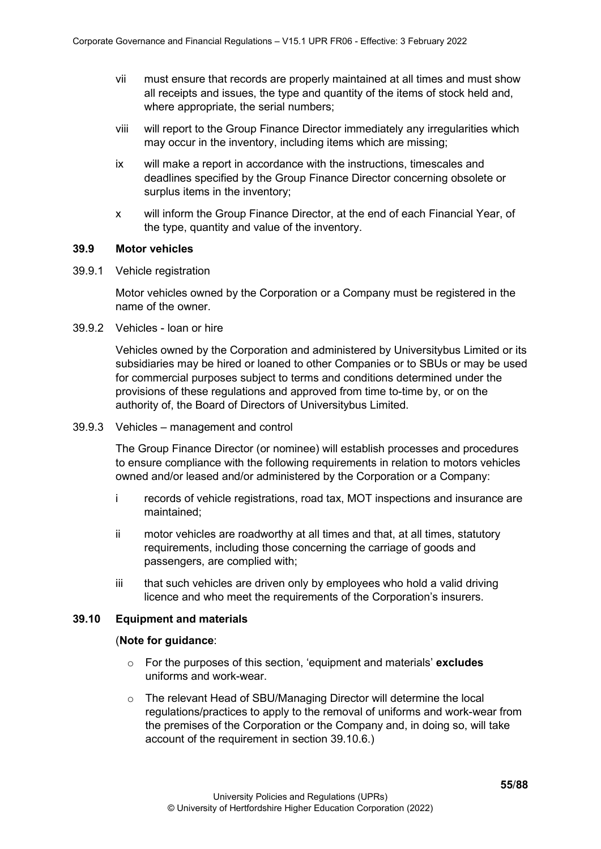- vii must ensure that records are properly maintained at all times and must show all receipts and issues, the type and quantity of the items of stock held and, where appropriate, the serial numbers;
- viii will report to the Group Finance Director immediately any irregularities which may occur in the inventory, including items which are missing;
- ix will make a report in accordance with the instructions, timescales and deadlines specified by the Group Finance Director concerning obsolete or surplus items in the inventory;
- x will inform the Group Finance Director, at the end of each Financial Year, of the type, quantity and value of the inventory.

## **39.9 Motor vehicles**

39.9.1 Vehicle registration

Motor vehicles owned by the Corporation or a Company must be registered in the name of the owner.

39.9.2 Vehicles - loan or hire

Vehicles owned by the Corporation and administered by Universitybus Limited or its subsidiaries may be hired or loaned to other Companies or to SBUs or may be used for commercial purposes subject to terms and conditions determined under the provisions of these regulations and approved from time to-time by, or on the authority of, the Board of Directors of Universitybus Limited.

39.9.3 Vehicles – management and control

The Group Finance Director (or nominee) will establish processes and procedures to ensure compliance with the following requirements in relation to motors vehicles owned and/or leased and/or administered by the Corporation or a Company:

- i records of vehicle registrations, road tax, MOT inspections and insurance are maintained;
- ii motor vehicles are roadworthy at all times and that, at all times, statutory requirements, including those concerning the carriage of goods and passengers, are complied with;
- iii that such vehicles are driven only by employees who hold a valid driving licence and who meet the requirements of the Corporation's insurers.

#### **39.10 Equipment and materials**

#### (**Note for guidance**:

- o For the purposes of this section, 'equipment and materials' **excludes** uniforms and work-wear.
- o The relevant Head of SBU/Managing Director will determine the local regulations/practices to apply to the removal of uniforms and work-wear from the premises of the Corporation or the Company and, in doing so, will take account of the requirement in section 39.10.6.)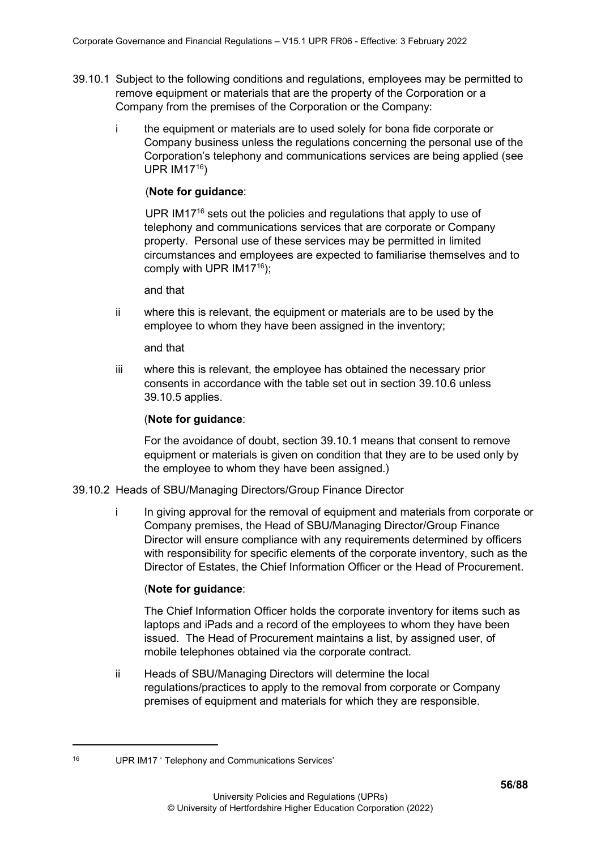- 39.10.1 Subject to the following conditions and regulations, employees may be permitted to remove equipment or materials that are the property of the Corporation or a Company from the premises of the Corporation or the Company:
	- i the equipment or materials are to used solely for bona fide corporate or Company business unless the regulations concerning the personal use of the Corporation's telephony and communications services are being applied (see UPR IM17[16\)](#page-55-0)

## (**Note for guidance**:

UPR IM17<sup>16</sup> sets out the policies and regulations that apply to use of telephony and communications services that are corporate or Company property. Personal use of these services may be permitted in limited circumstances and employees are expected to familiarise themselves and to comply with UPR  $IM17^{16}$ );

and that

ii where this is relevant, the equipment or materials are to be used by the employee to whom they have been assigned in the inventory;

and that

iii where this is relevant, the employee has obtained the necessary prior consents in accordance with the table set out in section 39.10.6 unless 39.10.5 applies.

#### (**Note for guidance**:

For the avoidance of doubt, section 39.10.1 means that consent to remove equipment or materials is given on condition that they are to be used only by the employee to whom they have been assigned.)

#### 39.10.2 Heads of SBU/Managing Directors/Group Finance Director

i In giving approval for the removal of equipment and materials from corporate or Company premises, the Head of SBU/Managing Director/Group Finance Director will ensure compliance with any requirements determined by officers with responsibility for specific elements of the corporate inventory, such as the Director of Estates, the Chief Information Officer or the Head of Procurement.

#### (**Note for guidance**:

The Chief Information Officer holds the corporate inventory for items such as laptops and iPads and a record of the employees to whom they have been issued. The Head of Procurement maintains a list, by assigned user, of mobile telephones obtained via the corporate contract.

ii Heads of SBU/Managing Directors will determine the local regulations/practices to apply to the removal from corporate or Company premises of equipment and materials for which they are responsible.

<span id="page-55-0"></span><sup>16</sup> UPR IM17 ' Telephony and Communications Services'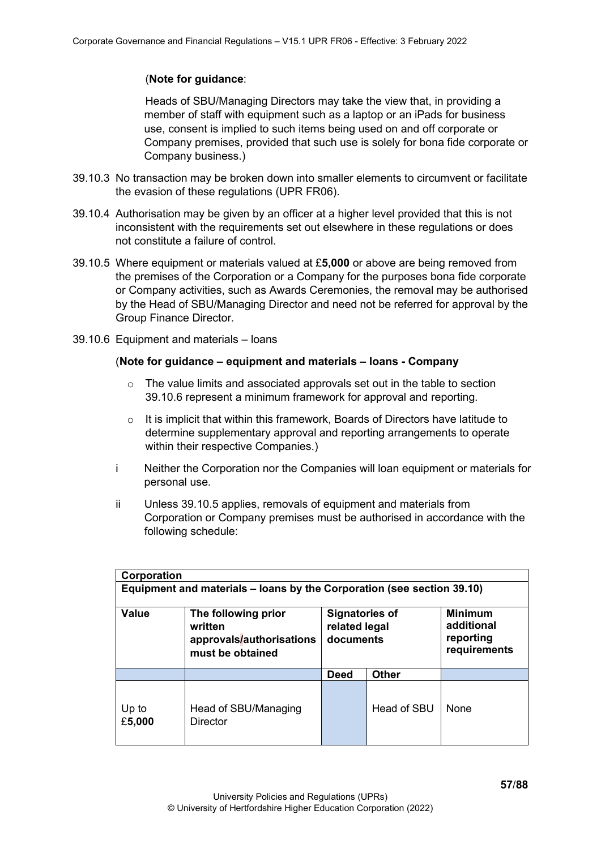# (**Note for guidance**:

Heads of SBU/Managing Directors may take the view that, in providing a member of staff with equipment such as a laptop or an iPads for business use, consent is implied to such items being used on and off corporate or Company premises, provided that such use is solely for bona fide corporate or Company business.)

- 39.10.3 No transaction may be broken down into smaller elements to circumvent or facilitate the evasion of these regulations (UPR FR06).
- 39.10.4 Authorisation may be given by an officer at a higher level provided that this is not inconsistent with the requirements set out elsewhere in these regulations or does not constitute a failure of control.
- 39.10.5 Where equipment or materials valued at £**5,000** or above are being removed from the premises of the Corporation or a Company for the purposes bona fide corporate or Company activities, such as Awards Ceremonies, the removal may be authorised by the Head of SBU/Managing Director and need not be referred for approval by the Group Finance Director.
- 39.10.6 Equipment and materials loans

# (**Note for guidance – equipment and materials – loans - Company**

- o The value limits and associated approvals set out in the table to section 39.10.6 represent a minimum framework for approval and reporting.
- $\circ$  It is implicit that within this framework, Boards of Directors have latitude to determine supplementary approval and reporting arrangements to operate within their respective Companies.)
- i Neither the Corporation nor the Companies will loan equipment or materials for personal use.
- ii Unless 39.10.5 applies, removals of equipment and materials from Corporation or Company premises must be authorised in accordance with the following schedule:

| Corporation  |                                                                                |                                                     |              |                                                           |
|--------------|--------------------------------------------------------------------------------|-----------------------------------------------------|--------------|-----------------------------------------------------------|
|              | Equipment and materials – loans by the Corporation (see section 39.10)         |                                                     |              |                                                           |
| <b>Value</b> | The following prior<br>written<br>approvals/authorisations<br>must be obtained | <b>Signatories of</b><br>related legal<br>documents |              | <b>Minimum</b><br>additional<br>reporting<br>requirements |
|              |                                                                                | <b>Deed</b>                                         | <b>Other</b> |                                                           |
|              |                                                                                |                                                     |              |                                                           |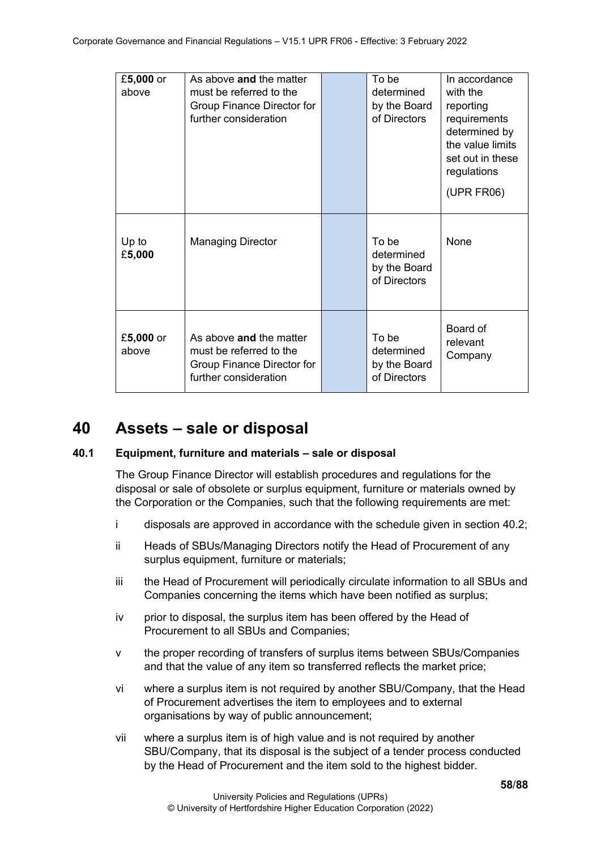| £5,000 or<br>above | As above and the matter<br>must be referred to the<br>Group Finance Director for<br>further consideration | To be<br>determined<br>by the Board<br>of Directors | In accordance<br>with the<br>reporting<br>requirements<br>determined by<br>the value limits<br>set out in these<br>regulations<br>(UPR FR06) |
|--------------------|-----------------------------------------------------------------------------------------------------------|-----------------------------------------------------|----------------------------------------------------------------------------------------------------------------------------------------------|
| Up to<br>£5,000    | <b>Managing Director</b>                                                                                  | To be<br>determined<br>by the Board<br>of Directors | None                                                                                                                                         |
| £5,000 or<br>above | As above and the matter<br>must be referred to the<br>Group Finance Director for<br>further consideration | To be<br>determined<br>by the Board<br>of Directors | Board of<br>relevant<br>Company                                                                                                              |

# **40 Assets – sale or disposal**

# **40.1 Equipment, furniture and materials – sale or disposal**

The Group Finance Director will establish procedures and regulations for the disposal or sale of obsolete or surplus equipment, furniture or materials owned by the Corporation or the Companies, such that the following requirements are met:

- i disposals are approved in accordance with the schedule given in section 40.2;
- ii Heads of SBUs/Managing Directors notify the Head of Procurement of any surplus equipment, furniture or materials;
- iii the Head of Procurement will periodically circulate information to all SBUs and Companies concerning the items which have been notified as surplus;
- iv prior to disposal, the surplus item has been offered by the Head of Procurement to all SBUs and Companies;
- v the proper recording of transfers of surplus items between SBUs/Companies and that the value of any item so transferred reflects the market price;
- vi where a surplus item is not required by another SBU/Company, that the Head of Procurement advertises the item to employees and to external organisations by way of public announcement;
- vii where a surplus item is of high value and is not required by another SBU/Company, that its disposal is the subject of a tender process conducted by the Head of Procurement and the item sold to the highest bidder.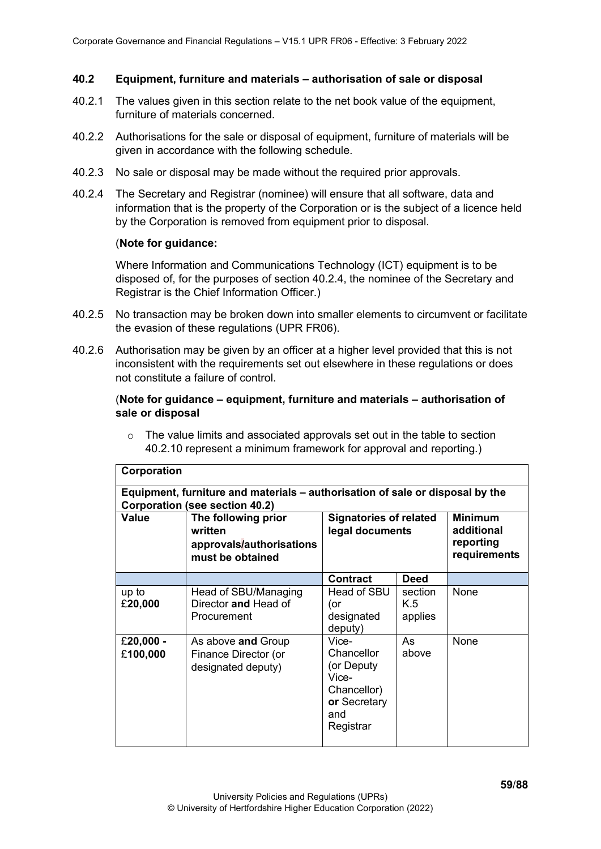## **40.2 Equipment, furniture and materials – authorisation of sale or disposal**

- 40.2.1 The values given in this section relate to the net book value of the equipment, furniture of materials concerned.
- 40.2.2 Authorisations for the sale or disposal of equipment, furniture of materials will be given in accordance with the following schedule.
- 40.2.3 No sale or disposal may be made without the required prior approvals.
- 40.2.4 The Secretary and Registrar (nominee) will ensure that all software, data and information that is the property of the Corporation or is the subject of a licence held by the Corporation is removed from equipment prior to disposal.

#### (**Note for guidance:**

Where Information and Communications Technology (ICT) equipment is to be disposed of, for the purposes of section 40.2.4, the nominee of the Secretary and Registrar is the Chief Information Officer.)

- 40.2.5 No transaction may be broken down into smaller elements to circumvent or facilitate the evasion of these regulations (UPR FR06).
- 40.2.6 Authorisation may be given by an officer at a higher level provided that this is not inconsistent with the requirements set out elsewhere in these regulations or does not constitute a failure of control.

## (**Note for guidance – equipment, furniture and materials – authorisation of sale or disposal**

 $\circ$  The value limits and associated approvals set out in the table to section 40.2.10 represent a minimum framework for approval and reporting.)

| Corporation                                                                                                     |                                                                                |                                                                                               |                           |                                                           |  |  |
|-----------------------------------------------------------------------------------------------------------------|--------------------------------------------------------------------------------|-----------------------------------------------------------------------------------------------|---------------------------|-----------------------------------------------------------|--|--|
| Equipment, furniture and materials – authorisation of sale or disposal by the<br>Corporation (see section 40.2) |                                                                                |                                                                                               |                           |                                                           |  |  |
| Value                                                                                                           | The following prior<br>written<br>approvals/authorisations<br>must be obtained | <b>Signatories of related</b><br>legal documents                                              |                           | <b>Minimum</b><br>additional<br>reporting<br>requirements |  |  |
|                                                                                                                 |                                                                                | <b>Contract</b>                                                                               | <b>Deed</b>               |                                                           |  |  |
| up to<br>£20,000                                                                                                | Head of SBU/Managing<br>Director and Head of<br>Procurement                    | Head of SBU<br>(or<br>designated<br>deputy)                                                   | section<br>K.5<br>applies | None                                                      |  |  |
| £20,000 -<br>£100,000                                                                                           | As above and Group<br>Finance Director (or<br>designated deputy)               | Vice-<br>Chancellor<br>(or Deputy<br>Vice-<br>Chancellor)<br>or Secretary<br>and<br>Registrar | As<br>above               | None                                                      |  |  |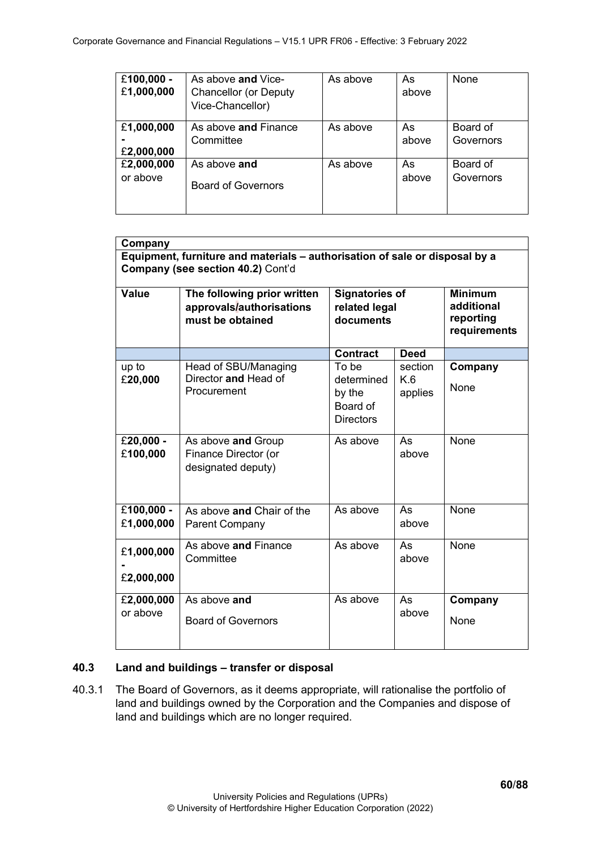| £100,000 -<br>£1,000,000 | As above and Vice-<br><b>Chancellor (or Deputy</b><br>Vice-Chancellor) | As above | As<br>above | None      |
|--------------------------|------------------------------------------------------------------------|----------|-------------|-----------|
| £1,000,000               | As above and Finance                                                   | As above | As          | Board of  |
| £2,000,000               | Committee                                                              |          | above       | Governors |
| £2,000,000               | As above and                                                           | As above | As          | Board of  |
| or above                 | <b>Board of Governors</b>                                              |          | above       | Governors |

| Company                                                                                                          |                                                                             |                                                               |                           |                                                           |  |  |
|------------------------------------------------------------------------------------------------------------------|-----------------------------------------------------------------------------|---------------------------------------------------------------|---------------------------|-----------------------------------------------------------|--|--|
| Equipment, furniture and materials - authorisation of sale or disposal by a<br>Company (see section 40.2) Cont'd |                                                                             |                                                               |                           |                                                           |  |  |
| <b>Value</b>                                                                                                     | The following prior written<br>approvals/authorisations<br>must be obtained | <b>Signatories of</b><br>related legal<br>documents           |                           | <b>Minimum</b><br>additional<br>reporting<br>requirements |  |  |
|                                                                                                                  |                                                                             | <b>Contract</b>                                               | <b>Deed</b>               |                                                           |  |  |
| up to<br>£20,000                                                                                                 | Head of SBU/Managing<br>Director and Head of<br>Procurement                 | To be<br>determined<br>by the<br>Board of<br><b>Directors</b> | section<br>K.6<br>applies | Company<br>None                                           |  |  |
| £20,000 -<br>£100,000                                                                                            | As above and Group<br>Finance Director (or<br>designated deputy)            | As above                                                      | As<br>above               | None                                                      |  |  |
| £100,000 -<br>£1,000,000                                                                                         | As above and Chair of the<br>Parent Company                                 | As above                                                      | As<br>above               | None                                                      |  |  |
| £1,000,000<br>£2,000,000                                                                                         | As above and Finance<br>Committee                                           | As above                                                      | As<br>above               | None                                                      |  |  |
| £2,000,000<br>or above                                                                                           | As above and<br><b>Board of Governors</b>                                   | As above                                                      | As<br>above               | Company<br>None                                           |  |  |

# **40.3 Land and buildings – transfer or disposal**

40.3.1 The Board of Governors, as it deems appropriate, will rationalise the portfolio of land and buildings owned by the Corporation and the Companies and dispose of land and buildings which are no longer required.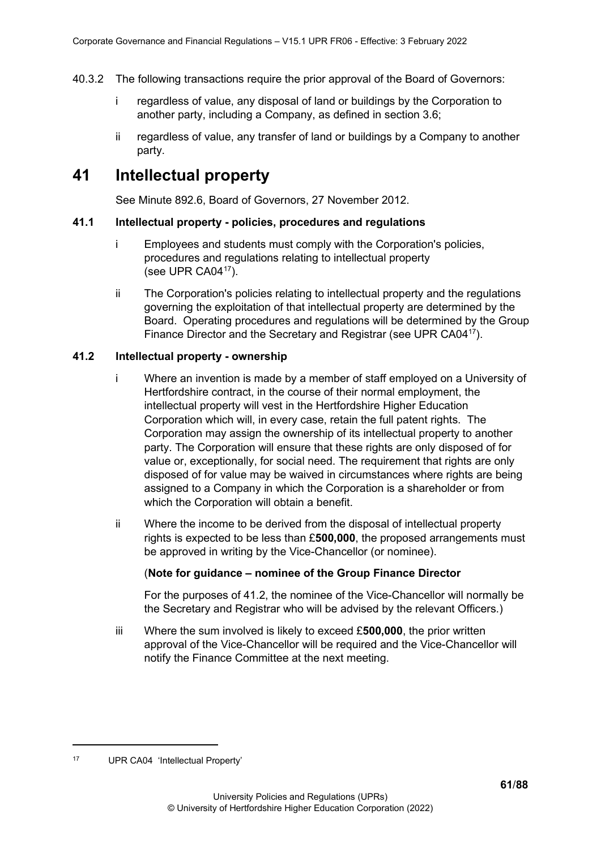- 40.3.2 The following transactions require the prior approval of the Board of Governors:
	- i regardless of value, any disposal of land or buildings by the Corporation to another party, including a Company, as defined in section 3.6;
	- ii regardless of value, any transfer of land or buildings by a Company to another party.

# **41 Intellectual property**

See Minute 892.6, Board of Governors, 27 November 2012.

# **41.1 Intellectual property - policies, procedures and regulations**

- i Employees and students must comply with the Corporation's policies, procedures and regulations relating to intellectual property (see UPR CA04[17](#page-60-0)).
- ii The Corporation's policies relating to intellectual property and the regulations governing the exploitation of that intellectual property are determined by the Board. Operating procedures and regulations will be determined by the Group Finance Director and the Secretary and Registrar (see UPR CA0417).

# **41.2 Intellectual property - ownership**

- i Where an invention is made by a member of staff employed on a University of Hertfordshire contract, in the course of their normal employment, the intellectual property will vest in the Hertfordshire Higher Education Corporation which will, in every case, retain the full patent rights. The Corporation may assign the ownership of its intellectual property to another party. The Corporation will ensure that these rights are only disposed of for value or, exceptionally, for social need. The requirement that rights are only disposed of for value may be waived in circumstances where rights are being assigned to a Company in which the Corporation is a shareholder or from which the Corporation will obtain a benefit.
- ii Where the income to be derived from the disposal of intellectual property rights is expected to be less than £**500,000**, the proposed arrangements must be approved in writing by the Vice-Chancellor (or nominee).

# (**Note for guidance – nominee of the Group Finance Director**

For the purposes of 41.2, the nominee of the Vice-Chancellor will normally be the Secretary and Registrar who will be advised by the relevant Officers.)

iii Where the sum involved is likely to exceed £**500,000**, the prior written approval of the Vice-Chancellor will be required and the Vice-Chancellor will notify the Finance Committee at the next meeting.

<span id="page-60-0"></span><sup>17</sup> UPR CA04 'Intellectual Property'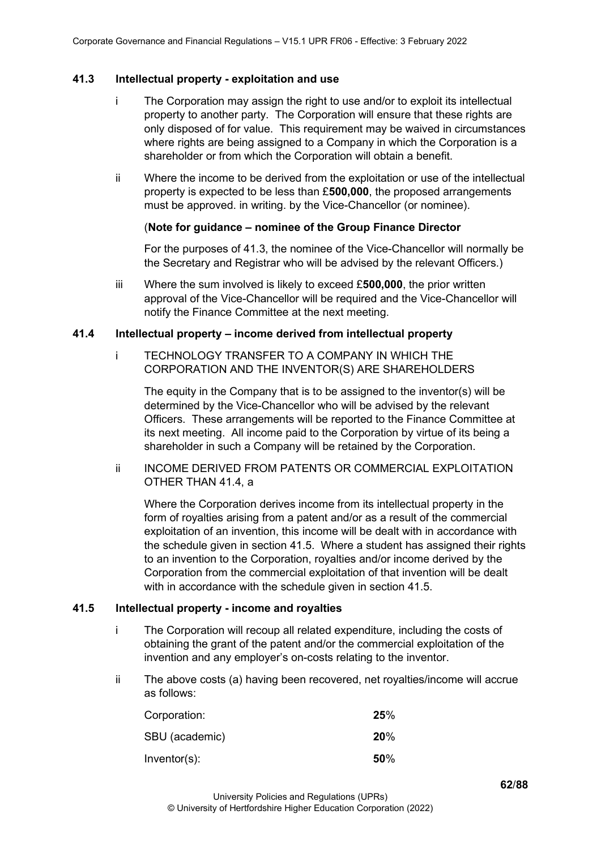# **41.3 Intellectual property - exploitation and use**

- i The Corporation may assign the right to use and/or to exploit its intellectual property to another party. The Corporation will ensure that these rights are only disposed of for value. This requirement may be waived in circumstances where rights are being assigned to a Company in which the Corporation is a shareholder or from which the Corporation will obtain a benefit.
- ii Where the income to be derived from the exploitation or use of the intellectual property is expected to be less than £**500,000**, the proposed arrangements must be approved. in writing. by the Vice-Chancellor (or nominee).

## (**Note for guidance – nominee of the Group Finance Director**

For the purposes of 41.3, the nominee of the Vice-Chancellor will normally be the Secretary and Registrar who will be advised by the relevant Officers.)

iii Where the sum involved is likely to exceed £**500,000**, the prior written approval of the Vice-Chancellor will be required and the Vice-Chancellor will notify the Finance Committee at the next meeting.

## **41.4 Intellectual property – income derived from intellectual property**

i TECHNOLOGY TRANSFER TO A COMPANY IN WHICH THE CORPORATION AND THE INVENTOR(S) ARE SHAREHOLDERS

The equity in the Company that is to be assigned to the inventor(s) will be determined by the Vice-Chancellor who will be advised by the relevant Officers. These arrangements will be reported to the Finance Committee at its next meeting. All income paid to the Corporation by virtue of its being a shareholder in such a Company will be retained by the Corporation.

ii INCOME DERIVED FROM PATENTS OR COMMERCIAL EXPLOITATION OTHER THAN 41.4, a

Where the Corporation derives income from its intellectual property in the form of royalties arising from a patent and/or as a result of the commercial exploitation of an invention, this income will be dealt with in accordance with the schedule given in section 41.5. Where a student has assigned their rights to an invention to the Corporation, royalties and/or income derived by the Corporation from the commercial exploitation of that invention will be dealt with in accordance with the schedule given in section 41.5.

#### **41.5 Intellectual property - income and royalties**

- i The Corporation will recoup all related expenditure, including the costs of obtaining the grant of the patent and/or the commercial exploitation of the invention and any employer's on-costs relating to the inventor.
- ii The above costs (a) having been recovered, net royalties/income will accrue as follows:

| Corporation:   | 25% |
|----------------|-----|
| SBU (academic) | 20% |
| Inventor(s):   | 50% |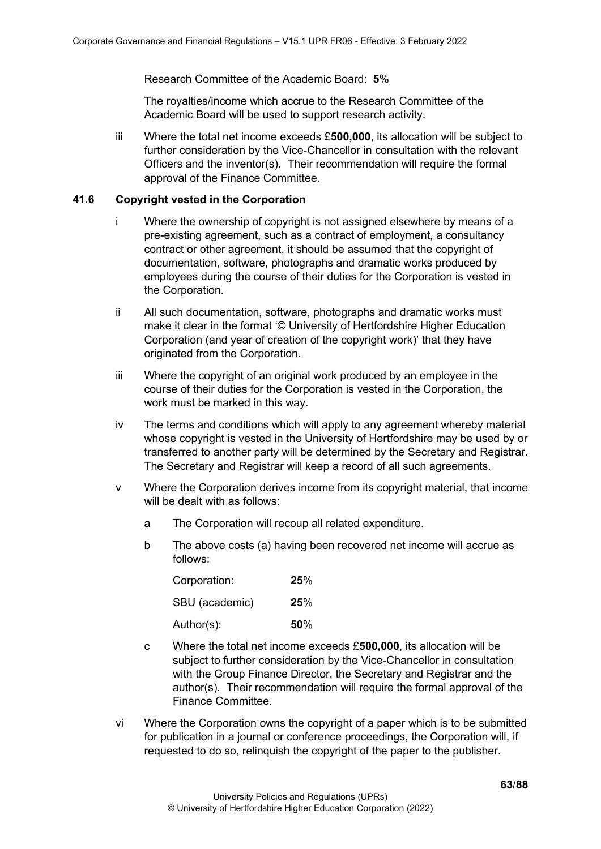Research Committee of the Academic Board: **5**%

The royalties/income which accrue to the Research Committee of the Academic Board will be used to support research activity.

iii Where the total net income exceeds £**500,000**, its allocation will be subject to further consideration by the Vice-Chancellor in consultation with the relevant Officers and the inventor(s). Their recommendation will require the formal approval of the Finance Committee.

# **41.6 Copyright vested in the Corporation**

- i Where the ownership of copyright is not assigned elsewhere by means of a pre-existing agreement, such as a contract of employment, a consultancy contract or other agreement, it should be assumed that the copyright of documentation, software, photographs and dramatic works produced by employees during the course of their duties for the Corporation is vested in the Corporation.
- ii All such documentation, software, photographs and dramatic works must make it clear in the format '© University of Hertfordshire Higher Education Corporation (and year of creation of the copyright work)' that they have originated from the Corporation.
- iii Where the copyright of an original work produced by an employee in the course of their duties for the Corporation is vested in the Corporation, the work must be marked in this way.
- iv The terms and conditions which will apply to any agreement whereby material whose copyright is vested in the University of Hertfordshire may be used by or transferred to another party will be determined by the Secretary and Registrar. The Secretary and Registrar will keep a record of all such agreements.
- v Where the Corporation derives income from its copyright material, that income will be dealt with as follows:
	- a The Corporation will recoup all related expenditure.
	- b The above costs (a) having been recovered net income will accrue as follows:

| Corporation:   | 25% |
|----------------|-----|
| SBU (academic) | 25% |
| Author(s):     | 50% |

- c Where the total net income exceeds £**500,000**, its allocation will be subject to further consideration by the Vice-Chancellor in consultation with the Group Finance Director, the Secretary and Registrar and the author(s). Their recommendation will require the formal approval of the Finance Committee.
- vi Where the Corporation owns the copyright of a paper which is to be submitted for publication in a journal or conference proceedings, the Corporation will, if requested to do so, relinquish the copyright of the paper to the publisher.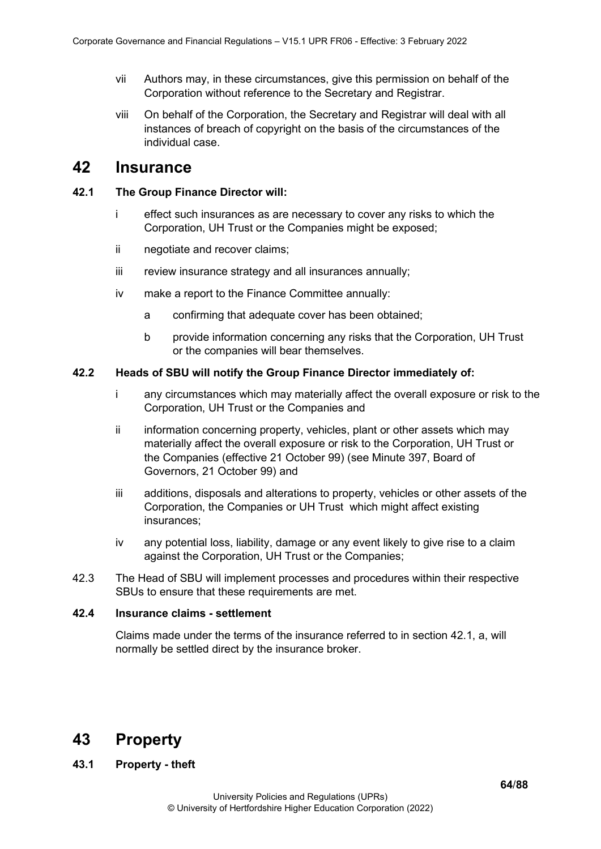- vii Authors may, in these circumstances, give this permission on behalf of the Corporation without reference to the Secretary and Registrar.
- viii On behalf of the Corporation, the Secretary and Registrar will deal with all instances of breach of copyright on the basis of the circumstances of the individual case.

# **42 Insurance**

### **42.1 The Group Finance Director will:**

- i effect such insurances as are necessary to cover any risks to which the Corporation, UH Trust or the Companies might be exposed;
- ii negotiate and recover claims;
- iii review insurance strategy and all insurances annually;
- iv make a report to the Finance Committee annually:
	- a confirming that adequate cover has been obtained;
	- b provide information concerning any risks that the Corporation, UH Trust or the companies will bear themselves.

## **42.2 Heads of SBU will notify the Group Finance Director immediately of:**

- i any circumstances which may materially affect the overall exposure or risk to the Corporation, UH Trust or the Companies and
- ii information concerning property, vehicles, plant or other assets which may materially affect the overall exposure or risk to the Corporation, UH Trust or the Companies (effective 21 October 99) (see Minute 397, Board of Governors, 21 October 99) and
- iii additions, disposals and alterations to property, vehicles or other assets of the Corporation, the Companies or UH Trust which might affect existing insurances;
- iv any potential loss, liability, damage or any event likely to give rise to a claim against the Corporation, UH Trust or the Companies;
- 42.3 The Head of SBU will implement processes and procedures within their respective SBUs to ensure that these requirements are met.

# **42.4 Insurance claims - settlement**

Claims made under the terms of the insurance referred to in section 42.1, a, will normally be settled direct by the insurance broker.

# **43 Property**

# **43.1 Property - theft**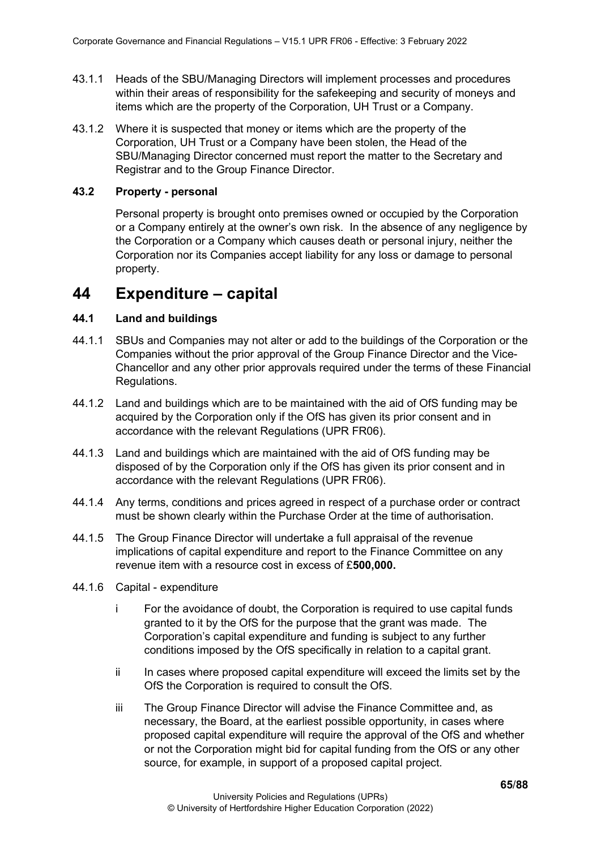- 43.1.1 Heads of the SBU/Managing Directors will implement processes and procedures within their areas of responsibility for the safekeeping and security of moneys and items which are the property of the Corporation, UH Trust or a Company.
- 43.1.2 Where it is suspected that money or items which are the property of the Corporation, UH Trust or a Company have been stolen, the Head of the SBU/Managing Director concerned must report the matter to the Secretary and Registrar and to the Group Finance Director.

# **43.2 Property - personal**

Personal property is brought onto premises owned or occupied by the Corporation or a Company entirely at the owner's own risk. In the absence of any negligence by the Corporation or a Company which causes death or personal injury, neither the Corporation nor its Companies accept liability for any loss or damage to personal property.

# **44 Expenditure – capital**

# **44.1 Land and buildings**

- 44.1.1 SBUs and Companies may not alter or add to the buildings of the Corporation or the Companies without the prior approval of the Group Finance Director and the Vice-Chancellor and any other prior approvals required under the terms of these Financial Regulations.
- 44.1.2 Land and buildings which are to be maintained with the aid of OfS funding may be acquired by the Corporation only if the OfS has given its prior consent and in accordance with the relevant Regulations (UPR FR06).
- 44.1.3 Land and buildings which are maintained with the aid of OfS funding may be disposed of by the Corporation only if the OfS has given its prior consent and in accordance with the relevant Regulations (UPR FR06).
- 44.1.4 Any terms, conditions and prices agreed in respect of a purchase order or contract must be shown clearly within the Purchase Order at the time of authorisation.
- 44.1.5 The Group Finance Director will undertake a full appraisal of the revenue implications of capital expenditure and report to the Finance Committee on any revenue item with a resource cost in excess of £**500,000.**
- 44.1.6 Capital expenditure
	- i For the avoidance of doubt, the Corporation is required to use capital funds granted to it by the OfS for the purpose that the grant was made. The Corporation's capital expenditure and funding is subject to any further conditions imposed by the OfS specifically in relation to a capital grant.
	- ii In cases where proposed capital expenditure will exceed the limits set by the OfS the Corporation is required to consult the OfS.
	- iii The Group Finance Director will advise the Finance Committee and, as necessary, the Board, at the earliest possible opportunity, in cases where proposed capital expenditure will require the approval of the OfS and whether or not the Corporation might bid for capital funding from the OfS or any other source, for example, in support of a proposed capital project.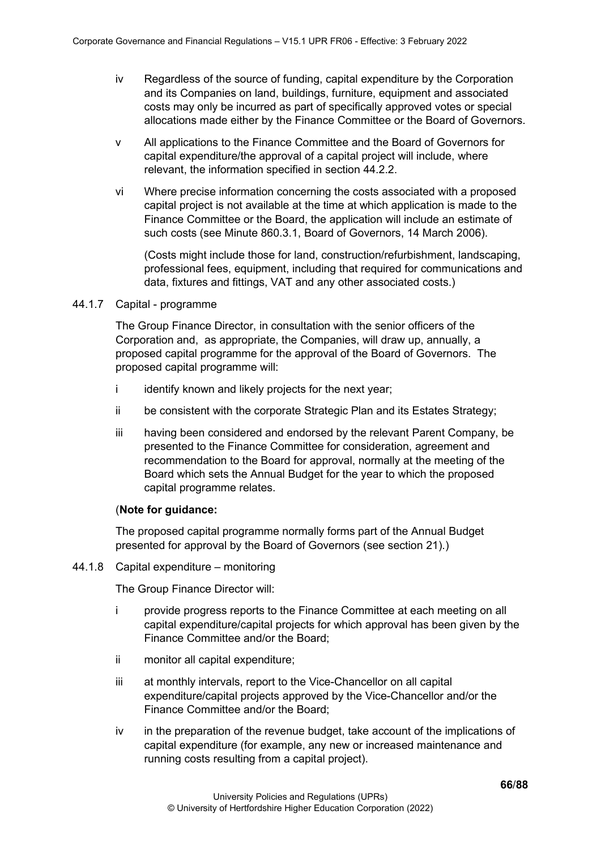- iv Regardless of the source of funding, capital expenditure by the Corporation and its Companies on land, buildings, furniture, equipment and associated costs may only be incurred as part of specifically approved votes or special allocations made either by the Finance Committee or the Board of Governors.
- v All applications to the Finance Committee and the Board of Governors for capital expenditure/the approval of a capital project will include, where relevant, the information specified in section 44.2.2.
- vi Where precise information concerning the costs associated with a proposed capital project is not available at the time at which application is made to the Finance Committee or the Board, the application will include an estimate of such costs (see Minute 860.3.1, Board of Governors, 14 March 2006).

(Costs might include those for land, construction/refurbishment, landscaping, professional fees, equipment, including that required for communications and data, fixtures and fittings, VAT and any other associated costs.)

# 44.1.7 Capital - programme

The Group Finance Director, in consultation with the senior officers of the Corporation and, as appropriate, the Companies, will draw up, annually, a proposed capital programme for the approval of the Board of Governors. The proposed capital programme will:

- i identify known and likely projects for the next year;
- ii be consistent with the corporate Strategic Plan and its Estates Strategy;
- iii having been considered and endorsed by the relevant Parent Company, be presented to the Finance Committee for consideration, agreement and recommendation to the Board for approval, normally at the meeting of the Board which sets the Annual Budget for the year to which the proposed capital programme relates.

# (**Note for guidance:**

The proposed capital programme normally forms part of the Annual Budget presented for approval by the Board of Governors (see section 21).)

# 44.1.8 Capital expenditure – monitoring

The Group Finance Director will:

- i provide progress reports to the Finance Committee at each meeting on all capital expenditure/capital projects for which approval has been given by the Finance Committee and/or the Board;
- ii monitor all capital expenditure;
- iii at monthly intervals, report to the Vice-Chancellor on all capital expenditure/capital projects approved by the Vice-Chancellor and/or the Finance Committee and/or the Board;
- iv in the preparation of the revenue budget, take account of the implications of capital expenditure (for example, any new or increased maintenance and running costs resulting from a capital project).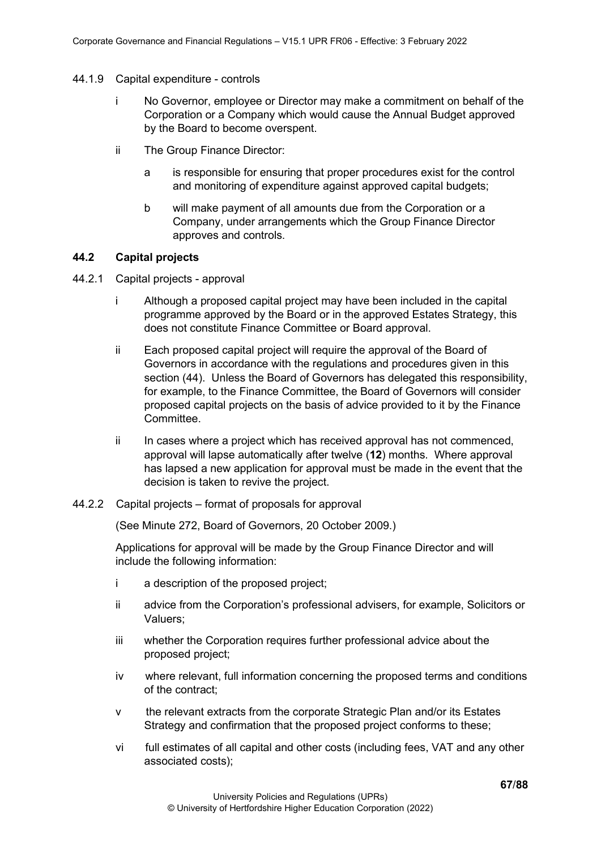- 44.1.9 Capital expenditure controls
	- i No Governor, employee or Director may make a commitment on behalf of the Corporation or a Company which would cause the Annual Budget approved by the Board to become overspent.
	- ii The Group Finance Director:
		- a is responsible for ensuring that proper procedures exist for the control and monitoring of expenditure against approved capital budgets;
		- b will make payment of all amounts due from the Corporation or a Company, under arrangements which the Group Finance Director approves and controls.

# **44.2 Capital projects**

- 44.2.1 Capital projects approval
	- i Although a proposed capital project may have been included in the capital programme approved by the Board or in the approved Estates Strategy, this does not constitute Finance Committee or Board approval.
	- ii Each proposed capital project will require the approval of the Board of Governors in accordance with the regulations and procedures given in this section (44). Unless the Board of Governors has delegated this responsibility, for example, to the Finance Committee, the Board of Governors will consider proposed capital projects on the basis of advice provided to it by the Finance Committee.
	- ii In cases where a project which has received approval has not commenced, approval will lapse automatically after twelve (**12**) months. Where approval has lapsed a new application for approval must be made in the event that the decision is taken to revive the project.
- 44.2.2 Capital projects format of proposals for approval

(See Minute 272, Board of Governors, 20 October 2009.)

Applications for approval will be made by the Group Finance Director and will include the following information:

- i a description of the proposed project;
- ii advice from the Corporation's professional advisers, for example, Solicitors or Valuers;
- iii whether the Corporation requires further professional advice about the proposed project;
- iv where relevant, full information concerning the proposed terms and conditions of the contract;
- v the relevant extracts from the corporate Strategic Plan and/or its Estates Strategy and confirmation that the proposed project conforms to these;
- vi full estimates of all capital and other costs (including fees, VAT and any other associated costs);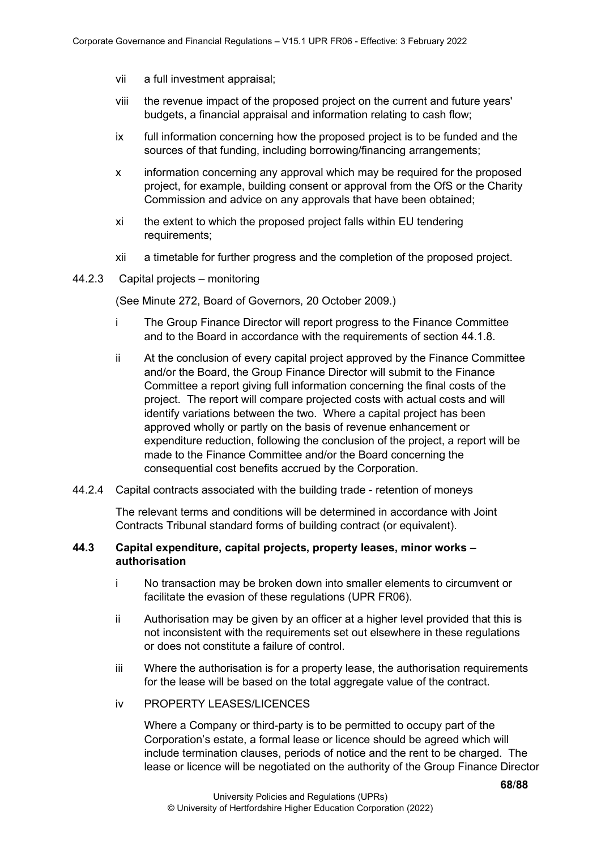- vii a full investment appraisal;
- viii the revenue impact of the proposed project on the current and future years' budgets, a financial appraisal and information relating to cash flow;
- ix full information concerning how the proposed project is to be funded and the sources of that funding, including borrowing/financing arrangements;
- x information concerning any approval which may be required for the proposed project, for example, building consent or approval from the OfS or the Charity Commission and advice on any approvals that have been obtained;
- xi the extent to which the proposed project falls within EU tendering requirements;
- xii a timetable for further progress and the completion of the proposed project.
- 44.2.3 Capital projects monitoring

(See Minute 272, Board of Governors, 20 October 2009.)

- i The Group Finance Director will report progress to the Finance Committee and to the Board in accordance with the requirements of section 44.1.8.
- ii At the conclusion of every capital project approved by the Finance Committee and/or the Board, the Group Finance Director will submit to the Finance Committee a report giving full information concerning the final costs of the project. The report will compare projected costs with actual costs and will identify variations between the two. Where a capital project has been approved wholly or partly on the basis of revenue enhancement or expenditure reduction, following the conclusion of the project, a report will be made to the Finance Committee and/or the Board concerning the consequential cost benefits accrued by the Corporation.
- 44.2.4 Capital contracts associated with the building trade retention of moneys

The relevant terms and conditions will be determined in accordance with Joint Contracts Tribunal standard forms of building contract (or equivalent).

# **44.3 Capital expenditure, capital projects, property leases, minor works – authorisation**

- i No transaction may be broken down into smaller elements to circumvent or facilitate the evasion of these regulations (UPR FR06).
- ii Authorisation may be given by an officer at a higher level provided that this is not inconsistent with the requirements set out elsewhere in these regulations or does not constitute a failure of control.
- iii Where the authorisation is for a property lease, the authorisation requirements for the lease will be based on the total aggregate value of the contract.
- iv PROPERTY LEASES/LICENCES

Where a Company or third-party is to be permitted to occupy part of the Corporation's estate, a formal lease or licence should be agreed which will include termination clauses, periods of notice and the rent to be charged. The lease or licence will be negotiated on the authority of the Group Finance Director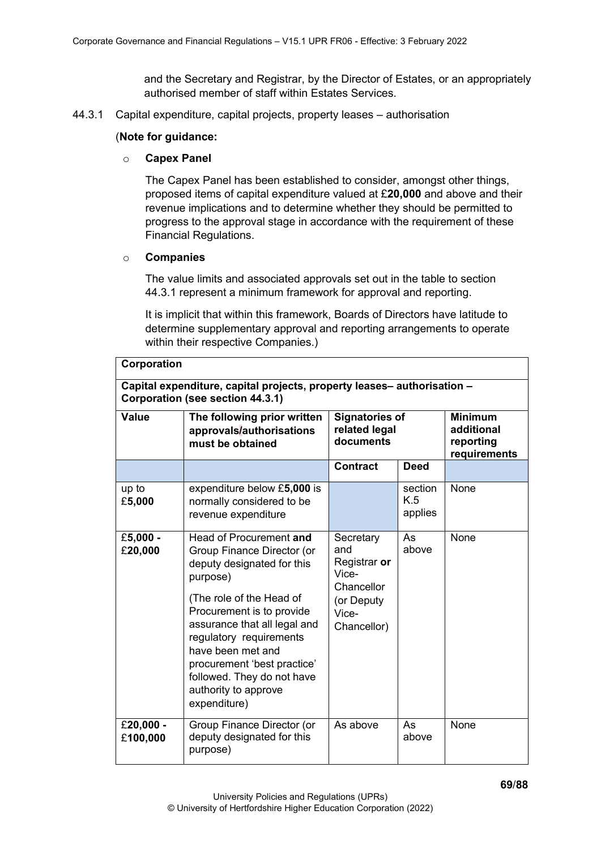and the Secretary and Registrar, by the Director of Estates, or an appropriately authorised member of staff within Estates Services.

44.3.1 Capital expenditure, capital projects, property leases – authorisation

## (**Note for guidance:**

#### o **Capex Panel**

The Capex Panel has been established to consider, amongst other things, proposed items of capital expenditure valued at £**20,000** and above and their revenue implications and to determine whether they should be permitted to progress to the approval stage in accordance with the requirement of these Financial Regulations.

## o **Companies**

The value limits and associated approvals set out in the table to section 44.3.1 represent a minimum framework for approval and reporting.

It is implicit that within this framework, Boards of Directors have latitude to determine supplementary approval and reporting arrangements to operate within their respective Companies.)

| Corporation           |                                                                                                                                                                                                                                                                                                                                               |                                                                                               |                           |                                                           |  |
|-----------------------|-----------------------------------------------------------------------------------------------------------------------------------------------------------------------------------------------------------------------------------------------------------------------------------------------------------------------------------------------|-----------------------------------------------------------------------------------------------|---------------------------|-----------------------------------------------------------|--|
|                       | Capital expenditure, capital projects, property leases-authorisation -<br>Corporation (see section 44.3.1)                                                                                                                                                                                                                                    |                                                                                               |                           |                                                           |  |
| <b>Value</b>          | The following prior written<br>approvals/authorisations<br>must be obtained                                                                                                                                                                                                                                                                   | <b>Signatories of</b><br>related legal<br>documents                                           |                           | <b>Minimum</b><br>additional<br>reporting<br>requirements |  |
|                       |                                                                                                                                                                                                                                                                                                                                               | <b>Contract</b>                                                                               | <b>Deed</b>               |                                                           |  |
| up to<br>£5,000       | expenditure below £5,000 is<br>normally considered to be<br>revenue expenditure                                                                                                                                                                                                                                                               |                                                                                               | section<br>K.5<br>applies | None                                                      |  |
| £5,000 -<br>£20,000   | Head of Procurement and<br>Group Finance Director (or<br>deputy designated for this<br>purpose)<br>(The role of the Head of<br>Procurement is to provide<br>assurance that all legal and<br>regulatory requirements<br>have been met and<br>procurement 'best practice'<br>followed. They do not have<br>authority to approve<br>expenditure) | Secretary<br>and<br>Registrar or<br>Vice-<br>Chancellor<br>(or Deputy<br>Vice-<br>Chancellor) | As<br>above               | None                                                      |  |
| £20,000 -<br>£100,000 | Group Finance Director (or<br>deputy designated for this<br>purpose)                                                                                                                                                                                                                                                                          | As above                                                                                      | As<br>above               | None                                                      |  |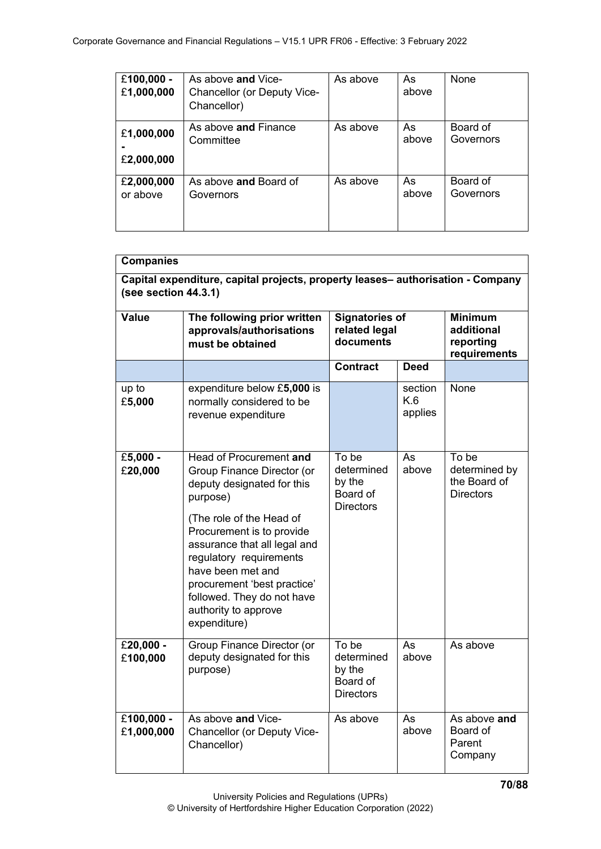| £100,000 -<br>£1,000,000 | As above and Vice-<br>Chancellor (or Deputy Vice-<br>Chancellor) | As above | As<br>above | None      |
|--------------------------|------------------------------------------------------------------|----------|-------------|-----------|
| £1,000,000               | As above and Finance                                             | As above | As          | Board of  |
| £2,000,000               | Committee                                                        |          | above       | Governors |
| £2,000,000               | As above and Board of                                            | As above | As          | Board of  |
| or above                 | Governors                                                        |          | above       | Governors |

| <b>Companies</b>                                                                                           |                                                                                                                                                                                                                                                                                                                                               |                                                               |                           |                                                            |  |  |
|------------------------------------------------------------------------------------------------------------|-----------------------------------------------------------------------------------------------------------------------------------------------------------------------------------------------------------------------------------------------------------------------------------------------------------------------------------------------|---------------------------------------------------------------|---------------------------|------------------------------------------------------------|--|--|
| Capital expenditure, capital projects, property leases- authorisation - Company<br>(see section $44.3.1$ ) |                                                                                                                                                                                                                                                                                                                                               |                                                               |                           |                                                            |  |  |
| <b>Value</b>                                                                                               | The following prior written<br>approvals/authorisations<br>must be obtained                                                                                                                                                                                                                                                                   | <b>Signatories of</b><br>related legal<br>documents           |                           | <b>Minimum</b><br>additional<br>reporting<br>requirements  |  |  |
|                                                                                                            |                                                                                                                                                                                                                                                                                                                                               | <b>Contract</b>                                               | <b>Deed</b>               |                                                            |  |  |
| up to<br>£5,000                                                                                            | expenditure below £5,000 is<br>normally considered to be<br>revenue expenditure                                                                                                                                                                                                                                                               |                                                               | section<br>K.6<br>applies | None                                                       |  |  |
| £5,000 -<br>£20,000                                                                                        | Head of Procurement and<br>Group Finance Director (or<br>deputy designated for this<br>purpose)<br>(The role of the Head of<br>Procurement is to provide<br>assurance that all legal and<br>regulatory requirements<br>have been met and<br>procurement 'best practice'<br>followed. They do not have<br>authority to approve<br>expenditure) | To be<br>determined<br>by the<br>Board of<br><b>Directors</b> | As<br>above               | To be<br>determined by<br>the Board of<br><b>Directors</b> |  |  |
| £20,000 -<br>£100,000                                                                                      | Group Finance Director (or<br>deputy designated for this<br>purpose)                                                                                                                                                                                                                                                                          | To be<br>determined<br>by the<br>Board of<br><b>Directors</b> | As<br>above               | As above                                                   |  |  |
| £100,000 -<br>£1,000,000                                                                                   | As above and Vice-<br>Chancellor (or Deputy Vice-<br>Chancellor)                                                                                                                                                                                                                                                                              | As above                                                      | As<br>above               | As above and<br>Board of<br>Parent<br>Company              |  |  |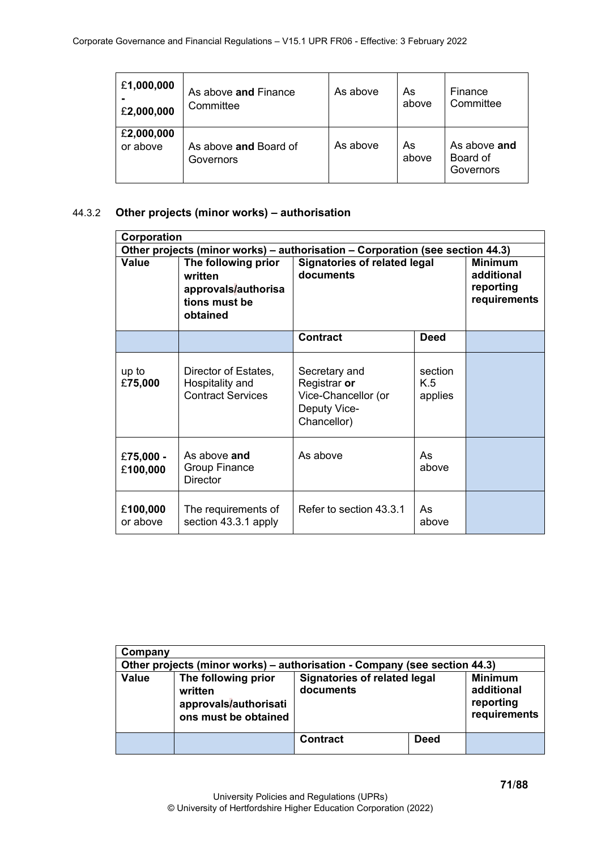| £1,000,000             | As above and Finance               | As above | As          | Finance                               |
|------------------------|------------------------------------|----------|-------------|---------------------------------------|
| £2,000,000             | Committee                          |          | above       | Committee                             |
| £2,000,000<br>or above | As above and Board of<br>Governors | As above | As<br>above | As above and<br>Board of<br>Governors |

# 44.3.2 **Other projects (minor works) – authorisation**

| Corporation           |                                                                                    |                                                                                     |                           |                                                           |
|-----------------------|------------------------------------------------------------------------------------|-------------------------------------------------------------------------------------|---------------------------|-----------------------------------------------------------|
|                       |                                                                                    | Other projects (minor works) – authorisation – Corporation (see section 44.3)       |                           |                                                           |
| <b>Value</b>          | The following prior<br>written<br>approvals/authorisa<br>tions must be<br>obtained | <b>Signatories of related legal</b><br>documents                                    |                           | <b>Minimum</b><br>additional<br>reporting<br>requirements |
|                       |                                                                                    | <b>Contract</b>                                                                     | <b>Deed</b>               |                                                           |
| up to<br>£75,000      | Director of Estates,<br>Hospitality and<br><b>Contract Services</b>                | Secretary and<br>Registrar or<br>Vice-Chancellor (or<br>Deputy Vice-<br>Chancellor) | section<br>K.5<br>applies |                                                           |
| £75,000 -<br>£100,000 | As above and<br><b>Group Finance</b><br><b>Director</b>                            | As above                                                                            | As<br>above               |                                                           |
| £100,000<br>or above  | The requirements of<br>section 43.3.1 apply                                        | Refer to section 43.3.1                                                             | As<br>above               |                                                           |

| Company      |                                                                                 |                                                  |             |                                                           |
|--------------|---------------------------------------------------------------------------------|--------------------------------------------------|-------------|-----------------------------------------------------------|
|              | Other projects (minor works) – authorisation - Company (see section 44.3)       |                                                  |             |                                                           |
| <b>Value</b> | The following prior<br>written<br>approvals/authorisati<br>ons must be obtained | <b>Signatories of related legal</b><br>documents |             | <b>Minimum</b><br>additional<br>reporting<br>requirements |
|              |                                                                                 | <b>Contract</b>                                  | <b>Deed</b> |                                                           |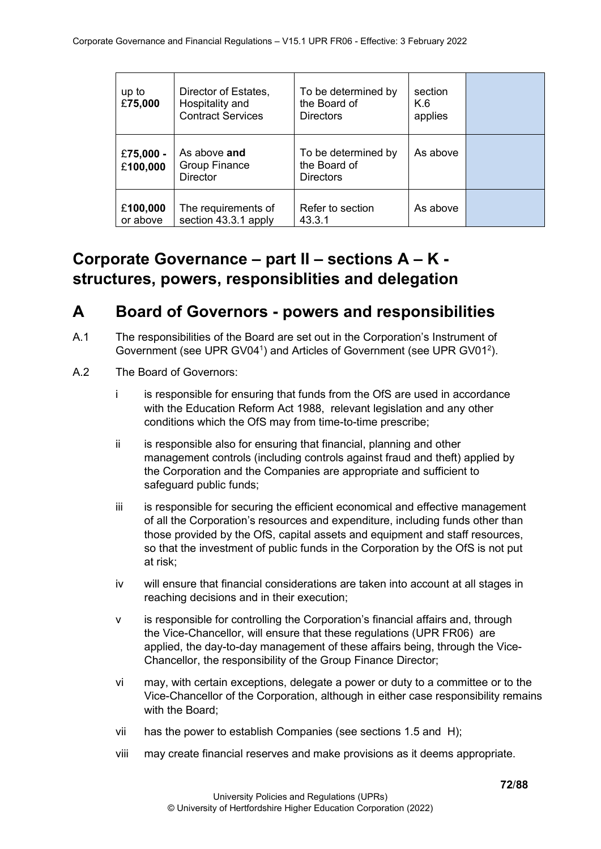| up to<br>£75,000      | Director of Estates,<br>Hospitality and<br><b>Contract Services</b> | To be determined by<br>the Board of<br><b>Directors</b> | section<br>K.6<br>applies |  |
|-----------------------|---------------------------------------------------------------------|---------------------------------------------------------|---------------------------|--|
| £75,000 -<br>£100,000 | As above and<br><b>Group Finance</b><br><b>Director</b>             | To be determined by<br>the Board of<br><b>Directors</b> | As above                  |  |
| £100,000<br>or above  | The requirements of<br>section 43.3.1 apply                         | Refer to section<br>43.3.1                              | As above                  |  |

# **Corporate Governance – part II – sections A – K structures, powers, responsiblities and delegation**

# **A Board of Governors - powers and responsibilities**

- A.1 The responsibilities of the Board are set out in the Corporation's Instrument of Government (see UPR GV04<sup>1</sup>) and Articles of Government (see UPR GV01<sup>2</sup>).
- A.2 The Board of Governors:
	- i is responsible for ensuring that funds from the OfS are used in accordance with the Education Reform Act 1988, relevant legislation and any other conditions which the OfS may from time-to-time prescribe;
	- ii is responsible also for ensuring that financial, planning and other management controls (including controls against fraud and theft) applied by the Corporation and the Companies are appropriate and sufficient to safeguard public funds;
	- iii is responsible for securing the efficient economical and effective management of all the Corporation's resources and expenditure, including funds other than those provided by the OfS, capital assets and equipment and staff resources, so that the investment of public funds in the Corporation by the OfS is not put at risk;
	- iv will ensure that financial considerations are taken into account at all stages in reaching decisions and in their execution;
	- v is responsible for controlling the Corporation's financial affairs and, through the Vice-Chancellor, will ensure that these regulations (UPR FR06) are applied, the day-to-day management of these affairs being, through the Vice-Chancellor, the responsibility of the Group Finance Director;
	- vi may, with certain exceptions, delegate a power or duty to a committee or to the Vice-Chancellor of the Corporation, although in either case responsibility remains with the Board;
	- vii has the power to establish Companies (see sections 1.5 and H);
	- viii may create financial reserves and make provisions as it deems appropriate.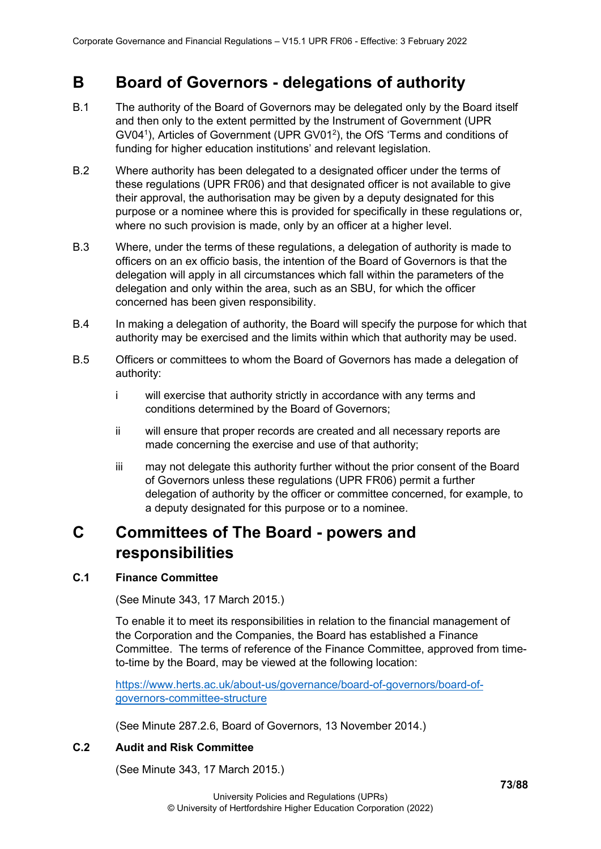# **B Board of Governors - delegations of authority**

- B.1 The authority of the Board of Governors may be delegated only by the Board itself and then only to the extent permitted by the Instrument of Government (UPR GV04<sup>1</sup>), Articles of Government (UPR GV01<sup>2</sup>), the OfS 'Terms and conditions of funding for higher education institutions' and relevant legislation.
- B.2 Where authority has been delegated to a designated officer under the terms of these regulations (UPR FR06) and that designated officer is not available to give their approval, the authorisation may be given by a deputy designated for this purpose or a nominee where this is provided for specifically in these regulations or, where no such provision is made, only by an officer at a higher level.
- B.3 Where, under the terms of these regulations, a delegation of authority is made to officers on an ex officio basis, the intention of the Board of Governors is that the delegation will apply in all circumstances which fall within the parameters of the delegation and only within the area, such as an SBU, for which the officer concerned has been given responsibility.
- B.4 In making a delegation of authority, the Board will specify the purpose for which that authority may be exercised and the limits within which that authority may be used.
- B.5 Officers or committees to whom the Board of Governors has made a delegation of authority:
	- i will exercise that authority strictly in accordance with any terms and conditions determined by the Board of Governors;
	- ii will ensure that proper records are created and all necessary reports are made concerning the exercise and use of that authority;
	- iii may not delegate this authority further without the prior consent of the Board of Governors unless these regulations (UPR FR06) permit a further delegation of authority by the officer or committee concerned, for example, to a deputy designated for this purpose or to a nominee.

# **C Committees of The Board - powers and responsibilities**

# **C.1 Finance Committee**

(See Minute 343, 17 March 2015.)

To enable it to meet its responsibilities in relation to the financial management of the Corporation and the Companies, the Board has established a Finance Committee. The terms of reference of the Finance Committee, approved from timeto-time by the Board, may be viewed at the following location:

[https://www.herts.ac.uk/about-us/governance/board-of-governors/board-of](https://www.herts.ac.uk/about-us/governance/board-of-governors/board-of-governors-committee-structure)[governors-committee-structure](https://www.herts.ac.uk/about-us/governance/board-of-governors/board-of-governors-committee-structure)

(See Minute 287.2.6, Board of Governors, 13 November 2014.)

# **C.2 Audit and Risk Committee**

(See Minute 343, 17 March 2015.)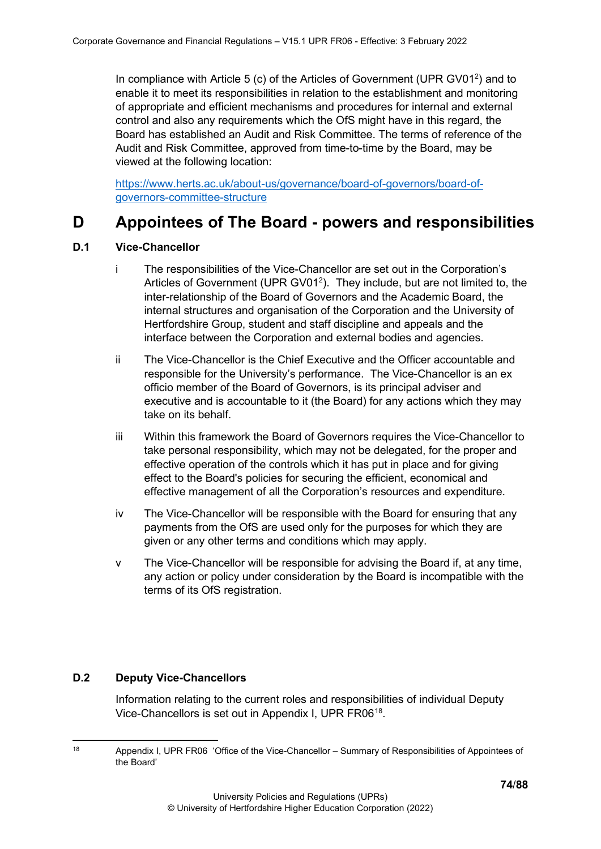In compliance with Article 5 (c) of the Articles of Government (UPR GV01<sup>2</sup>) and to enable it to meet its responsibilities in relation to the establishment and monitoring of appropriate and efficient mechanisms and procedures for internal and external control and also any requirements which the OfS might have in this regard, the Board has established an Audit and Risk Committee. The terms of reference of the Audit and Risk Committee, approved from time-to-time by the Board, may be viewed at the following location:

[https://www.herts.ac.uk/about-us/governance/board-of-governors/board-of](https://www.herts.ac.uk/about-us/governance/board-of-governors/board-of-governors-committee-structure)[governors-committee-structure](https://www.herts.ac.uk/about-us/governance/board-of-governors/board-of-governors-committee-structure)

# **D Appointees of The Board - powers and responsibilities**

## **D.1 Vice-Chancellor**

- i The responsibilities of the Vice-Chancellor are set out in the Corporation's Articles of Government (UPR GV01<sup>2</sup>). They include, but are not limited to, the inter-relationship of the Board of Governors and the Academic Board, the internal structures and organisation of the Corporation and the University of Hertfordshire Group, student and staff discipline and appeals and the interface between the Corporation and external bodies and agencies.
- ii The Vice-Chancellor is the Chief Executive and the Officer accountable and responsible for the University's performance. The Vice-Chancellor is an ex officio member of the Board of Governors, is its principal adviser and executive and is accountable to it (the Board) for any actions which they may take on its behalf.
- iii Within this framework the Board of Governors requires the Vice-Chancellor to take personal responsibility, which may not be delegated, for the proper and effective operation of the controls which it has put in place and for giving effect to the Board's policies for securing the efficient, economical and effective management of all the Corporation's resources and expenditure.
- iv The Vice-Chancellor will be responsible with the Board for ensuring that any payments from the OfS are used only for the purposes for which they are given or any other terms and conditions which may apply.
- v The Vice-Chancellor will be responsible for advising the Board if, at any time, any action or policy under consideration by the Board is incompatible with the terms of its OfS registration.

# **D.2 Deputy Vice-Chancellors**

Information relating to the current roles and responsibilities of individual Deputy Vice-Chancellors is set out in Appendix I, UPR FR06<sup>18</sup>.

<span id="page-73-0"></span><sup>18</sup> Appendix I, UPR FR06 'Office of the Vice-Chancellor – Summary of Responsibilities of Appointees of the Board'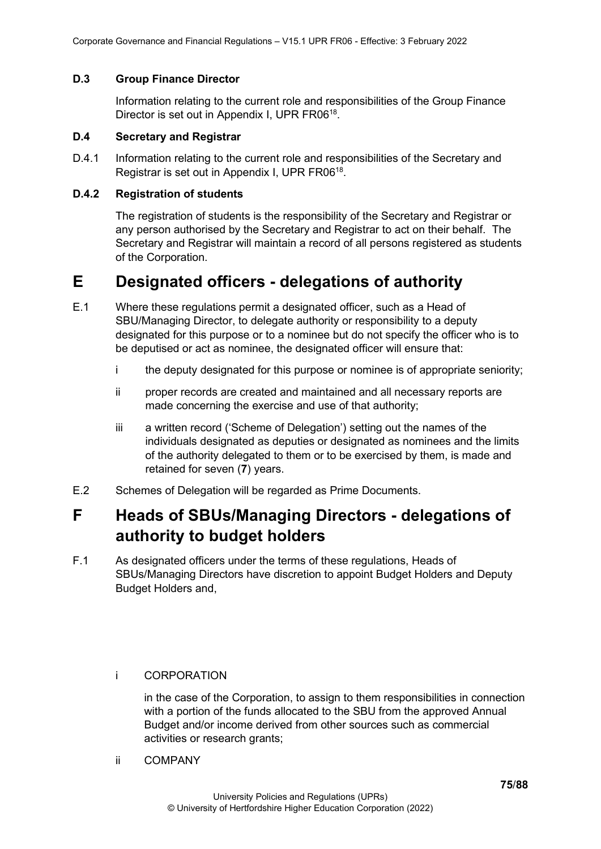#### **D.3 Group Finance Director**

Information relating to the current role and responsibilities of the Group Finance Director is set out in Appendix I, UPR FR06<sup>18</sup>.

#### **D.4 Secretary and Registrar**

D.4.1 Information relating to the current role and responsibilities of the Secretary and Registrar is set out in Appendix I, UPR FR0618.

#### **D.4.2 Registration of students**

The registration of students is the responsibility of the Secretary and Registrar or any person authorised by the Secretary and Registrar to act on their behalf. The Secretary and Registrar will maintain a record of all persons registered as students of the Corporation.

# **E Designated officers - delegations of authority**

- E.1 Where these regulations permit a designated officer, such as a Head of SBU/Managing Director, to delegate authority or responsibility to a deputy designated for this purpose or to a nominee but do not specify the officer who is to be deputised or act as nominee, the designated officer will ensure that:
	- i the deputy designated for this purpose or nominee is of appropriate seniority;
	- ii proper records are created and maintained and all necessary reports are made concerning the exercise and use of that authority;
	- iii a written record ('Scheme of Delegation') setting out the names of the individuals designated as deputies or designated as nominees and the limits of the authority delegated to them or to be exercised by them, is made and retained for seven (**7**) years.
- E.2 Schemes of Delegation will be regarded as Prime Documents.

# **F Heads of SBUs/Managing Directors - delegations of authority to budget holders**

F.1 As designated officers under the terms of these regulations, Heads of SBUs/Managing Directors have discretion to appoint Budget Holders and Deputy Budget Holders and,

i CORPORATION

in the case of the Corporation, to assign to them responsibilities in connection with a portion of the funds allocated to the SBU from the approved Annual Budget and/or income derived from other sources such as commercial activities or research grants;

ii COMPANY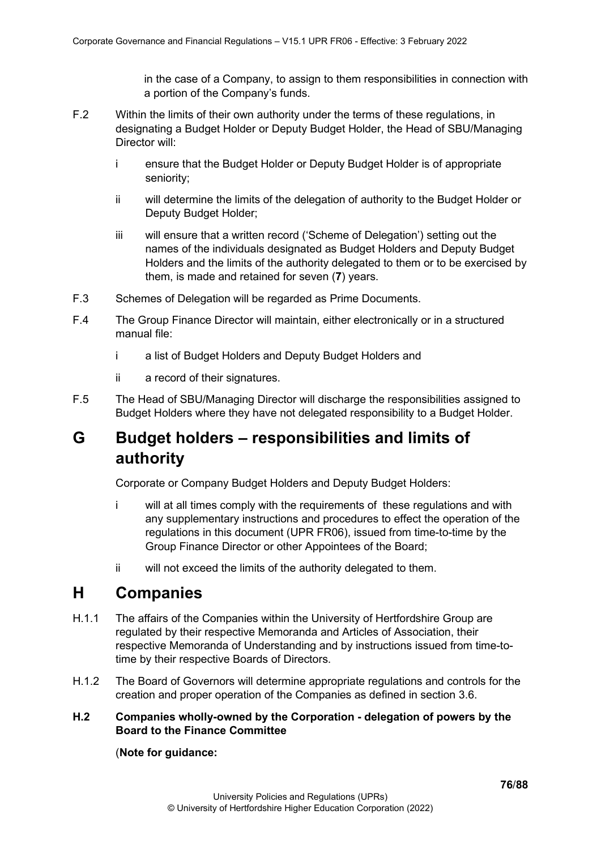in the case of a Company, to assign to them responsibilities in connection with a portion of the Company's funds.

- F.2 Within the limits of their own authority under the terms of these regulations, in designating a Budget Holder or Deputy Budget Holder, the Head of SBU/Managing Director will:
	- i ensure that the Budget Holder or Deputy Budget Holder is of appropriate seniority;
	- ii will determine the limits of the delegation of authority to the Budget Holder or Deputy Budget Holder;
	- iii will ensure that a written record ('Scheme of Delegation') setting out the names of the individuals designated as Budget Holders and Deputy Budget Holders and the limits of the authority delegated to them or to be exercised by them, is made and retained for seven (**7**) years.
- F.3 Schemes of Delegation will be regarded as Prime Documents.
- F.4 The Group Finance Director will maintain, either electronically or in a structured manual file:
	- i a list of Budget Holders and Deputy Budget Holders and
	- ii a record of their signatures.
- F.5 The Head of SBU/Managing Director will discharge the responsibilities assigned to Budget Holders where they have not delegated responsibility to a Budget Holder.

# **G Budget holders – responsibilities and limits of authority**

Corporate or Company Budget Holders and Deputy Budget Holders:

- i will at all times comply with the requirements of these regulations and with any supplementary instructions and procedures to effect the operation of the regulations in this document (UPR FR06), issued from time-to-time by the Group Finance Director or other Appointees of the Board;
- ii will not exceed the limits of the authority delegated to them.

# **H Companies**

- H.1.1 The affairs of the Companies within the University of Hertfordshire Group are regulated by their respective Memoranda and Articles of Association, their respective Memoranda of Understanding and by instructions issued from time-totime by their respective Boards of Directors.
- H.1.2 The Board of Governors will determine appropriate regulations and controls for the creation and proper operation of the Companies as defined in section 3.6.
- **H.2 Companies wholly-owned by the Corporation - delegation of powers by the Board to the Finance Committee**

## (**Note for guidance:**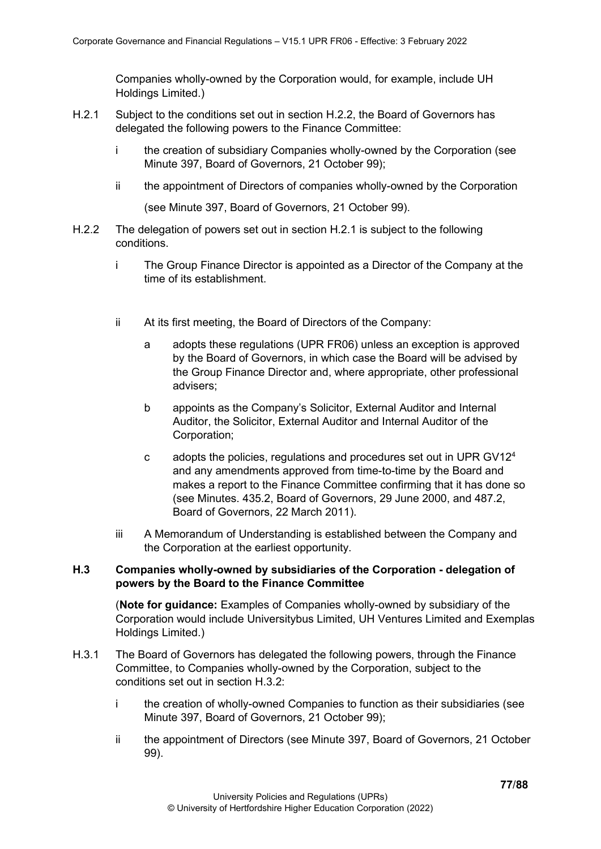Companies wholly-owned by the Corporation would, for example, include UH Holdings Limited.)

- H.2.1 Subject to the conditions set out in section H.2.2, the Board of Governors has delegated the following powers to the Finance Committee:
	- i the creation of subsidiary Companies wholly-owned by the Corporation (see Minute 397, Board of Governors, 21 October 99);
	- ii the appointment of Directors of companies wholly-owned by the Corporation

(see Minute 397, Board of Governors, 21 October 99).

- H.2.2 The delegation of powers set out in section H.2.1 is subject to the following conditions.
	- i The Group Finance Director is appointed as a Director of the Company at the time of its establishment.
	- ii At its first meeting, the Board of Directors of the Company:
		- a adopts these regulations (UPR FR06) unless an exception is approved by the Board of Governors, in which case the Board will be advised by the Group Finance Director and, where appropriate, other professional advisers;
		- b appoints as the Company's Solicitor, External Auditor and Internal Auditor, the Solicitor, External Auditor and Internal Auditor of the Corporation;
		- c adopts the policies, regulations and procedures set out in UPR GV124 and any amendments approved from time-to-time by the Board and makes a report to the Finance Committee confirming that it has done so (see Minutes. 435.2, Board of Governors, 29 June 2000, and 487.2, Board of Governors, 22 March 2011).
	- iii A Memorandum of Understanding is established between the Company and the Corporation at the earliest opportunity.

#### **H.3 Companies wholly-owned by subsidiaries of the Corporation - delegation of powers by the Board to the Finance Committee**

(**Note for guidance:** Examples of Companies wholly-owned by subsidiary of the Corporation would include Universitybus Limited, UH Ventures Limited and Exemplas Holdings Limited.)

- H.3.1 The Board of Governors has delegated the following powers, through the Finance Committee, to Companies wholly-owned by the Corporation, subject to the conditions set out in section H.3.2:
	- i the creation of wholly-owned Companies to function as their subsidiaries (see Minute 397, Board of Governors, 21 October 99);
	- ii the appointment of Directors (see Minute 397, Board of Governors, 21 October 99).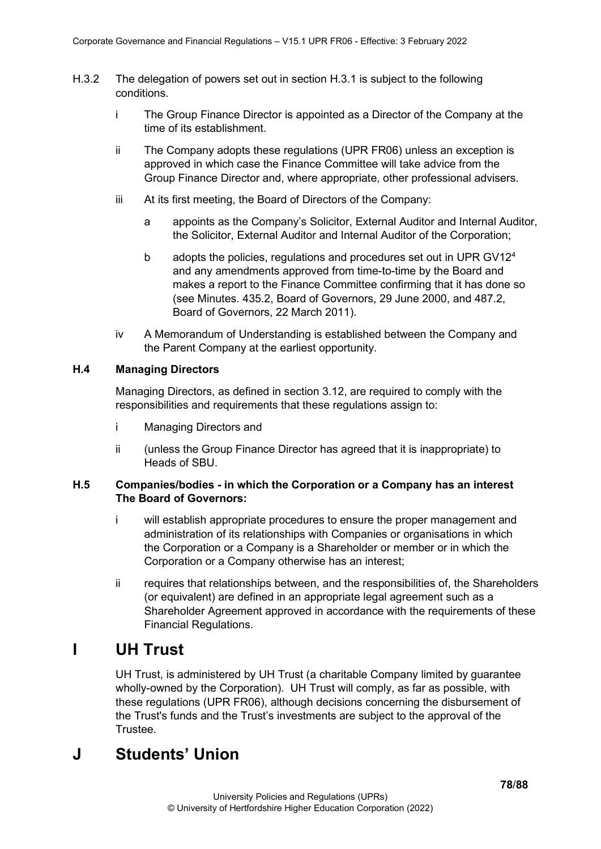- H.3.2 The delegation of powers set out in section H.3.1 is subject to the following conditions.
	- i The Group Finance Director is appointed as a Director of the Company at the time of its establishment.
	- ii The Company adopts these regulations (UPR FR06) unless an exception is approved in which case the Finance Committee will take advice from the Group Finance Director and, where appropriate, other professional advisers.
	- iii At its first meeting, the Board of Directors of the Company:
		- a appoints as the Company's Solicitor, External Auditor and Internal Auditor, the Solicitor, External Auditor and Internal Auditor of the Corporation;
		- b adopts the policies, regulations and procedures set out in UPR GV12<sup>4</sup> and any amendments approved from time-to-time by the Board and makes a report to the Finance Committee confirming that it has done so (see Minutes. 435.2, Board of Governors, 29 June 2000, and 487.2, Board of Governors, 22 March 2011).
	- iv A Memorandum of Understanding is established between the Company and the Parent Company at the earliest opportunity.

## **H.4 Managing Directors**

Managing Directors, as defined in section 3.12, are required to comply with the responsibilities and requirements that these regulations assign to:

- i Managing Directors and
- ii (unless the Group Finance Director has agreed that it is inappropriate) to Heads of SBU.

## **H.5 Companies/bodies - in which the Corporation or a Company has an interest The Board of Governors:**

- i will establish appropriate procedures to ensure the proper management and administration of its relationships with Companies or organisations in which the Corporation or a Company is a Shareholder or member or in which the Corporation or a Company otherwise has an interest;
- ii requires that relationships between, and the responsibilities of, the Shareholders (or equivalent) are defined in an appropriate legal agreement such as a Shareholder Agreement approved in accordance with the requirements of these Financial Regulations.

# **I UH Trust**

UH Trust, is administered by UH Trust (a charitable Company limited by guarantee wholly-owned by the Corporation). UH Trust will comply, as far as possible, with these regulations (UPR FR06), although decisions concerning the disbursement of the Trust's funds and the Trust's investments are subject to the approval of the Trustee.

# **J Students' Union**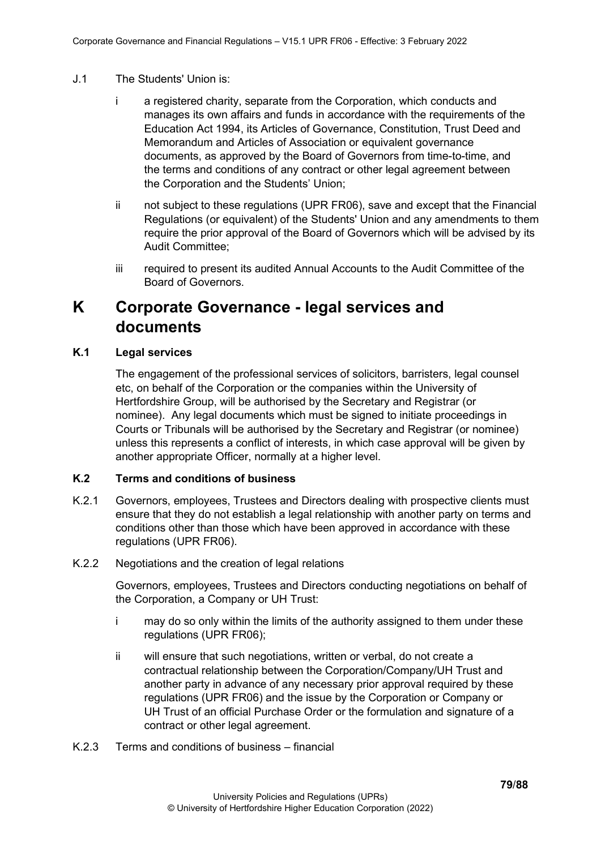- J.1 The Students' Union is:
	- i a registered charity, separate from the Corporation, which conducts and manages its own affairs and funds in accordance with the requirements of the Education Act 1994, its Articles of Governance, Constitution, Trust Deed and Memorandum and Articles of Association or equivalent governance documents, as approved by the Board of Governors from time-to-time, and the terms and conditions of any contract or other legal agreement between the Corporation and the Students' Union;
	- ii not subject to these regulations (UPR FR06), save and except that the Financial Regulations (or equivalent) of the Students' Union and any amendments to them require the prior approval of the Board of Governors which will be advised by its Audit Committee;
	- iii required to present its audited Annual Accounts to the Audit Committee of the Board of Governors.

# **K Corporate Governance - legal services and documents**

## **K.1 Legal services**

The engagement of the professional services of solicitors, barristers, legal counsel etc, on behalf of the Corporation or the companies within the University of Hertfordshire Group, will be authorised by the Secretary and Registrar (or nominee). Any legal documents which must be signed to initiate proceedings in Courts or Tribunals will be authorised by the Secretary and Registrar (or nominee) unless this represents a conflict of interests, in which case approval will be given by another appropriate Officer, normally at a higher level.

## **K.2 Terms and conditions of business**

- K.2.1 Governors, employees, Trustees and Directors dealing with prospective clients must ensure that they do not establish a legal relationship with another party on terms and conditions other than those which have been approved in accordance with these regulations (UPR FR06).
- K.2.2 Negotiations and the creation of legal relations

Governors, employees, Trustees and Directors conducting negotiations on behalf of the Corporation, a Company or UH Trust:

- i may do so only within the limits of the authority assigned to them under these regulations (UPR FR06);
- ii will ensure that such negotiations, written or verbal, do not create a contractual relationship between the Corporation/Company/UH Trust and another party in advance of any necessary prior approval required by these regulations (UPR FR06) and the issue by the Corporation or Company or UH Trust of an official Purchase Order or the formulation and signature of a contract or other legal agreement.
- K.2.3 Terms and conditions of business financial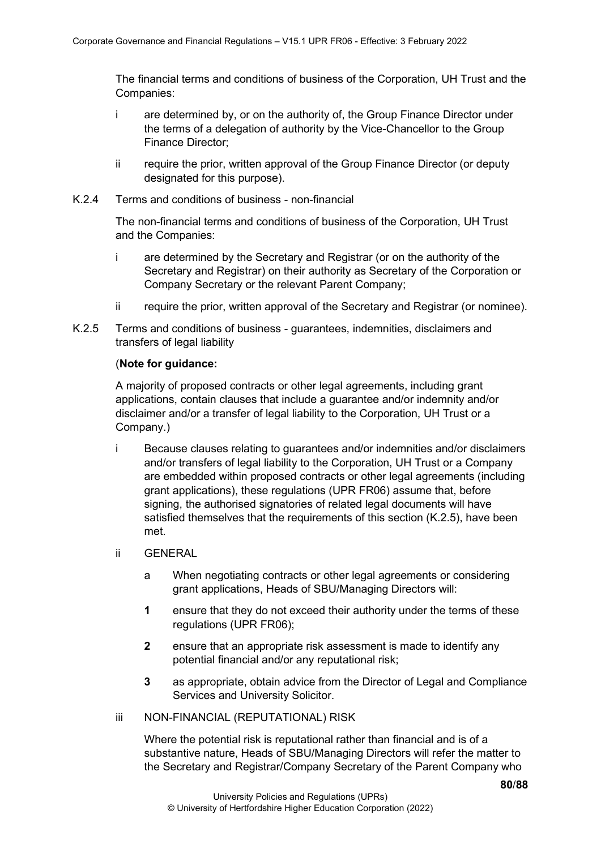The financial terms and conditions of business of the Corporation, UH Trust and the Companies:

- i are determined by, or on the authority of, the Group Finance Director under the terms of a delegation of authority by the Vice-Chancellor to the Group Finance Director;
- ii require the prior, written approval of the Group Finance Director (or deputy designated for this purpose).
- K.2.4 Terms and conditions of business non-financial

The non-financial terms and conditions of business of the Corporation, UH Trust and the Companies:

- i are determined by the Secretary and Registrar (or on the authority of the Secretary and Registrar) on their authority as Secretary of the Corporation or Company Secretary or the relevant Parent Company;
- ii require the prior, written approval of the Secretary and Registrar (or nominee).
- K.2.5 Terms and conditions of business guarantees, indemnities, disclaimers and transfers of legal liability

#### (**Note for guidance:**

A majority of proposed contracts or other legal agreements, including grant applications, contain clauses that include a guarantee and/or indemnity and/or disclaimer and/or a transfer of legal liability to the Corporation, UH Trust or a Company.)

- i Because clauses relating to guarantees and/or indemnities and/or disclaimers and/or transfers of legal liability to the Corporation, UH Trust or a Company are embedded within proposed contracts or other legal agreements (including grant applications), these regulations (UPR FR06) assume that, before signing, the authorised signatories of related legal documents will have satisfied themselves that the requirements of this section (K.2.5), have been met.
- ii GENERAL
	- a When negotiating contracts or other legal agreements or considering grant applications, Heads of SBU/Managing Directors will:
	- **1** ensure that they do not exceed their authority under the terms of these regulations (UPR FR06);
	- **2** ensure that an appropriate risk assessment is made to identify any potential financial and/or any reputational risk;
	- **3** as appropriate, obtain advice from the Director of Legal and Compliance Services and University Solicitor.
- iii NON-FINANCIAL (REPUTATIONAL) RISK

Where the potential risk is reputational rather than financial and is of a substantive nature, Heads of SBU/Managing Directors will refer the matter to the Secretary and Registrar/Company Secretary of the Parent Company who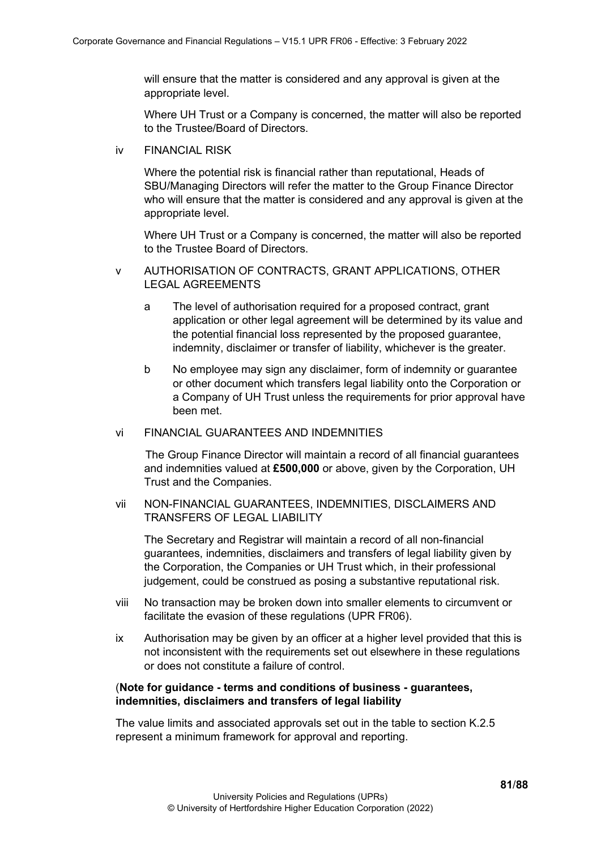will ensure that the matter is considered and any approval is given at the appropriate level.

Where UH Trust or a Company is concerned, the matter will also be reported to the Trustee/Board of Directors.

iv FINANCIAL RISK

Where the potential risk is financial rather than reputational, Heads of SBU/Managing Directors will refer the matter to the Group Finance Director who will ensure that the matter is considered and any approval is given at the appropriate level.

Where UH Trust or a Company is concerned, the matter will also be reported to the Trustee Board of Directors.

- v AUTHORISATION OF CONTRACTS, GRANT APPLICATIONS, OTHER LEGAL AGREEMENTS
	- a The level of authorisation required for a proposed contract, grant application or other legal agreement will be determined by its value and the potential financial loss represented by the proposed guarantee, indemnity, disclaimer or transfer of liability, whichever is the greater.
	- b No employee may sign any disclaimer, form of indemnity or guarantee or other document which transfers legal liability onto the Corporation or a Company of UH Trust unless the requirements for prior approval have been met.
- vi FINANCIAL GUARANTEES AND INDEMNITIES

The Group Finance Director will maintain a record of all financial guarantees and indemnities valued at **£500,000** or above, given by the Corporation, UH Trust and the Companies.

vii NON-FINANCIAL GUARANTEES, INDEMNITIES, DISCLAIMERS AND TRANSFERS OF LEGAL LIABILITY

The Secretary and Registrar will maintain a record of all non-financial guarantees, indemnities, disclaimers and transfers of legal liability given by the Corporation, the Companies or UH Trust which, in their professional judgement, could be construed as posing a substantive reputational risk.

- viii No transaction may be broken down into smaller elements to circumvent or facilitate the evasion of these regulations (UPR FR06).
- ix Authorisation may be given by an officer at a higher level provided that this is not inconsistent with the requirements set out elsewhere in these regulations or does not constitute a failure of control.

#### (**Note for guidance - terms and conditions of business - guarantees, indemnities, disclaimers and transfers of legal liability**

The value limits and associated approvals set out in the table to section K.2.5 represent a minimum framework for approval and reporting.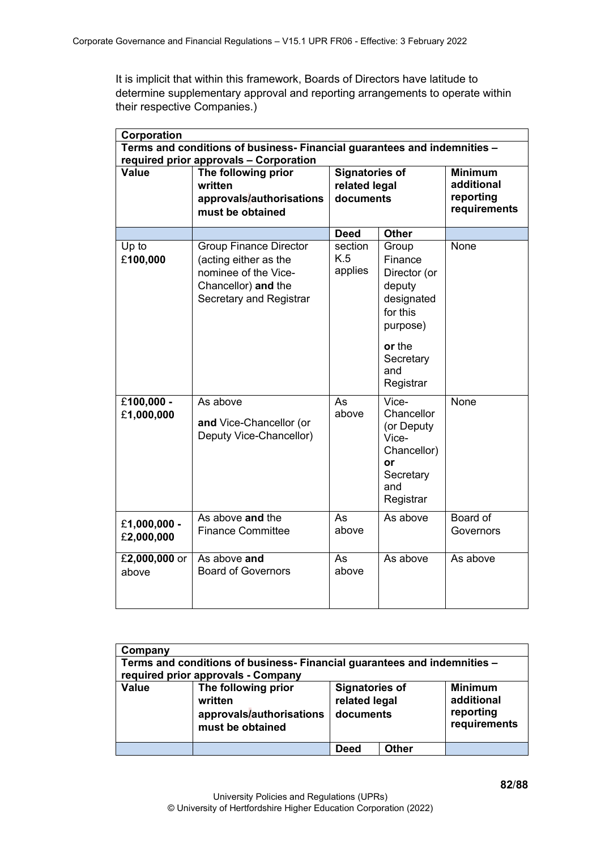It is implicit that within this framework, Boards of Directors have latitude to determine supplementary approval and reporting arrangements to operate within their respective Companies.)

| Corporation                                                              |                                                                                                                                  |                           |                                                                                                                             |                              |
|--------------------------------------------------------------------------|----------------------------------------------------------------------------------------------------------------------------------|---------------------------|-----------------------------------------------------------------------------------------------------------------------------|------------------------------|
| Terms and conditions of business- Financial guarantees and indemnities - |                                                                                                                                  |                           |                                                                                                                             |                              |
|                                                                          | required prior approvals - Corporation                                                                                           |                           |                                                                                                                             |                              |
| <b>Value</b>                                                             | The following prior                                                                                                              | <b>Signatories of</b>     |                                                                                                                             | <b>Minimum</b><br>additional |
|                                                                          | written                                                                                                                          | related legal             |                                                                                                                             | reporting                    |
|                                                                          | approvals/authorisations<br>must be obtained                                                                                     | documents                 |                                                                                                                             | requirements                 |
|                                                                          |                                                                                                                                  |                           |                                                                                                                             |                              |
|                                                                          |                                                                                                                                  | <b>Deed</b>               | <b>Other</b>                                                                                                                |                              |
| Up to<br>£100,000                                                        | <b>Group Finance Director</b><br>(acting either as the<br>nominee of the Vice-<br>Chancellor) and the<br>Secretary and Registrar | section<br>K.5<br>applies | Group<br>Finance<br>Director (or<br>deputy<br>designated<br>for this<br>purpose)<br>or the<br>Secretary<br>and<br>Registrar | None                         |
| $£100,000 -$<br>£1,000,000                                               | As above<br>and Vice-Chancellor (or<br>Deputy Vice-Chancellor)                                                                   | As<br>above               | Vice-<br>Chancellor<br>(or Deputy<br>Vice-<br>Chancellor)<br>or<br>Secretary<br>and<br>Registrar                            | None                         |
| £1,000,000 -<br>£2,000,000                                               | As above and the<br><b>Finance Committee</b>                                                                                     | As<br>above               | As above                                                                                                                    | Board of<br>Governors        |
| £2,000,000 or<br>above                                                   | As above and<br><b>Board of Governors</b>                                                                                        | As<br>above               | As above                                                                                                                    | As above                     |

| Company                                                                                                        |                                                                                |                                                     |       |                                                           |
|----------------------------------------------------------------------------------------------------------------|--------------------------------------------------------------------------------|-----------------------------------------------------|-------|-----------------------------------------------------------|
| Terms and conditions of business- Financial guarantees and indemnities -<br>required prior approvals - Company |                                                                                |                                                     |       |                                                           |
| <b>Value</b>                                                                                                   | The following prior<br>written<br>approvals/authorisations<br>must be obtained | <b>Signatories of</b><br>related legal<br>documents |       | <b>Minimum</b><br>additional<br>reporting<br>requirements |
|                                                                                                                |                                                                                | <b>Deed</b>                                         | Other |                                                           |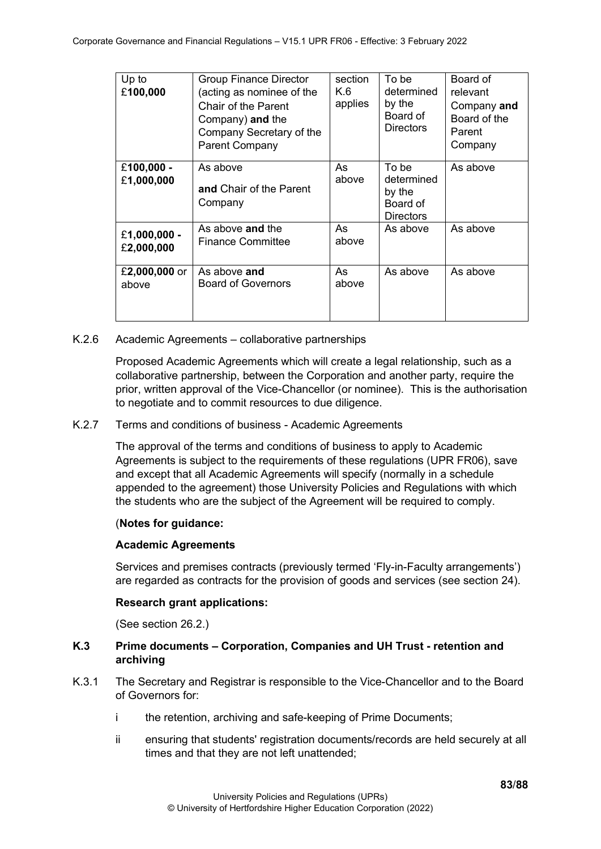| Up to<br>£100,000          | <b>Group Finance Director</b><br>(acting as nominee of the<br><b>Chair of the Parent</b><br>Company) and the<br>Company Secretary of the<br><b>Parent Company</b> | section<br>K.6<br>applies | To be<br>determined<br>by the<br>Board of<br><b>Directors</b> | Board of<br>relevant<br>Company and<br>Board of the<br>Parent<br>Company |
|----------------------------|-------------------------------------------------------------------------------------------------------------------------------------------------------------------|---------------------------|---------------------------------------------------------------|--------------------------------------------------------------------------|
| £100,000 -<br>£1,000,000   | As above<br><b>and Chair of the Parent</b><br>Company                                                                                                             | As<br>above               | To be<br>determined<br>by the<br>Board of<br><b>Directors</b> | As above                                                                 |
| £1,000,000 -<br>£2,000,000 | As above and the<br><b>Finance Committee</b>                                                                                                                      | As<br>above               | As above                                                      | As above                                                                 |
| £2,000,000 or<br>above     | As above and<br><b>Board of Governors</b>                                                                                                                         | As<br>above               | As above                                                      | As above                                                                 |

#### K.2.6 Academic Agreements – collaborative partnerships

Proposed Academic Agreements which will create a legal relationship, such as a collaborative partnership, between the Corporation and another party, require the prior, written approval of the Vice-Chancellor (or nominee). This is the authorisation to negotiate and to commit resources to due diligence.

### K.2.7 Terms and conditions of business - Academic Agreements

The approval of the terms and conditions of business to apply to Academic Agreements is subject to the requirements of these regulations (UPR FR06), save and except that all Academic Agreements will specify (normally in a schedule appended to the agreement) those University Policies and Regulations with which the students who are the subject of the Agreement will be required to comply.

#### (**Notes for guidance:**

## **Academic Agreements**

Services and premises contracts (previously termed 'Fly-in-Faculty arrangements') are regarded as contracts for the provision of goods and services (see section 24).

#### **Research grant applications:**

(See section 26.2.)

# **K.3 Prime documents – Corporation, Companies and UH Trust - retention and archiving**

- K.3.1 The Secretary and Registrar is responsible to the Vice-Chancellor and to the Board of Governors for:
	- i the retention, archiving and safe-keeping of Prime Documents;
	- ii ensuring that students' registration documents/records are held securely at all times and that they are not left unattended;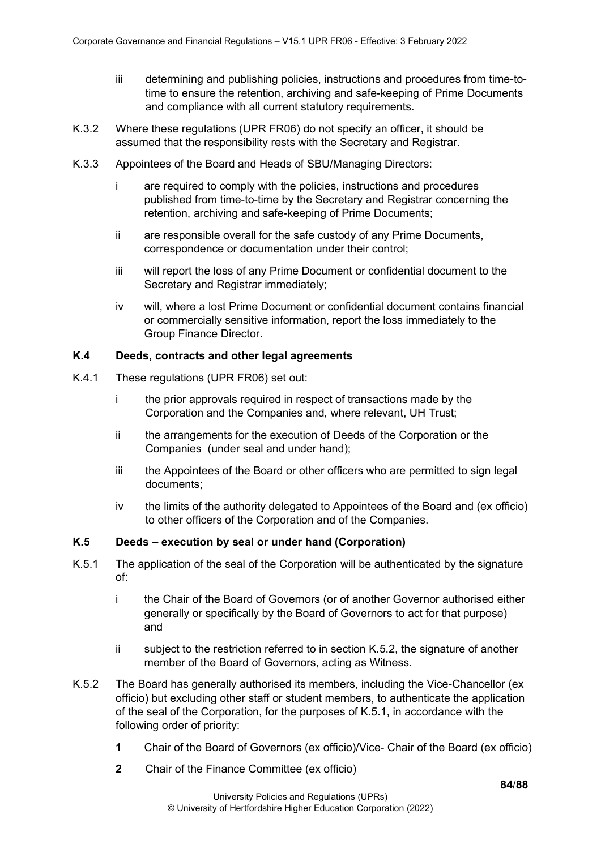- iii determining and publishing policies, instructions and procedures from time-totime to ensure the retention, archiving and safe-keeping of Prime Documents and compliance with all current statutory requirements.
- K.3.2 Where these regulations (UPR FR06) do not specify an officer, it should be assumed that the responsibility rests with the Secretary and Registrar.
- K.3.3 Appointees of the Board and Heads of SBU/Managing Directors:
	- i are required to comply with the policies, instructions and procedures published from time-to-time by the Secretary and Registrar concerning the retention, archiving and safe-keeping of Prime Documents;
	- ii are responsible overall for the safe custody of any Prime Documents, correspondence or documentation under their control;
	- iii will report the loss of any Prime Document or confidential document to the Secretary and Registrar immediately;
	- iv will, where a lost Prime Document or confidential document contains financial or commercially sensitive information, report the loss immediately to the Group Finance Director.

### **K.4 Deeds, contracts and other legal agreements**

- K.4.1 These regulations (UPR FR06) set out:
	- i the prior approvals required in respect of transactions made by the Corporation and the Companies and, where relevant, UH Trust;
	- ii the arrangements for the execution of Deeds of the Corporation or the Companies (under seal and under hand);
	- iii the Appointees of the Board or other officers who are permitted to sign legal documents;
	- iv the limits of the authority delegated to Appointees of the Board and (ex officio) to other officers of the Corporation and of the Companies.

# **K.5 Deeds – execution by seal or under hand (Corporation)**

- K.5.1 The application of the seal of the Corporation will be authenticated by the signature of:
	- i the Chair of the Board of Governors (or of another Governor authorised either generally or specifically by the Board of Governors to act for that purpose) and
	- ii subject to the restriction referred to in section K.5.2, the signature of another member of the Board of Governors, acting as Witness.
- K.5.2 The Board has generally authorised its members, including the Vice-Chancellor (ex officio) but excluding other staff or student members, to authenticate the application of the seal of the Corporation, for the purposes of K.5.1, in accordance with the following order of priority:
	- **1** Chair of the Board of Governors (ex officio)/Vice- Chair of the Board (ex officio)
	- **2** Chair of the Finance Committee (ex officio)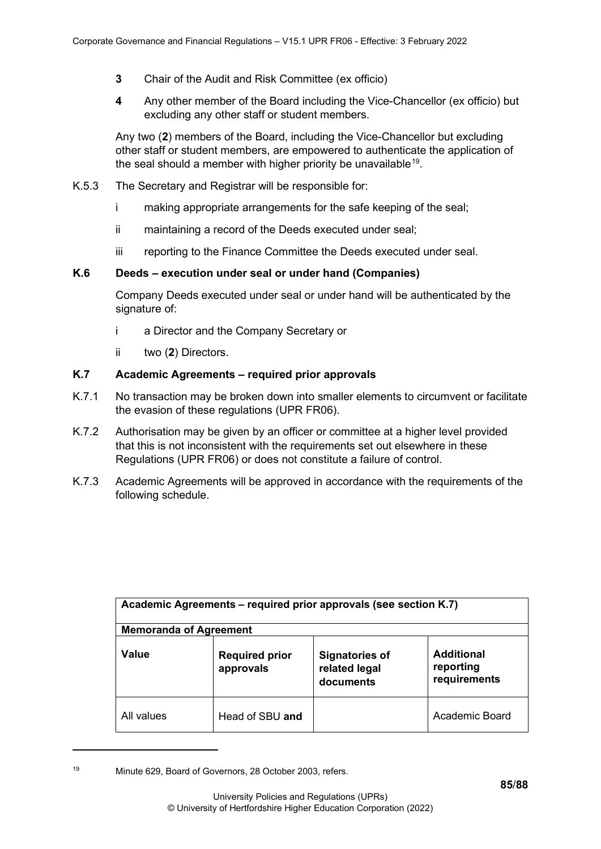- **3** Chair of the Audit and Risk Committee (ex officio)
- **4** Any other member of the Board including the Vice-Chancellor (ex officio) but excluding any other staff or student members.

Any two (**2**) members of the Board, including the Vice-Chancellor but excluding other staff or student members, are empowered to authenticate the application of the seal should a member with higher priority be unavailable<sup>19</sup>.

- K.5.3 The Secretary and Registrar will be responsible for:
	- i making appropriate arrangements for the safe keeping of the seal;
	- ii maintaining a record of the Deeds executed under seal;
	- iii reporting to the Finance Committee the Deeds executed under seal.

## **K.6 Deeds – execution under seal or under hand (Companies)**

Company Deeds executed under seal or under hand will be authenticated by the signature of:

- i a Director and the Company Secretary or
- ii two (**2**) Directors.

# **K.7 Academic Agreements – required prior approvals**

- K.7.1 No transaction may be broken down into smaller elements to circumvent or facilitate the evasion of these regulations (UPR FR06).
- K.7.2 Authorisation may be given by an officer or committee at a higher level provided that this is not inconsistent with the requirements set out elsewhere in these Regulations (UPR FR06) or does not constitute a failure of control.
- K.7.3 Academic Agreements will be approved in accordance with the requirements of the following schedule.

| Academic Agreements – required prior approvals (see section K.7) |                                    |                                                     |                                                |  |
|------------------------------------------------------------------|------------------------------------|-----------------------------------------------------|------------------------------------------------|--|
| <b>Memoranda of Agreement</b>                                    |                                    |                                                     |                                                |  |
| Value                                                            | <b>Required prior</b><br>approvals | <b>Signatories of</b><br>related legal<br>documents | <b>Additional</b><br>reporting<br>requirements |  |
| All values                                                       | Head of SBU and                    |                                                     | Academic Board                                 |  |

<span id="page-84-0"></span><sup>19</sup> Minute 629, Board of Governors, 28 October 2003, refers.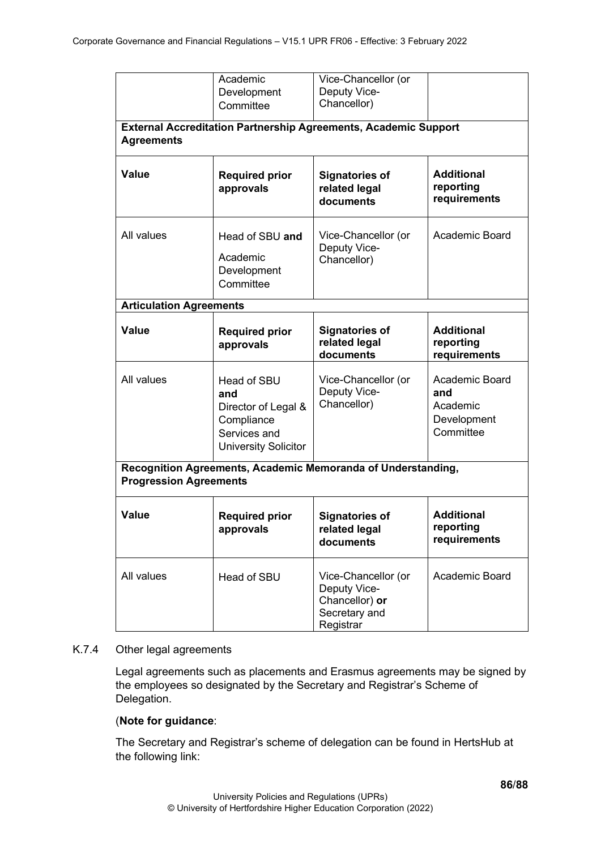|                                                                                               | Academic<br>Development<br>Committee                                                                   | Vice-Chancellor (or<br>Deputy Vice-<br>Chancellor)                                  |                                                               |  |  |
|-----------------------------------------------------------------------------------------------|--------------------------------------------------------------------------------------------------------|-------------------------------------------------------------------------------------|---------------------------------------------------------------|--|--|
| <b>External Accreditation Partnership Agreements, Academic Support</b><br><b>Agreements</b>   |                                                                                                        |                                                                                     |                                                               |  |  |
| <b>Value</b>                                                                                  | <b>Required prior</b><br>approvals                                                                     | <b>Signatories of</b><br>related legal<br>documents                                 | <b>Additional</b><br>reporting<br>requirements                |  |  |
| All values                                                                                    | Head of SBU and<br>Academic<br>Development<br>Committee                                                | Vice-Chancellor (or<br>Deputy Vice-<br>Chancellor)                                  | Academic Board                                                |  |  |
| <b>Articulation Agreements</b>                                                                |                                                                                                        |                                                                                     |                                                               |  |  |
| <b>Value</b>                                                                                  | <b>Required prior</b><br>approvals                                                                     | <b>Signatories of</b><br>related legal<br>documents                                 | <b>Additional</b><br>reporting<br>requirements                |  |  |
| All values                                                                                    | Head of SBU<br>and<br>Director of Legal &<br>Compliance<br>Services and<br><b>University Solicitor</b> | Vice-Chancellor (or<br>Deputy Vice-<br>Chancellor)                                  | Academic Board<br>and<br>Academic<br>Development<br>Committee |  |  |
| Recognition Agreements, Academic Memoranda of Understanding,<br><b>Progression Agreements</b> |                                                                                                        |                                                                                     |                                                               |  |  |
| <b>Value</b>                                                                                  | <b>Required prior</b><br>approvals                                                                     | <b>Signatories of</b><br>related legal<br>documents                                 | <b>Additional</b><br>reporting<br>requirements                |  |  |
| All values                                                                                    | Head of SBU                                                                                            | Vice-Chancellor (or<br>Deputy Vice-<br>Chancellor) or<br>Secretary and<br>Registrar | Academic Board                                                |  |  |

## K.7.4 Other legal agreements

Legal agreements such as placements and Erasmus agreements may be signed by the employees so designated by the Secretary and Registrar's Scheme of Delegation.

## (**Note for guidance**:

The Secretary and Registrar's scheme of delegation can be found in HertsHub at the following link: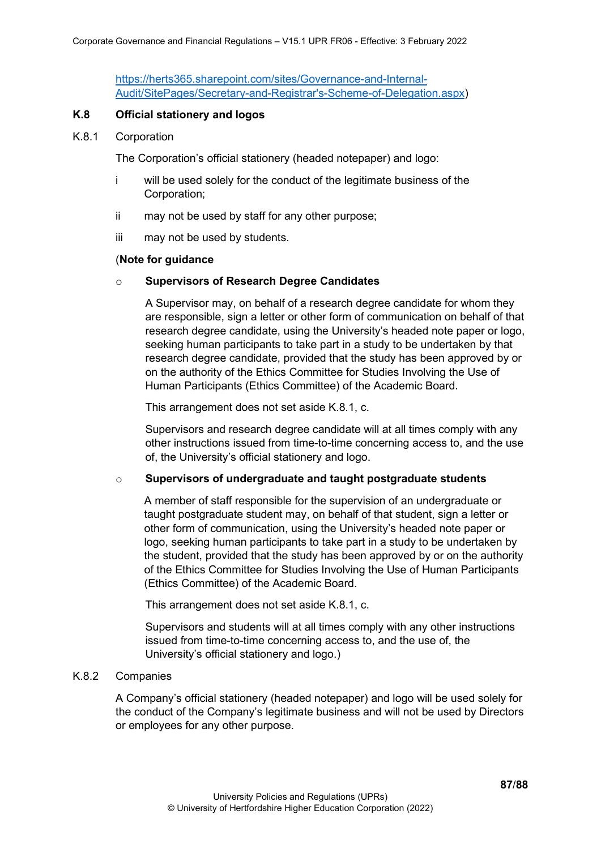[https://herts365.sharepoint.com/sites/Governance-and-Internal-](https://herts365.sharepoint.com/sites/Governance-and-Internal-Audit/SitePages/Secretary-and-Registrar)[Audit/SitePages/Secretary-and-Registrar's-Scheme-of-Delegation.aspx\)](https://herts365.sharepoint.com/sites/Governance-and-Internal-Audit/SitePages/Secretary-and-Registrar)

#### **K.8 Official stationery and logos**

#### K.8.1 Corporation

The Corporation's official stationery (headed notepaper) and logo:

- i will be used solely for the conduct of the legitimate business of the Corporation;
- ii may not be used by staff for any other purpose;
- iii may not be used by students.

#### (**Note for guidance**

#### o **Supervisors of Research Degree Candidates**

A Supervisor may, on behalf of a research degree candidate for whom they are responsible, sign a letter or other form of communication on behalf of that research degree candidate, using the University's headed note paper or logo, seeking human participants to take part in a study to be undertaken by that research degree candidate, provided that the study has been approved by or on the authority of the Ethics Committee for Studies Involving the Use of Human Participants (Ethics Committee) of the Academic Board.

This arrangement does not set aside K.8.1, c.

Supervisors and research degree candidate will at all times comply with any other instructions issued from time-to-time concerning access to, and the use of, the University's official stationery and logo.

#### o **Supervisors of undergraduate and taught postgraduate students**

A member of staff responsible for the supervision of an undergraduate or taught postgraduate student may, on behalf of that student, sign a letter or other form of communication, using the University's headed note paper or logo, seeking human participants to take part in a study to be undertaken by the student, provided that the study has been approved by or on the authority of the Ethics Committee for Studies Involving the Use of Human Participants (Ethics Committee) of the Academic Board.

This arrangement does not set aside K.8.1, c.

Supervisors and students will at all times comply with any other instructions issued from time-to-time concerning access to, and the use of, the University's official stationery and logo.)

#### K.8.2 Companies

A Company's official stationery (headed notepaper) and logo will be used solely for the conduct of the Company's legitimate business and will not be used by Directors or employees for any other purpose.